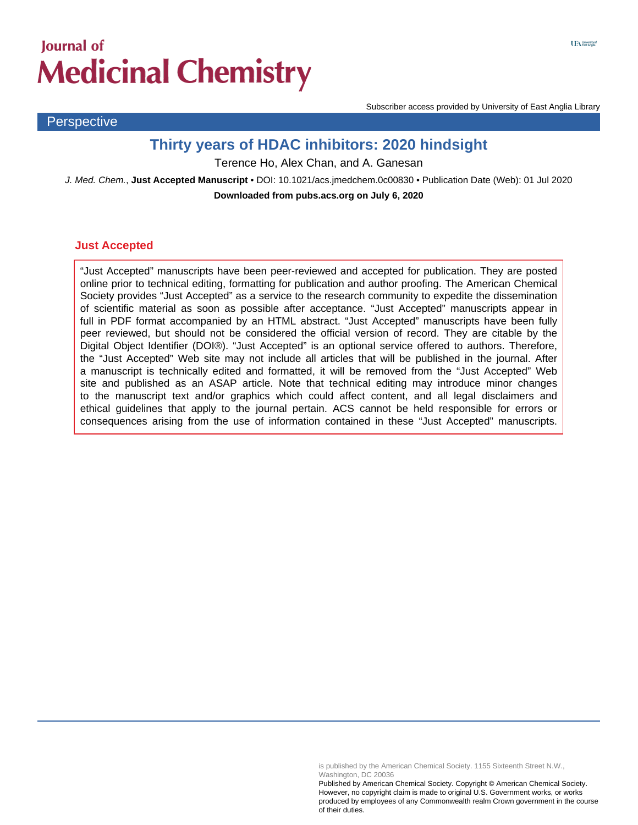# **Journal of Medicinal Chemistry**

**Perspective** 

Subscriber access provided by University of East Anglia Library

# **Thirty years of HDAC inhibitors: 2020 hindsight**

Terence Ho, Alex Chan, and A. Ganesan

J. Med. Chem., **Just Accepted Manuscript** • DOI: 10.1021/acs.jmedchem.0c00830 • Publication Date (Web): 01 Jul 2020 **Downloaded from pubs.acs.org on July 6, 2020**

#### **Just Accepted**

"Just Accepted" manuscripts have been peer-reviewed and accepted for publication. They are posted online prior to technical editing, formatting for publication and author proofing. The American Chemical Society provides "Just Accepted" as a service to the research community to expedite the dissemination of scientific material as soon as possible after acceptance. "Just Accepted" manuscripts appear in full in PDF format accompanied by an HTML abstract. "Just Accepted" manuscripts have been fully peer reviewed, but should not be considered the official version of record. They are citable by the Digital Object Identifier (DOI®). "Just Accepted" is an optional service offered to authors. Therefore, the "Just Accepted" Web site may not include all articles that will be published in the journal. After a manuscript is technically edited and formatted, it will be removed from the "Just Accepted" Web site and published as an ASAP article. Note that technical editing may introduce minor changes to the manuscript text and/or graphics which could affect content, and all legal disclaimers and ethical guidelines that apply to the journal pertain. ACS cannot be held responsible for errors or consequences arising from the use of information contained in these "Just Accepted" manuscripts.

is published by the American Chemical Society. 1155 Sixteenth Street N.W., Washington, DC 20036

Published by American Chemical Society. Copyright © American Chemical Society. However, no copyright claim is made to original U.S. Government works, or works produced by employees of any Commonwealth realm Crown government in the course of their duties.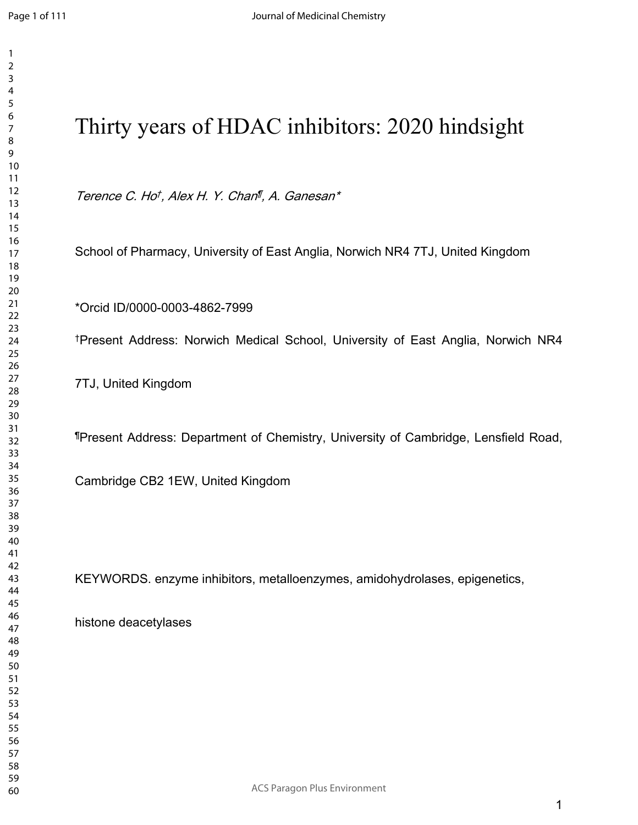| Thirty years of HDAC inhibitors: 2020 hindsight                                              |
|----------------------------------------------------------------------------------------------|
| Terence C. Hot, Alex H. Y. Chan <sup>n</sup> , A. Ganesan*                                   |
| School of Pharmacy, University of East Anglia, Norwich NR4 7TJ, United Kingdom               |
| *Orcid ID/0000-0003-4862-7999                                                                |
| <sup>†</sup> Present Address: Norwich Medical School, University of East Anglia, Norwich NR4 |
| 7TJ, United Kingdom                                                                          |
| "Present Address: Department of Chemistry, University of Cambridge, Lensfield Road,          |
| Cambridge CB2 1EW, United Kingdom                                                            |
|                                                                                              |
| KEYWORDS. enzyme inhibitors, metalloenzymes, amidohydrolases, epigenetics,                   |
| histone deacetylases                                                                         |
|                                                                                              |
|                                                                                              |
|                                                                                              |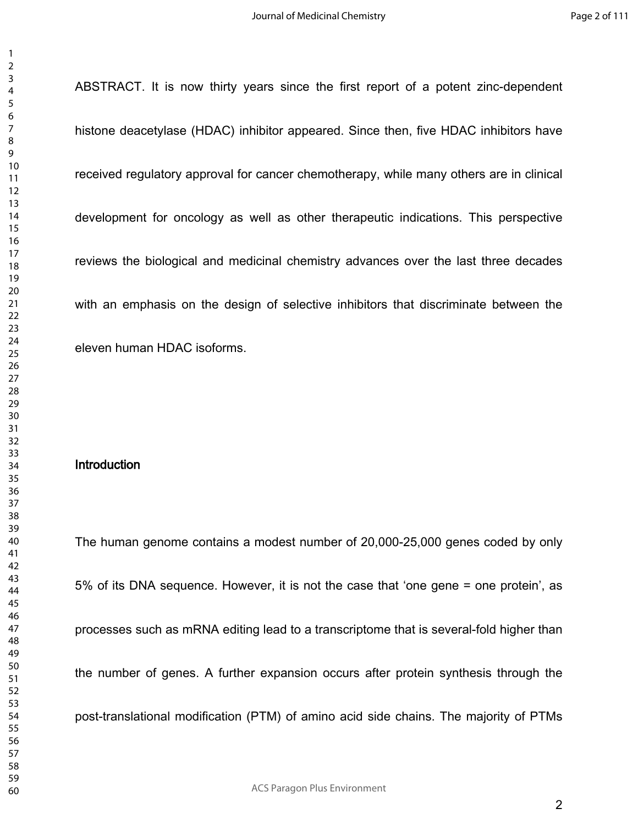ABSTRACT. It is now thirty years since the first report of a potent zinc-dependent histone deacetylase (HDAC) inhibitor appeared. Since then, five HDAC inhibitors have received regulatory approval for cancer chemotherapy, while many others are in clinical development for oncology as well as other therapeutic indications. This perspective reviews the biological and medicinal chemistry advances over the last three decades with an emphasis on the design of selective inhibitors that discriminate between the eleven human HDAC isoforms.

#### **Introduction**

The human genome contains a modest number of 20,000-25,000 genes coded by only 5% of its DNA sequence. However, it is not the case that 'one gene = one protein', as processes such as mRNA editing lead to a transcriptome that is several-fold higher than the number of genes. A further expansion occurs after protein synthesis through the post-translational modification (PTM) of amino acid side chains. The majority of PTMs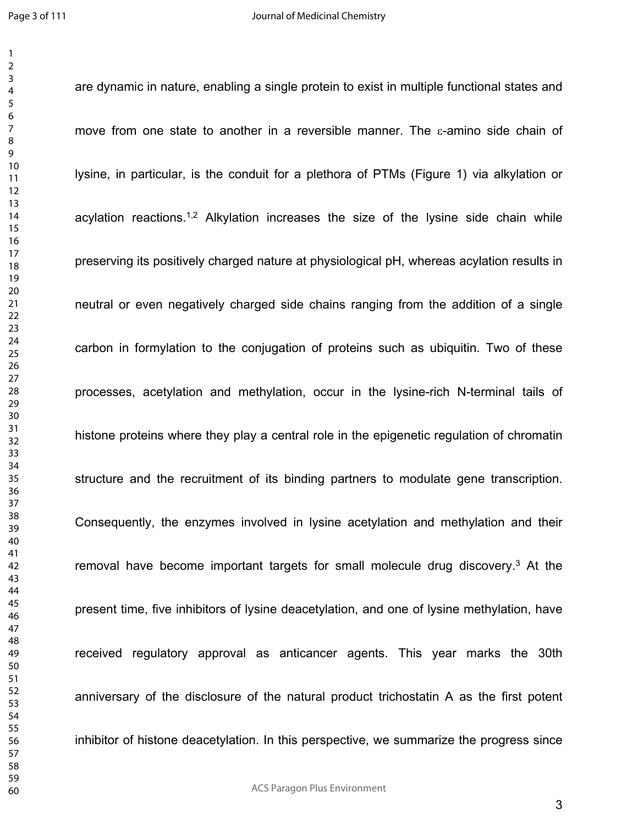are dynamic in nature, enabling a single protein to exist in multiple functional states and

move from one state to another in a reversible manner. The  $\varepsilon$ -amino side chain of lysine, in particular, is the conduit for a plethora of PTMs (Figure 1) via alkylation or acylation reactions.<sup>1,2</sup> Alkylation increases the size of the lysine side chain while preserving its positively charged nature at physiological pH, whereas acylation results in neutral or even negatively charged side chains ranging from the addition of a single carbon in formylation to the conjugation of proteins such as ubiquitin. Two of these processes, acetylation and methylation, occur in the lysine-rich N-terminal tails of histone proteins where they play a central role in the epigenetic regulation of chromatin structure and the recruitment of its binding partners to modulate gene transcription. Consequently, the enzymes involved in lysine acetylation and methylation and their removal have become important targets for small molecule drug discovery.<sup>3</sup> At the present time, five inhibitors of lysine deacetylation, and one of lysine methylation, have received regulatory approval as anticancer agents. This year marks the 30th anniversary of the disclosure of the natural product trichostatin A as the first potent inhibitor of histone deacetylation. In this perspective, we summarize the progress since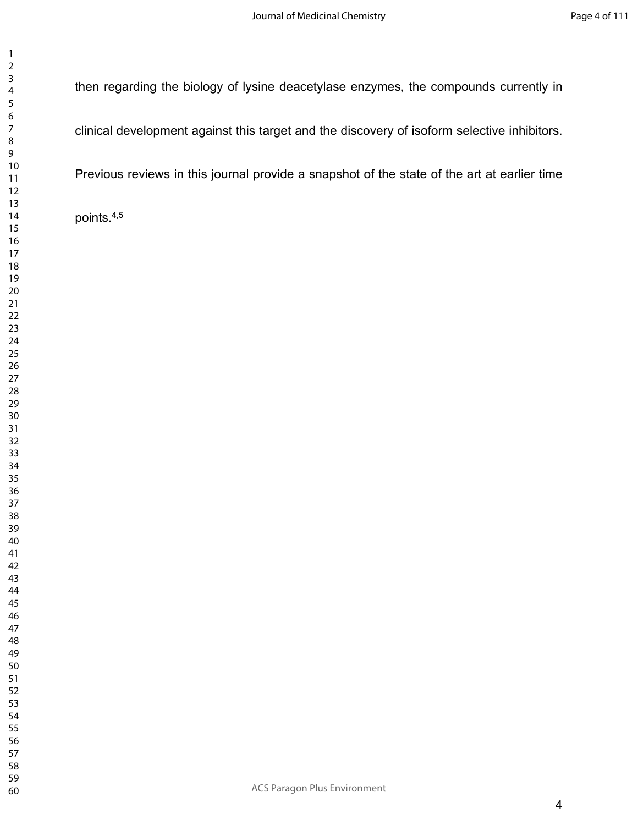then regarding the biology of lysine deacetylase enzymes, the compounds currently in

clinical development against this target and the discovery of isoform selective inhibitors.

Previous reviews in this journal provide a snapshot of the state of the art at earlier time

points.4,5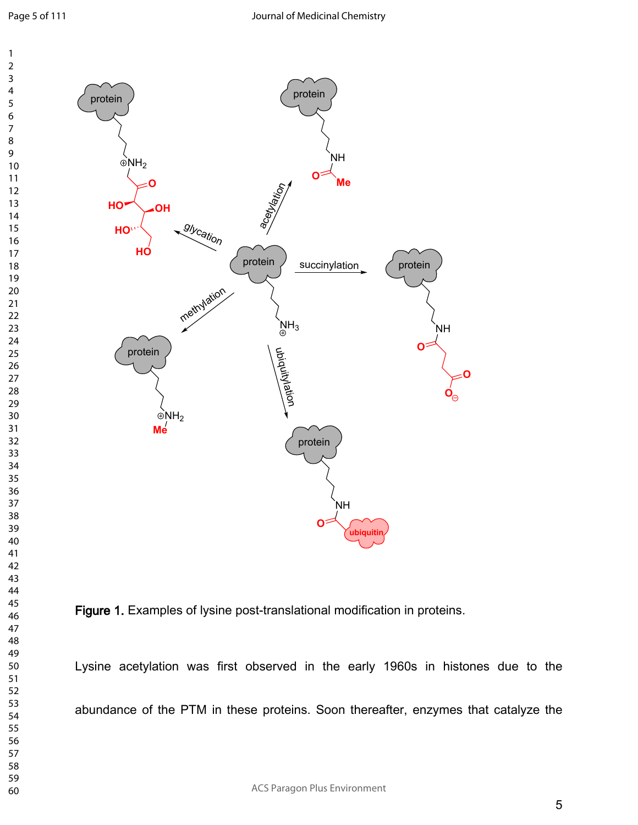Page 5 of 111





Lysine acetylation was first observed in the early 1960s in histones due to the abundance of the PTM in these proteins. Soon thereafter, enzymes that catalyze the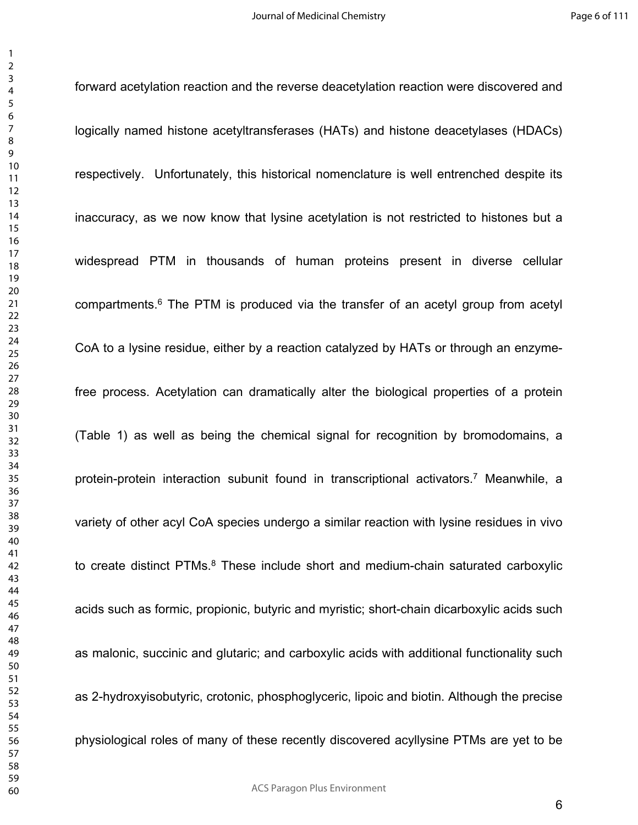forward acetylation reaction and the reverse deacetylation reaction were discovered and logically named histone acetyltransferases (HATs) and histone deacetylases (HDACs) respectively. Unfortunately, this historical nomenclature is well entrenched despite its inaccuracy, as we now know that lysine acetylation is not restricted to histones but a widespread PTM in thousands of human proteins present in diverse cellular compartments.<sup>6</sup> The PTM is produced via the transfer of an acetyl group from acetyl CoA to a lysine residue, either by a reaction catalyzed by HATs or through an enzymefree process. Acetylation can dramatically alter the biological properties of a protein (Table 1) as well as being the chemical signal for recognition by bromodomains, a protein-protein interaction subunit found in transcriptional activators.<sup>7</sup> Meanwhile, a variety of other acyl CoA species undergo a similar reaction with lysine residues in vivo to create distinct PTMs.<sup>8</sup> These include short and medium-chain saturated carboxylic acids such as formic, propionic, butyric and myristic; short-chain dicarboxylic acids such as malonic, succinic and glutaric; and carboxylic acids with additional functionality such as 2-hydroxyisobutyric, crotonic, phosphoglyceric, lipoic and biotin. Although the precise physiological roles of many of these recently discovered acyllysine PTMs are yet to be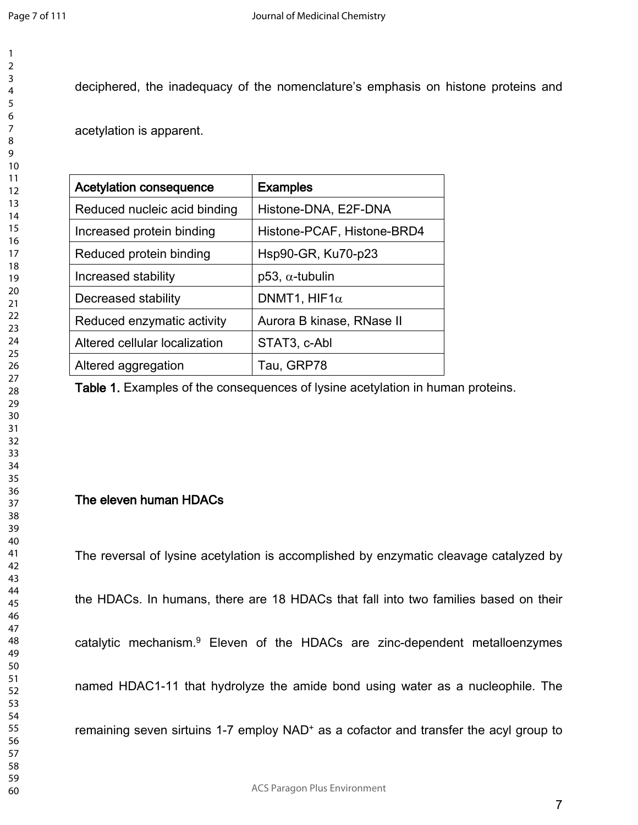deciphered, the inadequacy of the nomenclature's emphasis on histone proteins and

acetylation is apparent.

| <b>Acetylation consequence</b> | <b>Examples</b>            |  |
|--------------------------------|----------------------------|--|
| Reduced nucleic acid binding   | Histone-DNA, E2F-DNA       |  |
| Increased protein binding      | Histone-PCAF, Histone-BRD4 |  |
| Reduced protein binding        | Hsp90-GR, Ku70-p23         |  |
| Increased stability            | $p53, \alpha$ -tubulin     |  |
| Decreased stability            | DNMT1, HIF1 $\alpha$       |  |
| Reduced enzymatic activity     | Aurora B kinase, RNase II  |  |
| Altered cellular localization  | STAT3, c-Abl               |  |
| Altered aggregation            | Tau, GRP78                 |  |

**Table 1.** Examples of the consequences of lysine acetylation in human proteins.

### **The eleven human HDACs**

The reversal of lysine acetylation is accomplished by enzymatic cleavage catalyzed by

the HDACs. In humans, there are 18 HDACs that fall into two families based on their

catalytic mechanism.<sup>9</sup> Eleven of the HDACs are zinc-dependent metalloenzymes

named HDAC1-11 that hydrolyze the amide bond using water as a nucleophile. The

remaining seven sirtuins 1-7 employ NAD<sup>+</sup> as a cofactor and transfer the acyl group to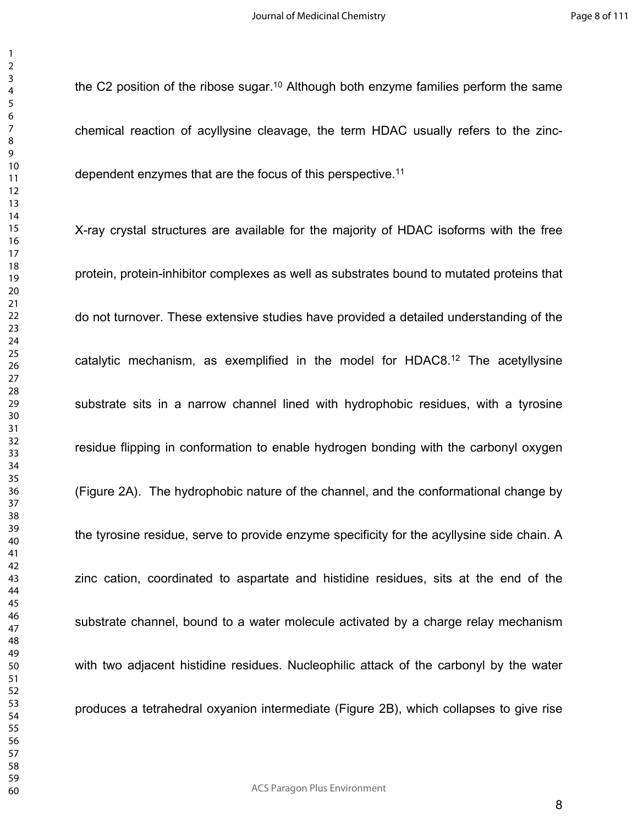> the C2 position of the ribose sugar.<sup>10</sup> Although both enzyme families perform the same chemical reaction of acyllysine cleavage, the term HDAC usually refers to the zincdependent enzymes that are the focus of this perspective.<sup>11</sup>

> X-ray crystal structures are available for the majority of HDAC isoforms with the free protein, protein-inhibitor complexes as well as substrates bound to mutated proteins that do not turnover. These extensive studies have provided a detailed understanding of the catalytic mechanism, as exemplified in the model for HDAC8.<sup>12</sup> The acetyllysine substrate sits in a narrow channel lined with hydrophobic residues, with a tyrosine residue flipping in conformation to enable hydrogen bonding with the carbonyl oxygen (Figure 2A). The hydrophobic nature of the channel, and the conformational change by the tyrosine residue, serve to provide enzyme specificity for the acyllysine side chain. A zinc cation, coordinated to aspartate and histidine residues, sits at the end of the substrate channel, bound to a water molecule activated by a charge relay mechanism with two adjacent histidine residues. Nucleophilic attack of the carbonyl by the water produces a tetrahedral oxyanion intermediate (Figure 2B), which collapses to give rise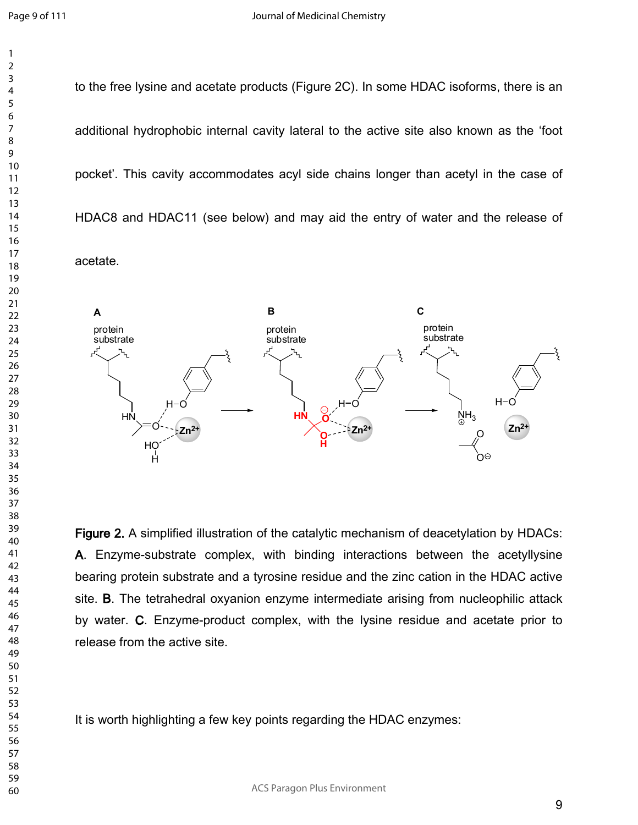to the free lysine and acetate products (Figure 2C). In some HDAC isoforms, there is an additional hydrophobic internal cavity lateral to the active site also known as the 'foot pocket'. This cavity accommodates acyl side chains longer than acetyl in the case of HDAC8 and HDAC11 (see below) and may aid the entry of water and the release of

acetate.



**Figure 2.** A simplified illustration of the catalytic mechanism of deacetylation by HDACs: **A**. Enzyme-substrate complex, with binding interactions between the acetyllysine bearing protein substrate and a tyrosine residue and the zinc cation in the HDAC active site. **B**. The tetrahedral oxyanion enzyme intermediate arising from nucleophilic attack by water. **C**. Enzyme-product complex, with the lysine residue and acetate prior to release from the active site.

It is worth highlighting a few key points regarding the HDAC enzymes: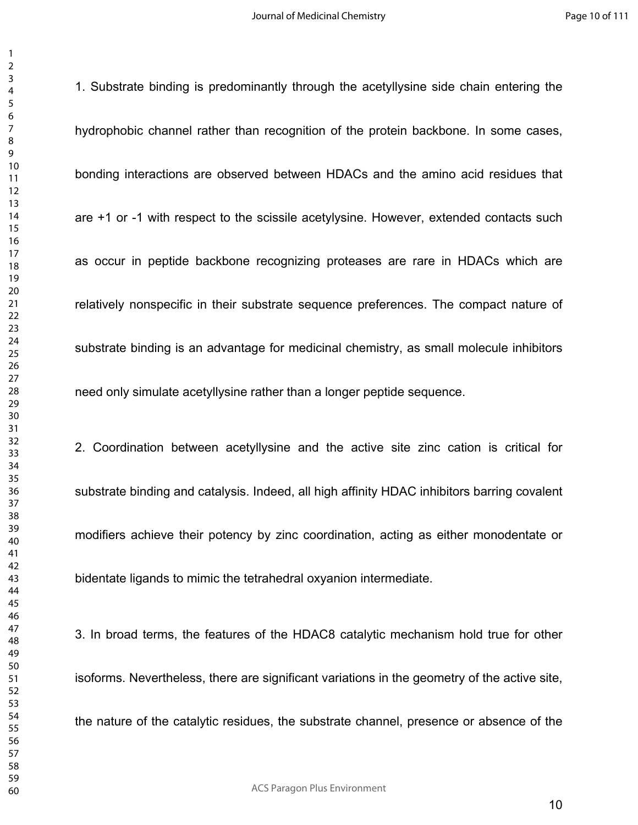1. Substrate binding is predominantly through the acetyllysine side chain entering the hydrophobic channel rather than recognition of the protein backbone. In some cases, bonding interactions are observed between HDACs and the amino acid residues that are +1 or -1 with respect to the scissile acetylysine. However, extended contacts such as occur in peptide backbone recognizing proteases are rare in HDACs which are relatively nonspecific in their substrate sequence preferences. The compact nature of substrate binding is an advantage for medicinal chemistry, as small molecule inhibitors need only simulate acetyllysine rather than a longer peptide sequence.

2. Coordination between acetyllysine and the active site zinc cation is critical for substrate binding and catalysis. Indeed, all high affinity HDAC inhibitors barring covalent modifiers achieve their potency by zinc coordination, acting as either monodentate or bidentate ligands to mimic the tetrahedral oxyanion intermediate.

3. In broad terms, the features of the HDAC8 catalytic mechanism hold true for other isoforms. Nevertheless, there are significant variations in the geometry of the active site, the nature of the catalytic residues, the substrate channel, presence or absence of the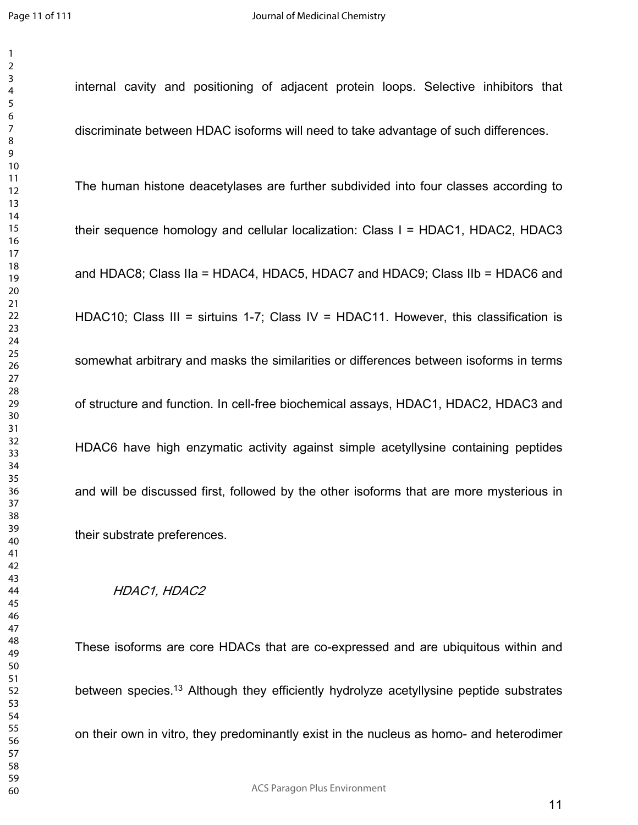internal cavity and positioning of adjacent protein loops. Selective inhibitors that discriminate between HDAC isoforms will need to take advantage of such differences. The human histone deacetylases are further subdivided into four classes according to their sequence homology and cellular localization: Class I = HDAC1, HDAC2, HDAC3 and HDAC8; Class IIa = HDAC4, HDAC5, HDAC7 and HDAC9; Class IIb = HDAC6 and HDAC10; Class III = sirtuins 1-7; Class IV = HDAC11. However, this classification is somewhat arbitrary and masks the similarities or differences between isoforms in terms of structure and function. In cell-free biochemical assays, HDAC1, HDAC2, HDAC3 and HDAC6 have high enzymatic activity against simple acetyllysine containing peptides and will be discussed first, followed by the other isoforms that are more mysterious in their substrate preferences.

#### *HDAC1, HDAC2*

These isoforms are core HDACs that are co-expressed and are ubiquitous within and between species.<sup>13</sup> Although they efficiently hydrolyze acetyllysine peptide substrates on their own in vitro, they predominantly exist in the nucleus as homo- and heterodimer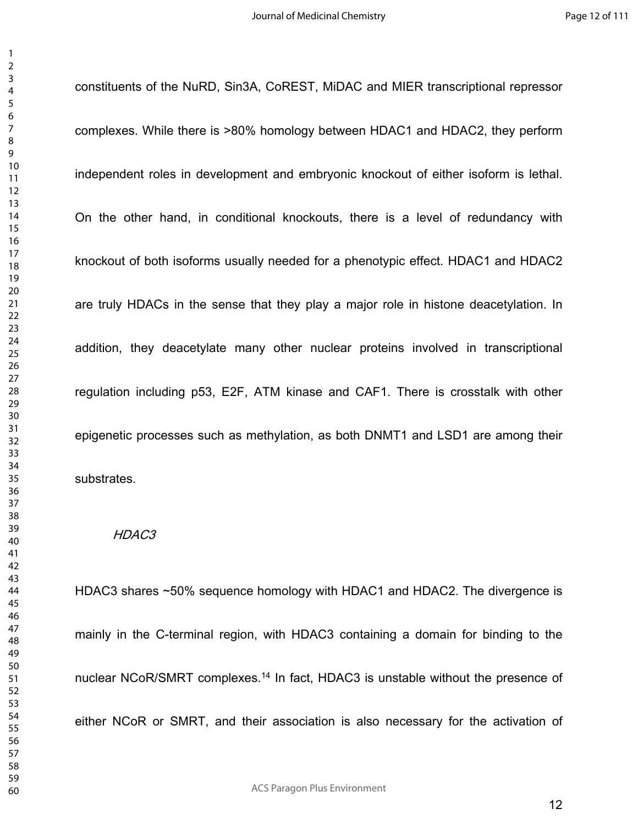constituents of the NuRD, Sin3A, CoREST, MiDAC and MIER transcriptional repressor complexes. While there is >80% homology between HDAC1 and HDAC2, they perform independent roles in development and embryonic knockout of either isoform is lethal. On the other hand, in conditional knockouts, there is a level of redundancy with knockout of both isoforms usually needed for a phenotypic effect. HDAC1 and HDAC2 are truly HDACs in the sense that they play a major role in histone deacetylation. In addition, they deacetylate many other nuclear proteins involved in transcriptional regulation including p53, E2F, ATM kinase and CAF1. There is crosstalk with other epigenetic processes such as methylation, as both DNMT1 and LSD1 are among their substrates.

#### *HDAC3*

HDAC3 shares ~50% sequence homology with HDAC1 and HDAC2. The divergence is mainly in the C-terminal region, with HDAC3 containing a domain for binding to the nuclear NCoR/SMRT complexes.<sup>14</sup> In fact, HDAC3 is unstable without the presence of either NCoR or SMRT, and their association is also necessary for the activation of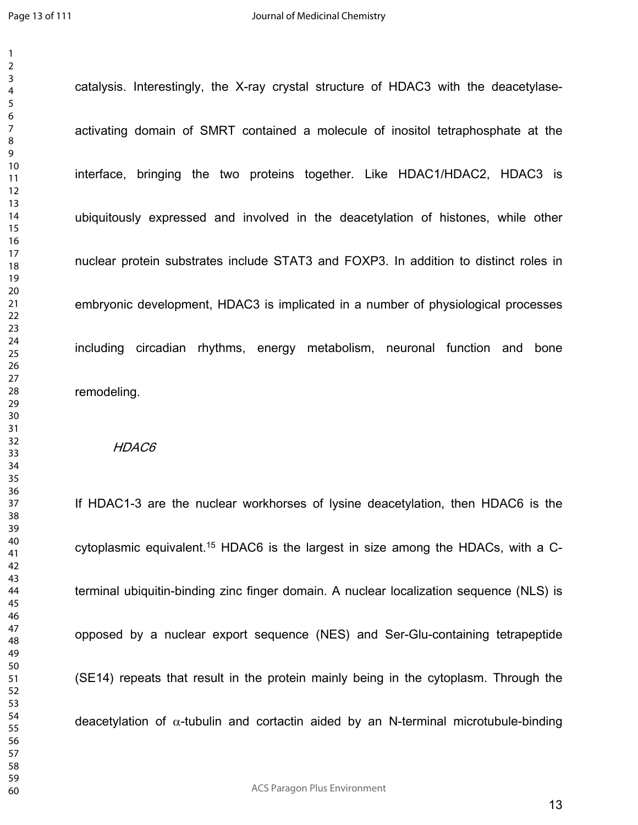catalysis. Interestingly, the X-ray crystal structure of HDAC3 with the deacetylaseactivating domain of SMRT contained a molecule of inositol tetraphosphate at the interface, bringing the two proteins together. Like HDAC1/HDAC2, HDAC3 is ubiquitously expressed and involved in the deacetylation of histones, while other nuclear protein substrates include STAT3 and FOXP3. In addition to distinct roles in embryonic development, HDAC3 is implicated in a number of physiological processes including circadian rhythms, energy metabolism, neuronal function and bone remodeling.

#### *HDAC6*

If HDAC1-3 are the nuclear workhorses of lysine deacetylation, then HDAC6 is the cytoplasmic equivalent.15 HDAC6 is the largest in size among the HDACs, with a Cterminal ubiquitin-binding zinc finger domain. A nuclear localization sequence (NLS) is opposed by a nuclear export sequence (NES) and Ser-Glu-containing tetrapeptide (SE14) repeats that result in the protein mainly being in the cytoplasm. Through the deacetylation of  $\alpha$ -tubulin and cortactin aided by an N-terminal microtubule-binding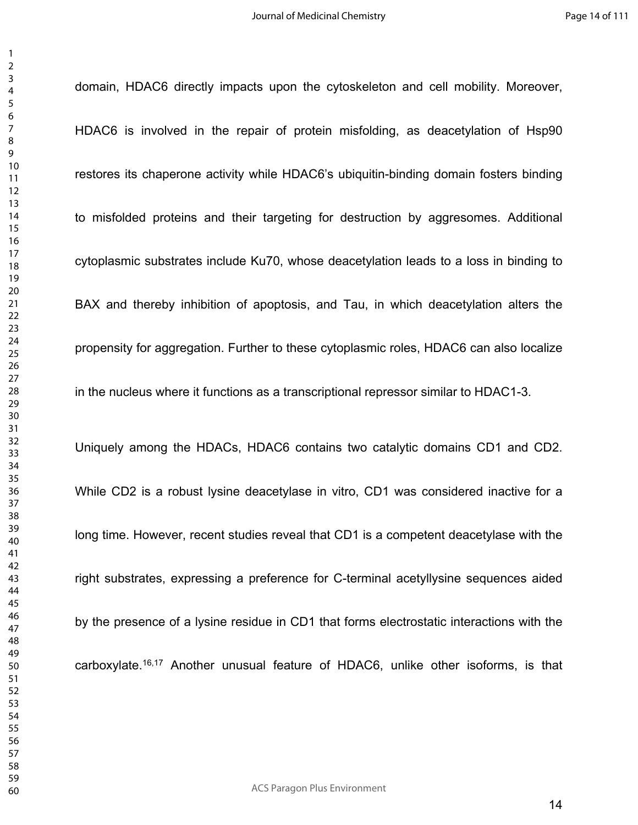domain, HDAC6 directly impacts upon the cytoskeleton and cell mobility. Moreover,

HDAC6 is involved in the repair of protein misfolding, as deacetylation of Hsp90 restores its chaperone activity while HDAC6's ubiquitin-binding domain fosters binding to misfolded proteins and their targeting for destruction by aggresomes. Additional cytoplasmic substrates include Ku70, whose deacetylation leads to a loss in binding to BAX and thereby inhibition of apoptosis, and Tau, in which deacetylation alters the propensity for aggregation. Further to these cytoplasmic roles, HDAC6 can also localize in the nucleus where it functions as a transcriptional repressor similar to HDAC1-3. Uniquely among the HDACs, HDAC6 contains two catalytic domains CD1 and CD2. While CD2 is a robust lysine deacetylase in vitro, CD1 was considered inactive for a long time. However, recent studies reveal that CD1 is a competent deacetylase with the

right substrates, expressing a preference for C-terminal acetyllysine sequences aided

by the presence of a lysine residue in CD1 that forms electrostatic interactions with the carboxylate.16,17 Another unusual feature of HDAC6, unlike other isoforms, is that

ACS Paragon Plus Environment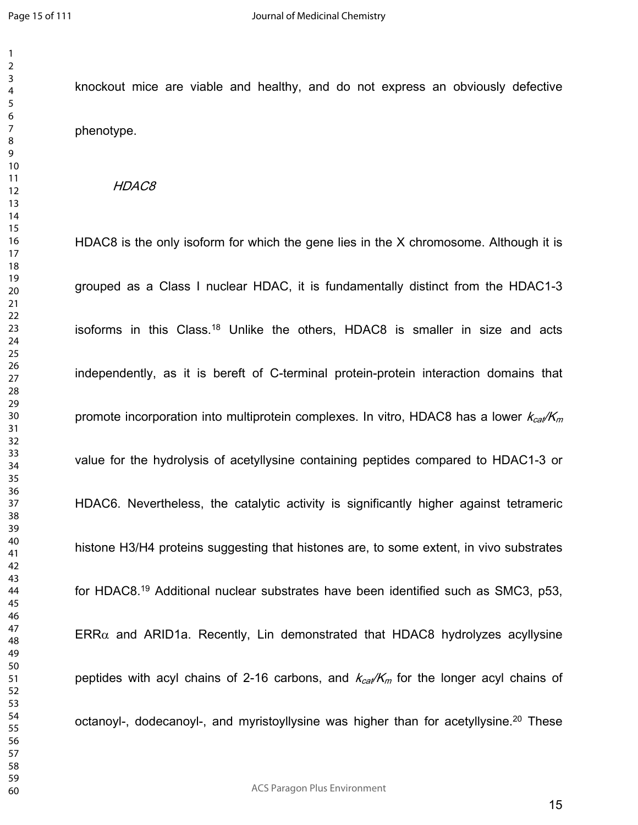knockout mice are viable and healthy, and do not express an obviously defective phenotype.

#### *HDAC8*

HDAC8 is the only isoform for which the gene lies in the X chromosome. Although it is grouped as a Class I nuclear HDAC, it is fundamentally distinct from the HDAC1-3 isoforms in this Class.<sup>18</sup> Unlike the others, HDAC8 is smaller in size and acts independently, as it is bereft of C-terminal protein-protein interaction domains that promote incorporation into multiprotein complexes. In vitro, HDAC8 has a lower  $k_{cat}/K_m$ value for the hydrolysis of acetyllysine containing peptides compared to HDAC1-3 or HDAC6. Nevertheless, the catalytic activity is significantly higher against tetrameric histone H3/H4 proteins suggesting that histones are, to some extent, in vivo substrates for HDAC8.<sup>19</sup> Additional nuclear substrates have been identified such as SMC3, p53,  $ERR\alpha$  and ARID1a. Recently, Lin demonstrated that HDAC8 hydrolyzes acyllysine peptides with acyl chains of 2-16 carbons, and  $k_{cat}/K_m$  for the longer acyl chains of octanoyl-, dodecanoyl-, and myristoyllysine was higher than for acetyllysine.<sup>20</sup> These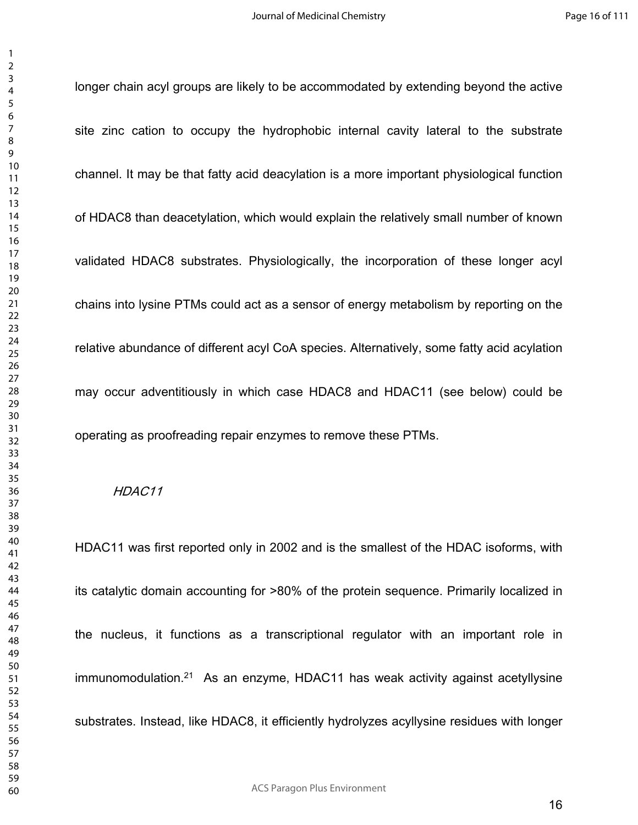longer chain acyl groups are likely to be accommodated by extending beyond the active site zinc cation to occupy the hydrophobic internal cavity lateral to the substrate channel. It may be that fatty acid deacylation is a more important physiological function of HDAC8 than deacetylation, which would explain the relatively small number of known validated HDAC8 substrates. Physiologically, the incorporation of these longer acyl chains into lysine PTMs could act as a sensor of energy metabolism by reporting on the relative abundance of different acyl CoA species. Alternatively, some fatty acid acylation may occur adventitiously in which case HDAC8 and HDAC11 (see below) could be operating as proofreading repair enzymes to remove these PTMs.

#### *HDAC11*

HDAC11 was first reported only in 2002 and is the smallest of the HDAC isoforms, with its catalytic domain accounting for >80% of the protein sequence. Primarily localized in the nucleus, it functions as a transcriptional regulator with an important role in  $immunomodulation.<sup>21</sup>$  As an enzyme, HDAC11 has weak activity against acetyllysine substrates. Instead, like HDAC8, it efficiently hydrolyzes acyllysine residues with longer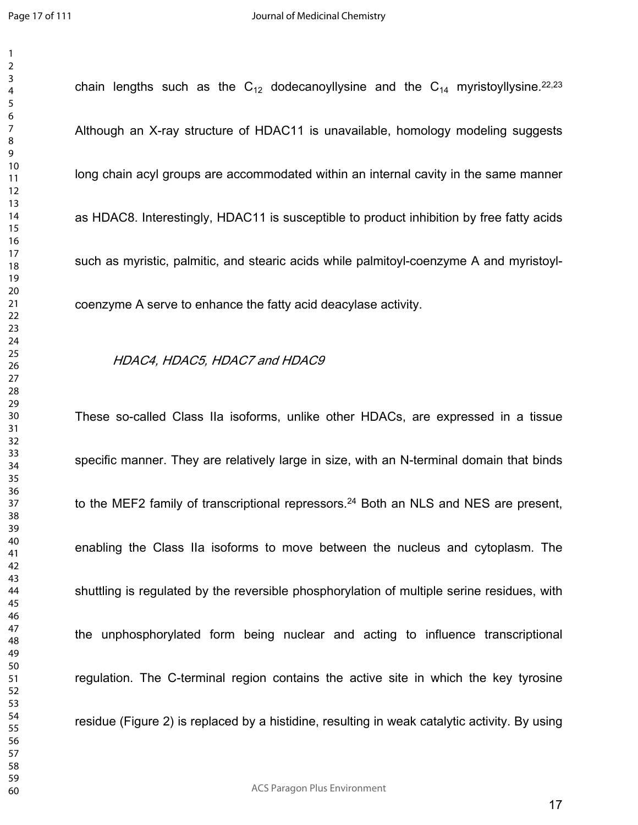chain lengths such as the  $C_{12}$  dodecanoyllysine and the  $C_{14}$  myristoyllysine.<sup>22,23</sup> Although an X-ray structure of HDAC11 is unavailable, homology modeling suggests long chain acyl groups are accommodated within an internal cavity in the same manner as HDAC8. Interestingly, HDAC11 is susceptible to product inhibition by free fatty acids such as myristic, palmitic, and stearic acids while palmitoyl-coenzyme A and myristoylcoenzyme A serve to enhance the fatty acid deacylase activity.

#### *HDAC4, HDAC5, HDAC7 and HDAC9*

These so-called Class IIa isoforms, unlike other HDACs, are expressed in a tissue specific manner. They are relatively large in size, with an N-terminal domain that binds to the MEF2 family of transcriptional repressors.<sup>24</sup> Both an NLS and NES are present, enabling the Class IIa isoforms to move between the nucleus and cytoplasm. The shuttling is regulated by the reversible phosphorylation of multiple serine residues, with the unphosphorylated form being nuclear and acting to influence transcriptional regulation. The C-terminal region contains the active site in which the key tyrosine residue (Figure 2) is replaced by a histidine, resulting in weak catalytic activity. By using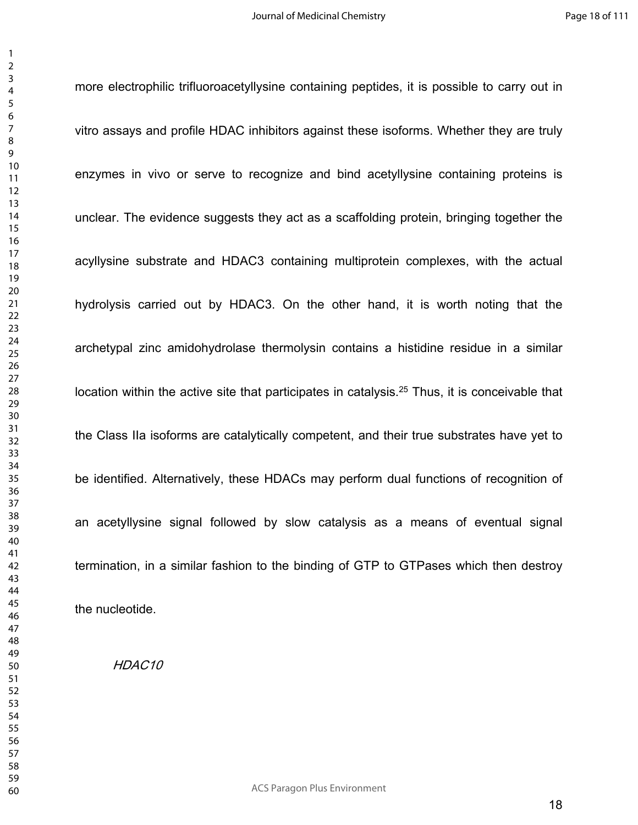more electrophilic trifluoroacetyllysine containing peptides, it is possible to carry out in

vitro assays and profile HDAC inhibitors against these isoforms. Whether they are truly enzymes in vivo or serve to recognize and bind acetyllysine containing proteins is unclear. The evidence suggests they act as a scaffolding protein, bringing together the acyllysine substrate and HDAC3 containing multiprotein complexes, with the actual hydrolysis carried out by HDAC3. On the other hand, it is worth noting that the archetypal zinc amidohydrolase thermolysin contains a histidine residue in a similar location within the active site that participates in catalysis.<sup>25</sup> Thus, it is conceivable that the Class IIa isoforms are catalytically competent, and their true substrates have yet to be identified. Alternatively, these HDACs may perform dual functions of recognition of an acetyllysine signal followed by slow catalysis as a means of eventual signal termination, in a similar fashion to the binding of GTP to GTPases which then destroy the nucleotide.

*HDAC10*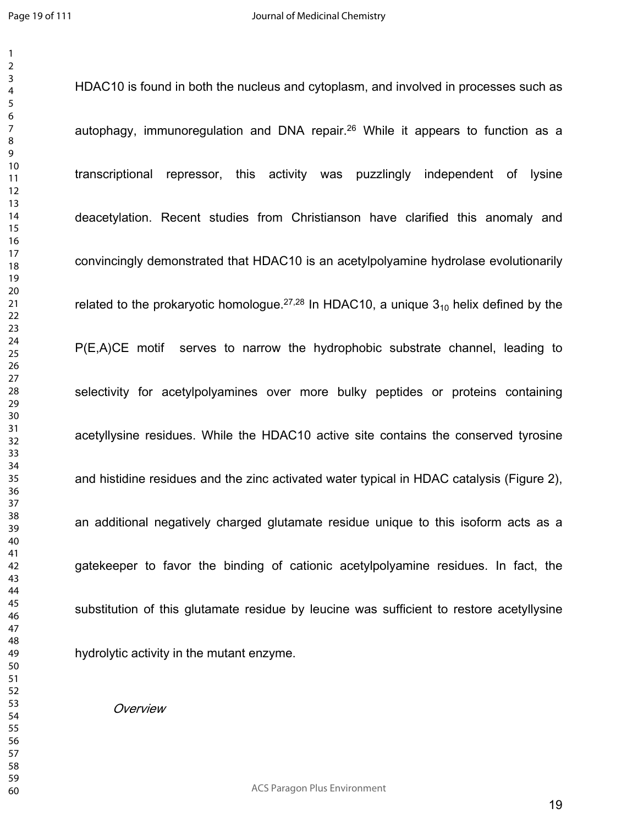HDAC10 is found in both the nucleus and cytoplasm, and involved in processes such as autophagy, immunoregulation and DNA repair.<sup>26</sup> While it appears to function as a transcriptional repressor, this activity was puzzlingly independent of lysine deacetylation. Recent studies from Christianson have clarified this anomaly and convincingly demonstrated that HDAC10 is an acetylpolyamine hydrolase evolutionarily related to the prokaryotic homologue.<sup>27,28</sup> In HDAC10, a unique  $3_{10}$  helix defined by the P(E,A)CE motif serves to narrow the hydrophobic substrate channel, leading to selectivity for acetylpolyamines over more bulky peptides or proteins containing acetyllysine residues. While the HDAC10 active site contains the conserved tyrosine and histidine residues and the zinc activated water typical in HDAC catalysis (Figure 2), an additional negatively charged glutamate residue unique to this isoform acts as a gatekeeper to favor the binding of cationic acetylpolyamine residues. In fact, the substitution of this glutamate residue by leucine was sufficient to restore acetyllysine hydrolytic activity in the mutant enzyme.

*Overview*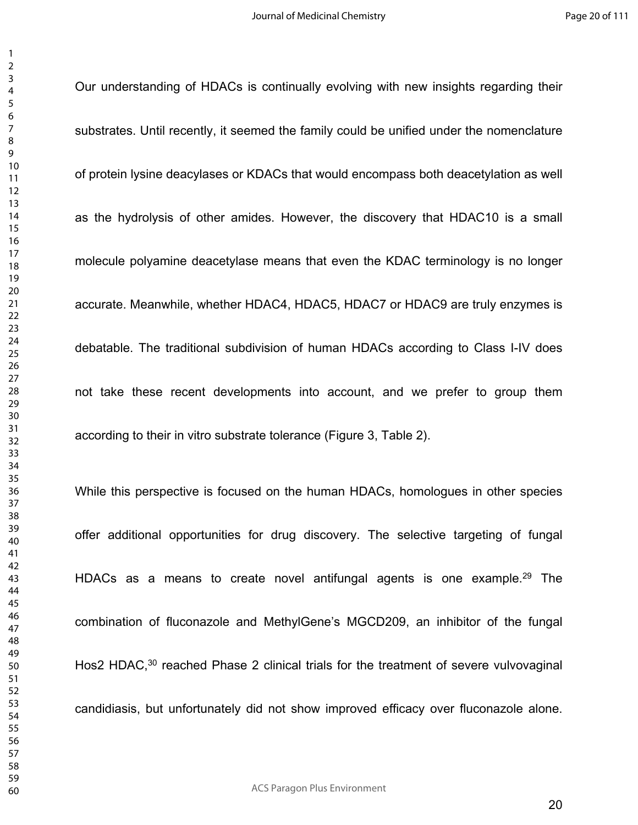Our understanding of HDACs is continually evolving with new insights regarding their

substrates. Until recently, it seemed the family could be unified under the nomenclature of protein lysine deacylases or KDACs that would encompass both deacetylation as well as the hydrolysis of other amides. However, the discovery that HDAC10 is a small molecule polyamine deacetylase means that even the KDAC terminology is no longer accurate. Meanwhile, whether HDAC4, HDAC5, HDAC7 or HDAC9 are truly enzymes is debatable. The traditional subdivision of human HDACs according to Class I-IV does not take these recent developments into account, and we prefer to group them according to their in vitro substrate tolerance (Figure 3, Table 2).

While this perspective is focused on the human HDACs, homologues in other species offer additional opportunities for drug discovery. The selective targeting of fungal HDACs as a means to create novel antifungal agents is one example.<sup>29</sup> The combination of fluconazole and MethylGene's MGCD209, an inhibitor of the fungal Hos2 HDAC,<sup>30</sup> reached Phase 2 clinical trials for the treatment of severe vulvovaginal candidiasis, but unfortunately did not show improved efficacy over fluconazole alone.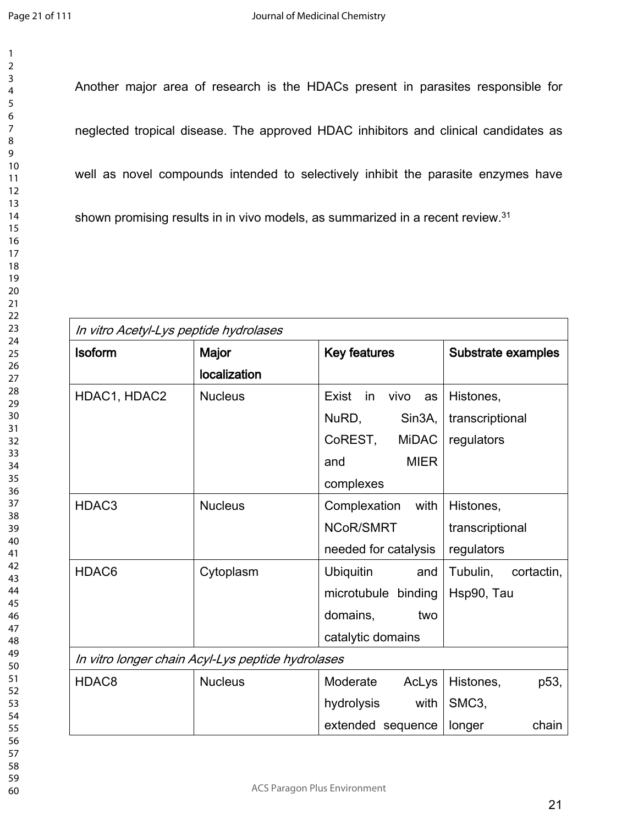Another major area of research is the HDACs present in parasites responsible for neglected tropical disease. The approved HDAC inhibitors and clinical candidates as well as novel compounds intended to selectively inhibit the parasite enzymes have shown promising results in in vivo models, as summarized in a recent review.<sup>31</sup>

| In vitro Acetyl-Lys peptide hydrolases            |                |                              |                                |  |
|---------------------------------------------------|----------------|------------------------------|--------------------------------|--|
| <b>Isoform</b>                                    | Major          | <b>Key features</b>          | Substrate examples             |  |
|                                                   | localization   |                              |                                |  |
| HDAC1, HDAC2                                      | <b>Nucleus</b> | Exist<br>in<br>vivo<br>as    | Histones,                      |  |
|                                                   |                | NuRD,<br>Sin <sub>3</sub> A, | transcriptional                |  |
|                                                   |                | CoREST,<br><b>MiDAC</b>      | regulators                     |  |
|                                                   |                | <b>MIER</b><br>and           |                                |  |
|                                                   |                | complexes                    |                                |  |
| HDAC <sub>3</sub>                                 | <b>Nucleus</b> | Complexation<br>with         | Histones,                      |  |
|                                                   |                | NCoR/SMRT                    | transcriptional                |  |
|                                                   |                | needed for catalysis         | regulators                     |  |
| HDAC6                                             | Cytoplasm      | <b>Ubiquitin</b><br>and      | Tubulin,<br>cortactin,         |  |
|                                                   |                | microtubule binding          | Hsp90, Tau                     |  |
|                                                   |                | domains,<br>two              |                                |  |
|                                                   |                | catalytic domains            |                                |  |
| In vitro longer chain Acyl-Lys peptide hydrolases |                |                              |                                |  |
| HDAC <sub>8</sub>                                 | <b>Nucleus</b> | Moderate<br>AcLys            | Histones,<br>p <sub>53</sub> , |  |
|                                                   |                | hydrolysis<br>with           | SMC <sub>3</sub>               |  |
|                                                   |                | extended sequence            | longer<br>chain                |  |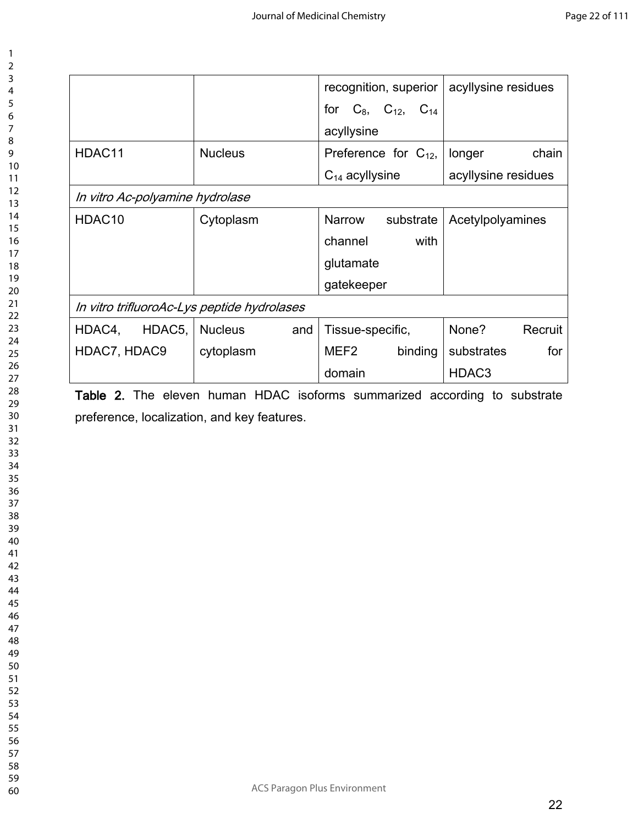|                                             |                                 | acyllysine residues   |  |  |  |  |
|---------------------------------------------|---------------------------------|-----------------------|--|--|--|--|
|                                             | for $C_8$ , $C_{12}$ , $C_{14}$ |                       |  |  |  |  |
|                                             | acyllysine                      |                       |  |  |  |  |
| <b>Nucleus</b>                              | Preference for $C_{12}$ ,       | chain<br>longer       |  |  |  |  |
|                                             | $C_{14}$ acyllysine             | acyllysine residues   |  |  |  |  |
| In vitro Ac-polyamine hydrolase             |                                 |                       |  |  |  |  |
| Cytoplasm                                   | Narrow<br>substrate             | Acetylpolyamines      |  |  |  |  |
|                                             | channel<br>with                 |                       |  |  |  |  |
|                                             | glutamate                       |                       |  |  |  |  |
|                                             | gatekeeper                      |                       |  |  |  |  |
| In vitro trifluoroAc-Lys peptide hydrolases |                                 |                       |  |  |  |  |
| <b>Nucleus</b><br>and                       | Tissue-specific,                | None?<br>Recruit      |  |  |  |  |
| cytoplasm                                   | MEF2<br>binding                 | for<br>substrates     |  |  |  |  |
|                                             | domain                          | HDAC <sub>3</sub>     |  |  |  |  |
|                                             |                                 | recognition, superior |  |  |  |  |

**Table 2.** The eleven human HDAC isoforms summarized according to substrate preference, localization, and key features.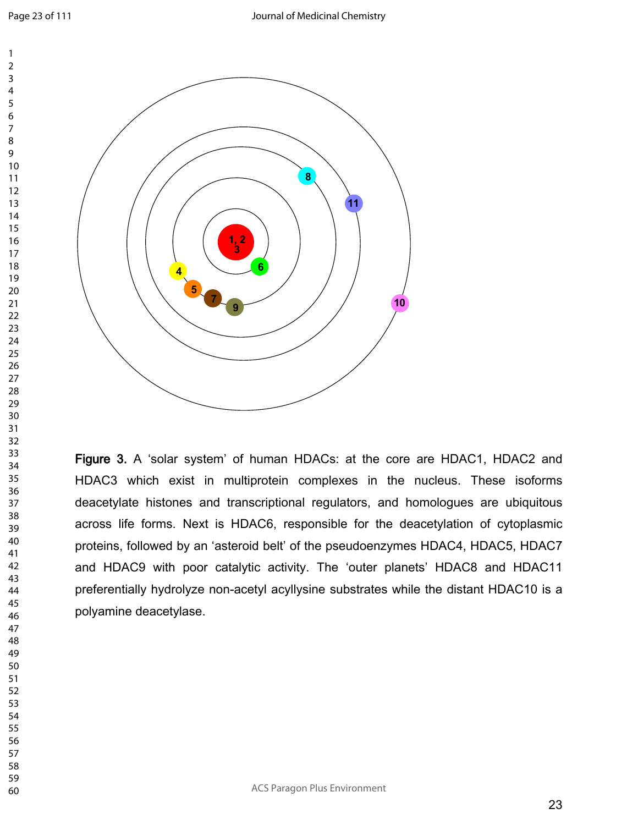

**Figure 3.** A 'solar system' of human HDACs: at the core are HDAC1, HDAC2 and HDAC3 which exist in multiprotein complexes in the nucleus. These isoforms deacetylate histones and transcriptional regulators, and homologues are ubiquitous across life forms. Next is HDAC6, responsible for the deacetylation of cytoplasmic proteins, followed by an 'asteroid belt' of the pseudoenzymes HDAC4, HDAC5, HDAC7 and HDAC9 with poor catalytic activity. The 'outer planets' HDAC8 and HDAC11 preferentially hydrolyze non-acetyl acyllysine substrates while the distant HDAC10 is a polyamine deacetylase.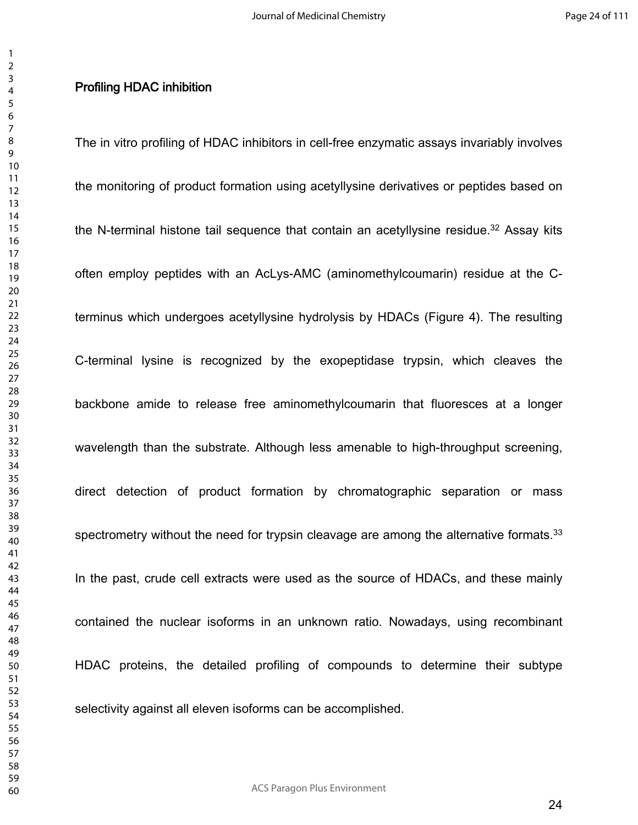#### **Profiling HDAC inhibition**

The in vitro profiling of HDAC inhibitors in cell-free enzymatic assays invariably involves the monitoring of product formation using acetyllysine derivatives or peptides based on the N-terminal histone tail sequence that contain an acetyllysine residue.<sup>32</sup> Assay kits often employ peptides with an AcLys-AMC (aminomethylcoumarin) residue at the Cterminus which undergoes acetyllysine hydrolysis by HDACs (Figure 4). The resulting C-terminal lysine is recognized by the exopeptidase trypsin, which cleaves the backbone amide to release free aminomethylcoumarin that fluoresces at a longer wavelength than the substrate. Although less amenable to high-throughput screening, direct detection of product formation by chromatographic separation or mass spectrometry without the need for trypsin cleavage are among the alternative formats.<sup>33</sup> In the past, crude cell extracts were used as the source of HDACs, and these mainly contained the nuclear isoforms in an unknown ratio. Nowadays, using recombinant HDAC proteins, the detailed profiling of compounds to determine their subtype selectivity against all eleven isoforms can be accomplished.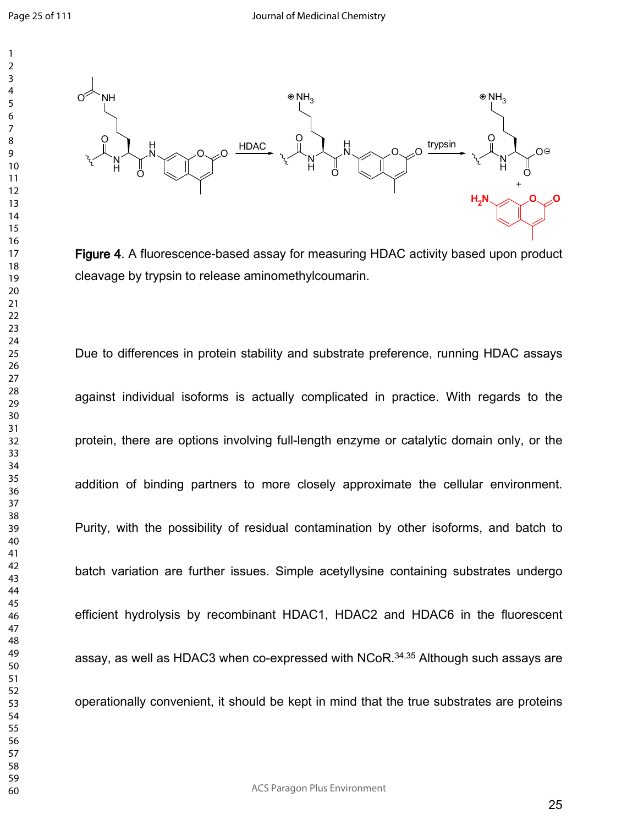

**Figure 4**. A fluorescence-based assay for measuring HDAC activity based upon product cleavage by trypsin to release aminomethylcoumarin.

Due to differences in protein stability and substrate preference, running HDAC assays against individual isoforms is actually complicated in practice. With regards to the protein, there are options involving full-length enzyme or catalytic domain only, or the addition of binding partners to more closely approximate the cellular environment. Purity, with the possibility of residual contamination by other isoforms, and batch to batch variation are further issues. Simple acetyllysine containing substrates undergo efficient hydrolysis by recombinant HDAC1, HDAC2 and HDAC6 in the fluorescent assay, as well as HDAC3 when co-expressed with NCoR.34,35 Although such assays are operationally convenient, it should be kept in mind that the true substrates are proteins

ACS Paragon Plus Environment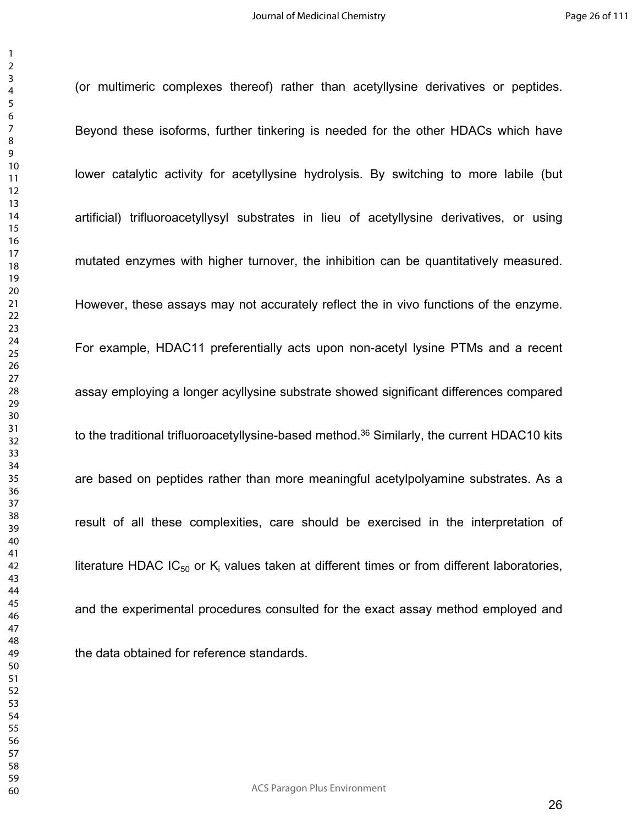(or multimeric complexes thereof) rather than acetyllysine derivatives or peptides.

Beyond these isoforms, further tinkering is needed for the other HDACs which have lower catalytic activity for acetyllysine hydrolysis. By switching to more labile (but artificial) trifluoroacetyllysyl substrates in lieu of acetyllysine derivatives, or using mutated enzymes with higher turnover, the inhibition can be quantitatively measured. However, these assays may not accurately reflect the in vivo functions of the enzyme. For example, HDAC11 preferentially acts upon non-acetyl lysine PTMs and a recent assay employing a longer acyllysine substrate showed significant differences compared to the traditional trifluoroacetyllysine-based method.<sup>36</sup> Similarly, the current HDAC10 kits are based on peptides rather than more meaningful acetylpolyamine substrates. As a result of all these complexities, care should be exercised in the interpretation of literature HDAC IC<sub>50</sub> or K<sub>i</sub> values taken at different times or from different laboratories, and the experimental procedures consulted for the exact assay method employed and the data obtained for reference standards.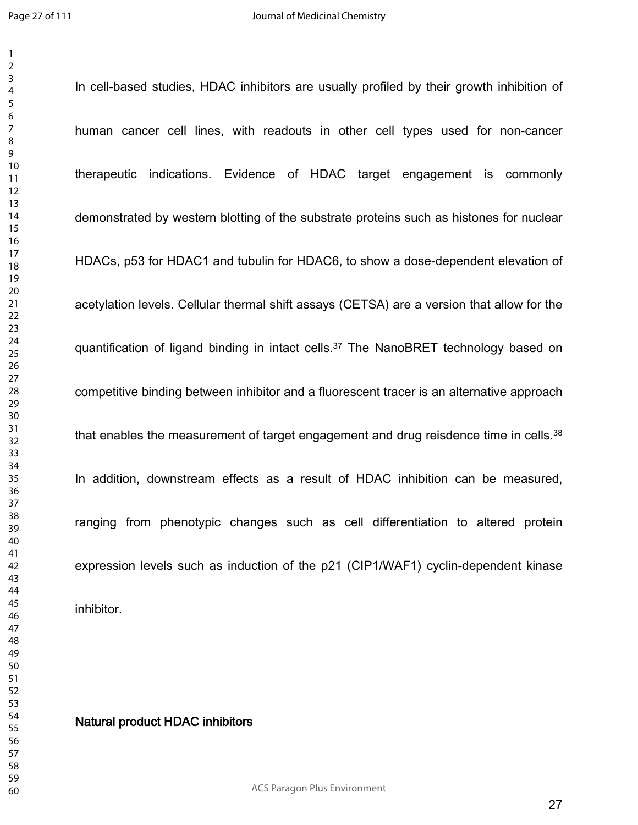In cell-based studies, HDAC inhibitors are usually profiled by their growth inhibition of

human cancer cell lines, with readouts in other cell types used for non-cancer therapeutic indications. Evidence of HDAC target engagement is commonly demonstrated by western blotting of the substrate proteins such as histones for nuclear HDACs, p53 for HDAC1 and tubulin for HDAC6, to show a dose-dependent elevation of acetylation levels. Cellular thermal shift assays (CETSA) are a version that allow for the quantification of ligand binding in intact cells.<sup>37</sup> The NanoBRET technology based on competitive binding between inhibitor and a fluorescent tracer is an alternative approach that enables the measurement of target engagement and drug reisdence time in cells.<sup>38</sup> In addition, downstream effects as a result of HDAC inhibition can be measured, ranging from phenotypic changes such as cell differentiation to altered protein expression levels such as induction of the p21 (CIP1/WAF1) cyclin-dependent kinase inhibitor.

#### **Natural product HDAC inhibitors**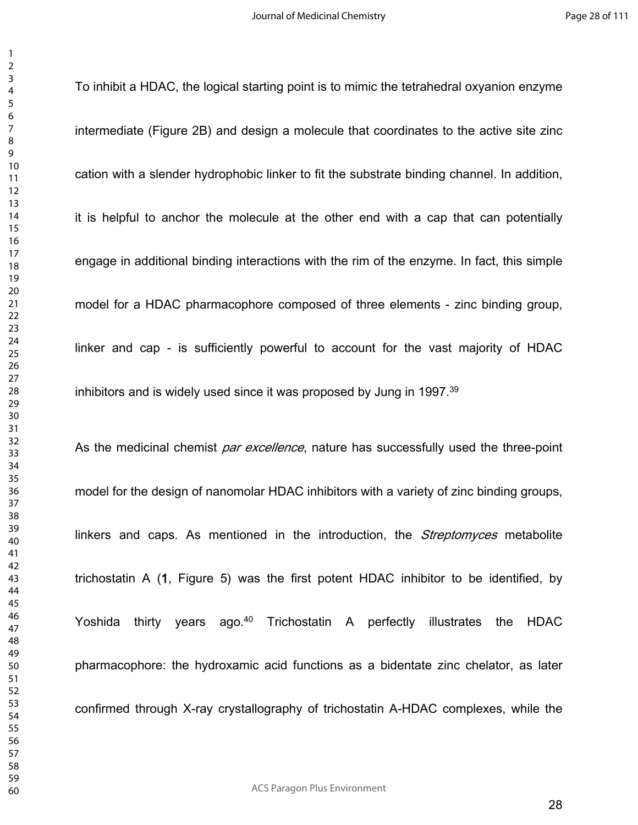To inhibit a HDAC, the logical starting point is to mimic the tetrahedral oxyanion enzyme intermediate (Figure 2B) and design a molecule that coordinates to the active site zinc cation with a slender hydrophobic linker to fit the substrate binding channel. In addition, it is helpful to anchor the molecule at the other end with a cap that can potentially engage in additional binding interactions with the rim of the enzyme. In fact, this simple model for a HDAC pharmacophore composed of three elements - zinc binding group, linker and cap - is sufficiently powerful to account for the vast majority of HDAC inhibitors and is widely used since it was proposed by Jung in 1997.<sup>39</sup>

As the medicinal chemist *par excellence*, nature has successfully used the three-point model for the design of nanomolar HDAC inhibitors with a variety of zinc binding groups, linkers and caps. As mentioned in the introduction, the *Streptomyces* metabolite trichostatin A (**1**, Figure 5) was the first potent HDAC inhibitor to be identified, by Yoshida thirty years ago.<sup>40</sup> Trichostatin A perfectly illustrates the HDAC pharmacophore: the hydroxamic acid functions as a bidentate zinc chelator, as later confirmed through X-ray crystallography of trichostatin A-HDAC complexes, while the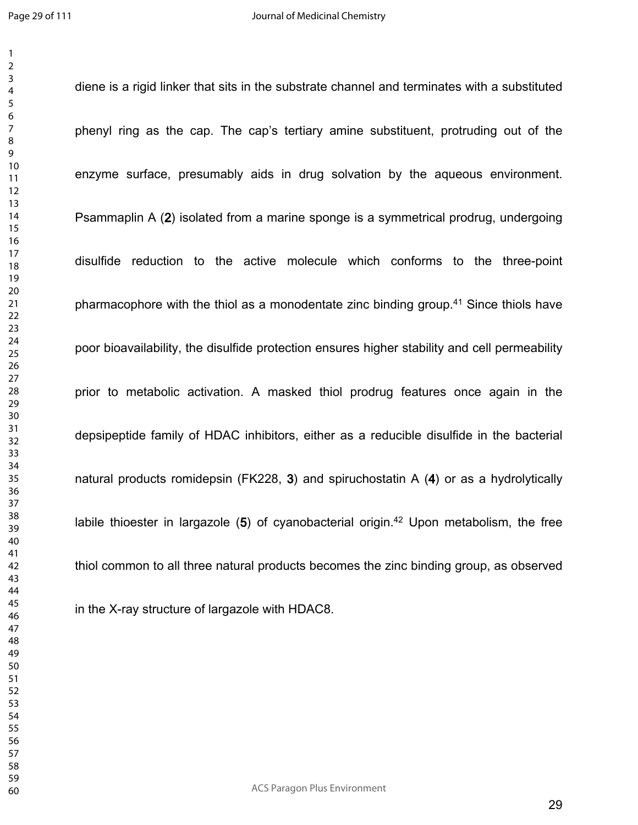diene is a rigid linker that sits in the substrate channel and terminates with a substituted phenyl ring as the cap. The cap's tertiary amine substituent, protruding out of the enzyme surface, presumably aids in drug solvation by the aqueous environment. Psammaplin A (**2**) isolated from a marine sponge is a symmetrical prodrug, undergoing disulfide reduction to the active molecule which conforms to the three-point pharmacophore with the thiol as a monodentate zinc binding group.<sup>41</sup> Since thiols have poor bioavailability, the disulfide protection ensures higher stability and cell permeability prior to metabolic activation. A masked thiol prodrug features once again in the depsipeptide family of HDAC inhibitors, either as a reducible disulfide in the bacterial natural products romidepsin (FK228, **3**) and spiruchostatin A (**4**) or as a hydrolytically labile thioester in largazole (**5**) of cyanobacterial origin.<sup>42</sup> Upon metabolism, the free thiol common to all three natural products becomes the zinc binding group, as observed in the X-ray structure of largazole with HDAC8.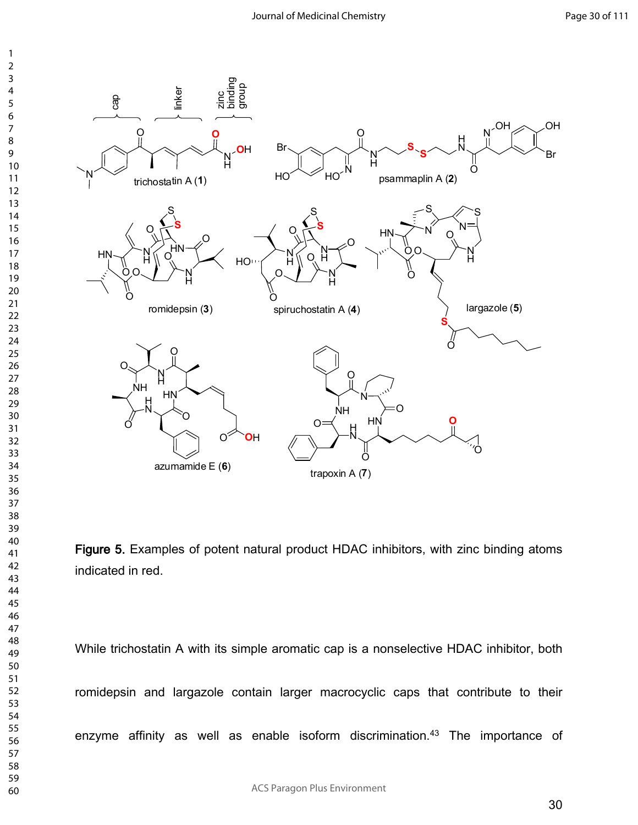

**Figure 5.** Examples of potent natural product HDAC inhibitors, with zinc binding atoms indicated in red.

While trichostatin A with its simple aromatic cap is a nonselective HDAC inhibitor, both romidepsin and largazole contain larger macrocyclic caps that contribute to their enzyme affinity as well as enable isoform discrimination.<sup>43</sup> The importance of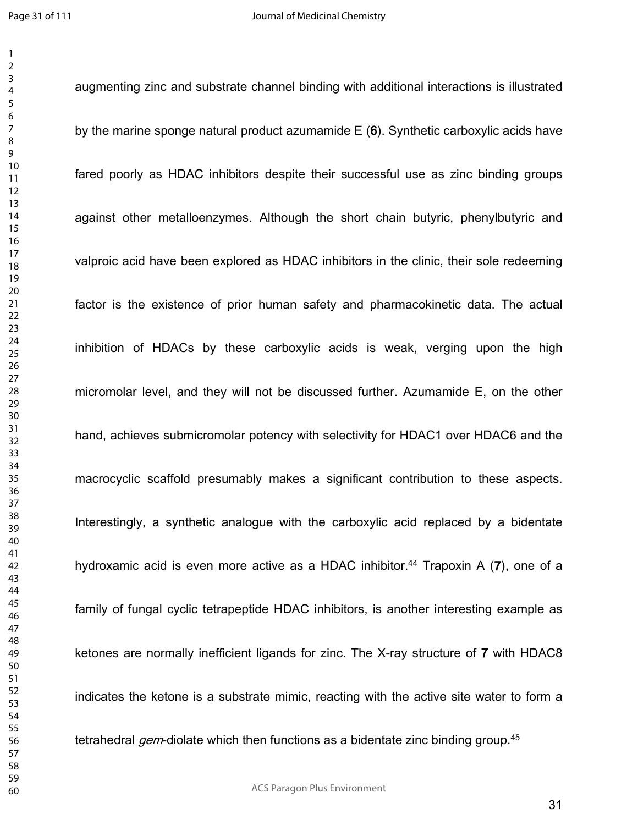augmenting zinc and substrate channel binding with additional interactions is illustrated

by the marine sponge natural product azumamide E (**6**). Synthetic carboxylic acids have fared poorly as HDAC inhibitors despite their successful use as zinc binding groups against other metalloenzymes. Although the short chain butyric, phenylbutyric and valproic acid have been explored as HDAC inhibitors in the clinic, their sole redeeming factor is the existence of prior human safety and pharmacokinetic data. The actual inhibition of HDACs by these carboxylic acids is weak, verging upon the high micromolar level, and they will not be discussed further. Azumamide E, on the other hand, achieves submicromolar potency with selectivity for HDAC1 over HDAC6 and the macrocyclic scaffold presumably makes a significant contribution to these aspects. Interestingly, a synthetic analogue with the carboxylic acid replaced by a bidentate hydroxamic acid is even more active as a HDAC inhibitor.<sup>44</sup> Trapoxin A (7), one of a family of fungal cyclic tetrapeptide HDAC inhibitors, is another interesting example as ketones are normally inefficient ligands for zinc. The X-ray structure of **7** with HDAC8 indicates the ketone is a substrate mimic, reacting with the active site water to form a tetrahedral *gem*-diolate which then functions as a bidentate zinc binding group.<sup>45</sup>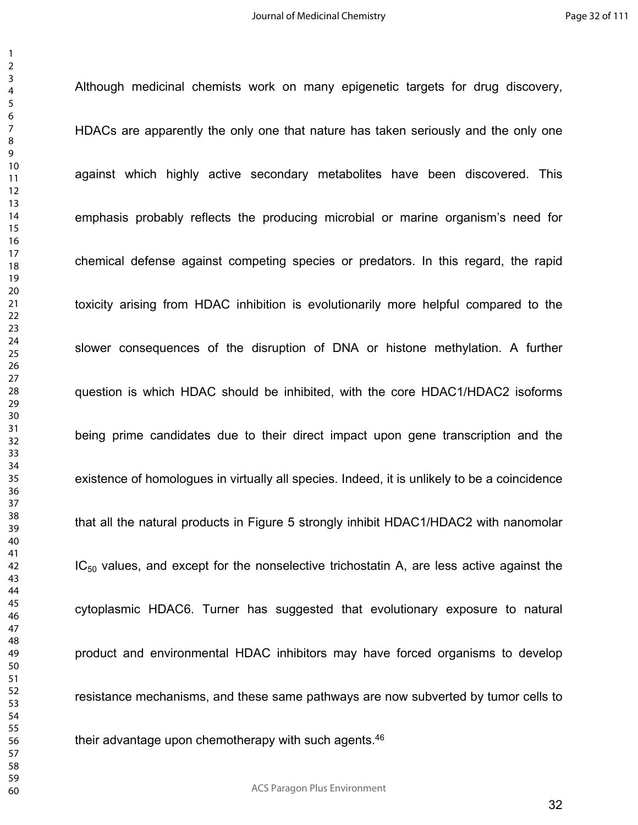Although medicinal chemists work on many epigenetic targets for drug discovery,

HDACs are apparently the only one that nature has taken seriously and the only one against which highly active secondary metabolites have been discovered. This emphasis probably reflects the producing microbial or marine organism's need for chemical defense against competing species or predators. In this regard, the rapid toxicity arising from HDAC inhibition is evolutionarily more helpful compared to the slower consequences of the disruption of DNA or histone methylation. A further question is which HDAC should be inhibited, with the core HDAC1/HDAC2 isoforms being prime candidates due to their direct impact upon gene transcription and the existence of homologues in virtually all species. Indeed, it is unlikely to be a coincidence that all the natural products in Figure 5 strongly inhibit HDAC1/HDAC2 with nanomolar  $IC_{50}$  values, and except for the nonselective trichostatin A, are less active against the cytoplasmic HDAC6. Turner has suggested that evolutionary exposure to natural product and environmental HDAC inhibitors may have forced organisms to develop resistance mechanisms, and these same pathways are now subverted by tumor cells to their advantage upon chemotherapy with such agents.<sup>46</sup>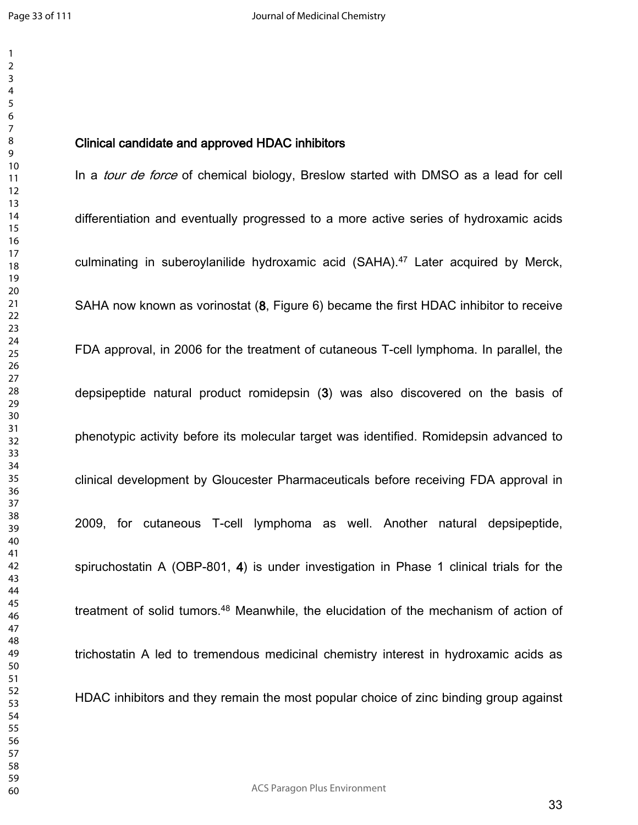## **Clinical candidate and approved HDAC inhibitors**

In a *tour de force* of chemical biology, Breslow started with DMSO as a lead for cell differentiation and eventually progressed to a more active series of hydroxamic acids culminating in suberoylanilide hydroxamic acid (SAHA).<sup>47</sup> Later acquired by Merck, SAHA now known as vorinostat (**8**, Figure 6) became the first HDAC inhibitor to receive FDA approval, in 2006 for the treatment of cutaneous T-cell lymphoma. In parallel, the depsipeptide natural product romidepsin (**3**) was also discovered on the basis of phenotypic activity before its molecular target was identified. Romidepsin advanced to clinical development by Gloucester Pharmaceuticals before receiving FDA approval in 2009, for cutaneous T-cell lymphoma as well. Another natural depsipeptide, spiruchostatin A (OBP-801, **4**) is under investigation in Phase 1 clinical trials for the treatment of solid tumors.<sup>48</sup> Meanwhile, the elucidation of the mechanism of action of trichostatin A led to tremendous medicinal chemistry interest in hydroxamic acids as HDAC inhibitors and they remain the most popular choice of zinc binding group against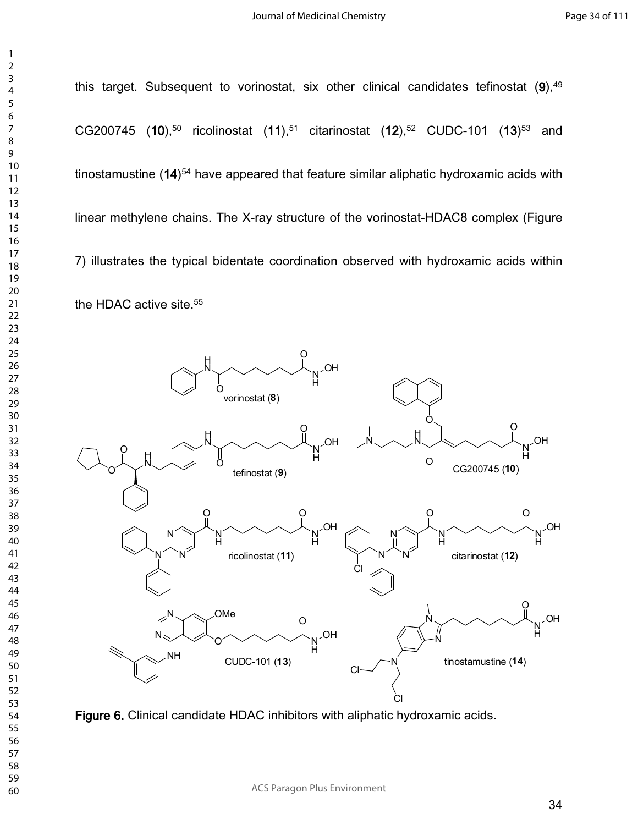this target. Subsequent to vorinostat, six other clinical candidates tefinostat (9),<sup>49</sup> CG200745 (**10**),<sup>50</sup> ricolinostat (**11**),<sup>51</sup> citarinostat (**12**),<sup>52</sup> CUDC-101 (**13**) <sup>53</sup> and tinostamustine (**14**) <sup>54</sup> have appeared that feature similar aliphatic hydroxamic acids with linear methylene chains. The X-ray structure of the vorinostat-HDAC8 complex (Figure 7) illustrates the typical bidentate coordination observed with hydroxamic acids within the HDAC active site.<sup>55</sup>



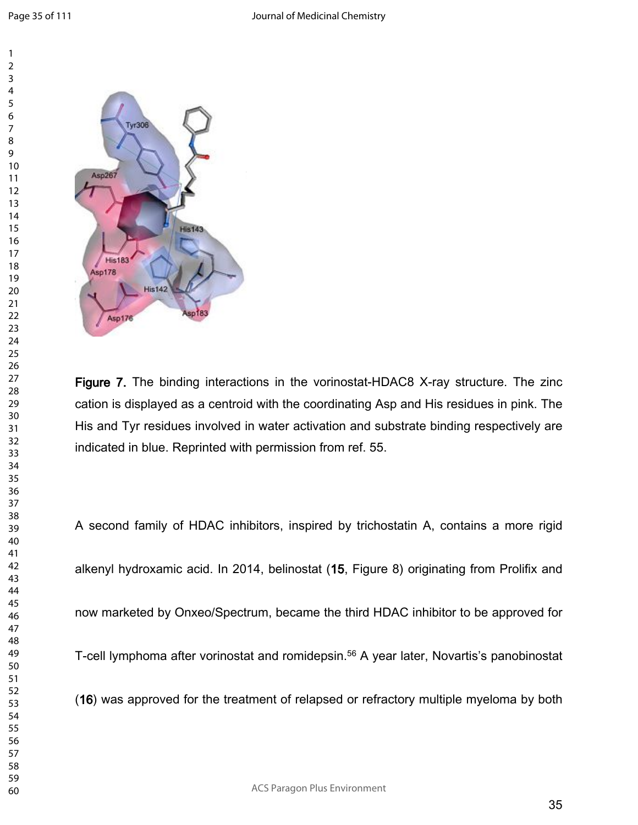Page 35 of 111



**Figure 7.** The binding interactions in the vorinostat-HDAC8 X-ray structure. The zinc cation is displayed as a centroid with the coordinating Asp and His residues in pink. The His and Tyr residues involved in water activation and substrate binding respectively are indicated in blue. Reprinted with permission from ref. 55.

A second family of HDAC inhibitors, inspired by trichostatin A, contains a more rigid alkenyl hydroxamic acid. In 2014, belinostat (**15**, Figure 8) originating from Prolifix and now marketed by Onxeo/Spectrum, became the third HDAC inhibitor to be approved for T-cell lymphoma after vorinostat and romidepsin.<sup>56</sup> A year later, Novartis's panobinostat (**16**) was approved for the treatment of relapsed or refractory multiple myeloma by both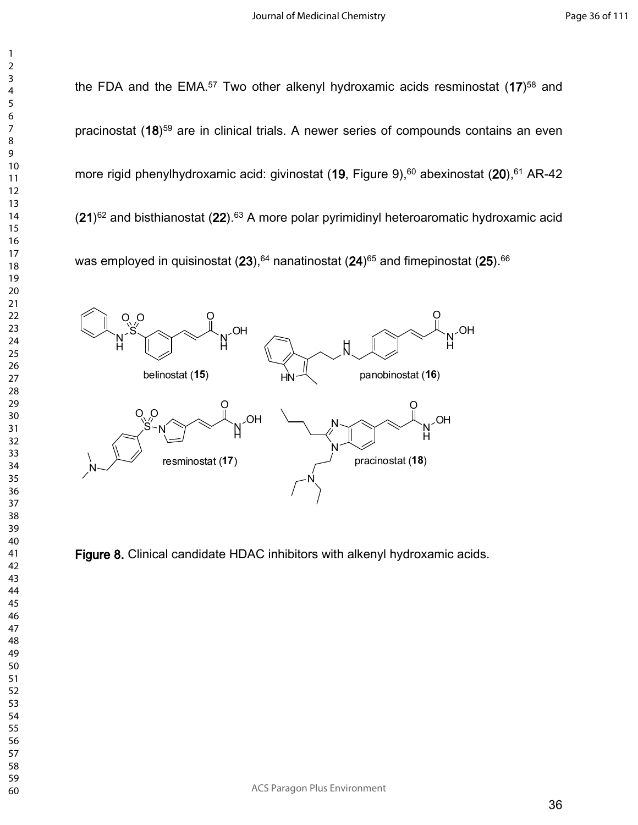the FDA and the EMA.<sup>57</sup> Two other alkenyl hydroxamic acids resminostat (**17**) <sup>58</sup> and N´ H OH  $\ddot{\mathrm{O}}$ belinostat (**15**)  $N_{\rm c}$   $S_{\rm c}$ H  $O_2$  O N´ H OH  $\overline{Q}$  $S - N$  $Q_{\rm q}$   $Q_{\rm q}$  $N$ resminostat (**17**) 

 

- 
- 
- 
- 
- 

ACS Paragon Plus Environment

pracinostat (**18**) <sup>59</sup> are in clinical trials. A newer series of compounds contains an even more rigid phenylhydroxamic acid: givinostat (19, Figure 9),<sup>60</sup> abexinostat (20),<sup>61</sup> AR-42 (**21**) <sup>62</sup> and bisthianostat (**22**).<sup>63</sup> A more polar pyrimidinyl heteroaromatic hydroxamic acid was employed in quisinostat (**23**),<sup>64</sup> nanatinostat (**24**)<sup>65</sup> and fimepinostat (**25**).<sup>66</sup>



**Figure 8.** Clinical candidate HDAC inhibitors with alkenyl hydroxamic acids.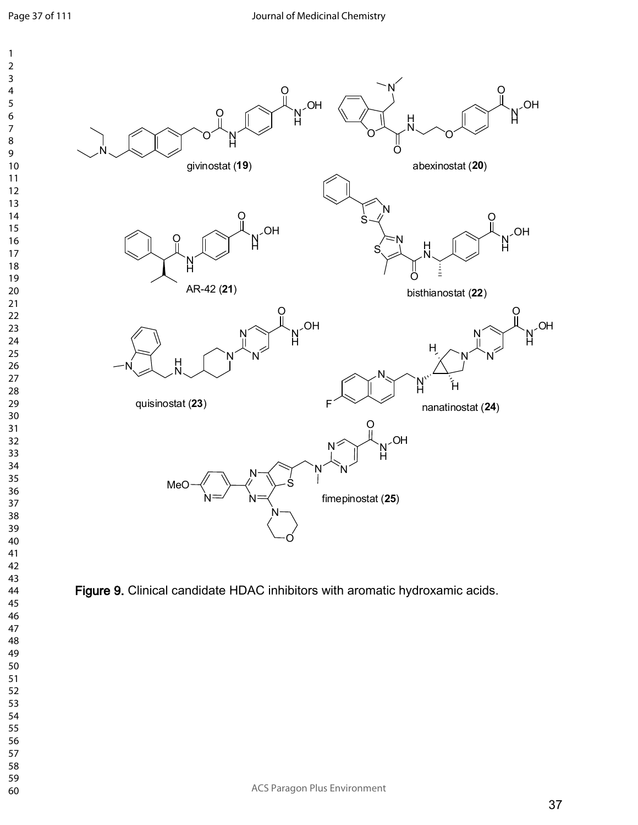

**Figure 9.** Clinical candidate HDAC inhibitors with aromatic hydroxamic acids.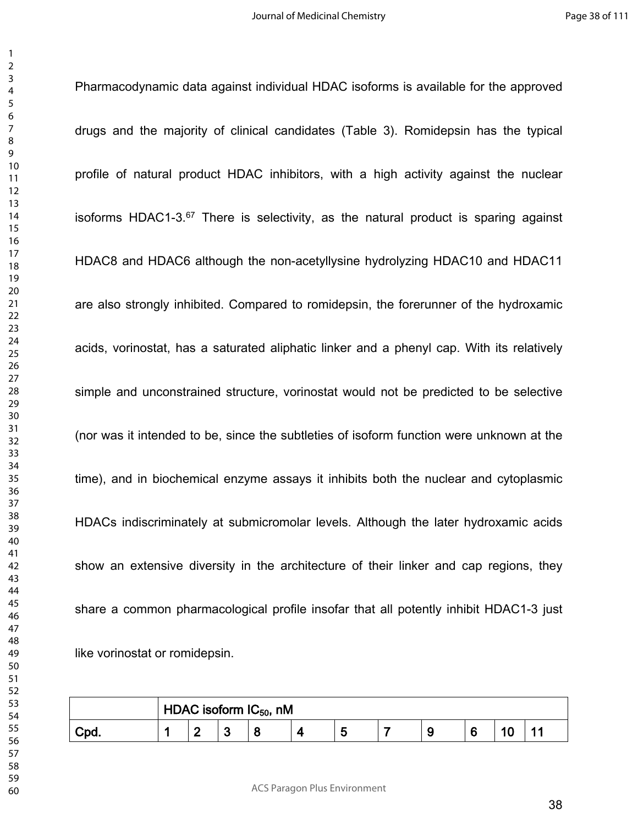Pharmacodynamic data against individual HDAC isoforms is available for the approved

drugs and the majority of clinical candidates (Table 3). Romidepsin has the typical profile of natural product HDAC inhibitors, with a high activity against the nuclear isoforms HDAC1-3. There is selectivity, as the natural product is sparing against HDAC8 and HDAC6 although the non-acetyllysine hydrolyzing HDAC10 and HDAC11 are also strongly inhibited. Compared to romidepsin, the forerunner of the hydroxamic acids, vorinostat, has a saturated aliphatic linker and a phenyl cap. With its relatively simple and unconstrained structure, vorinostat would not be predicted to be selective (nor was it intended to be, since the subtleties of isoform function were unknown at the time), and in biochemical enzyme assays it inhibits both the nuclear and cytoplasmic HDACs indiscriminately at submicromolar levels. Although the later hydroxamic acids show an extensive diversity in the architecture of their linker and cap regions, they share a common pharmacological profile insofar that all potently inhibit HDAC1-3 just like vorinostat or romidepsin.

|  | $\mid$ HDAC isoform IC $_{50}$ , nM |  |  |  |  |  |  |  |  |  |
|--|-------------------------------------|--|--|--|--|--|--|--|--|--|
|  | c                                   |  |  |  |  |  |  |  |  |  |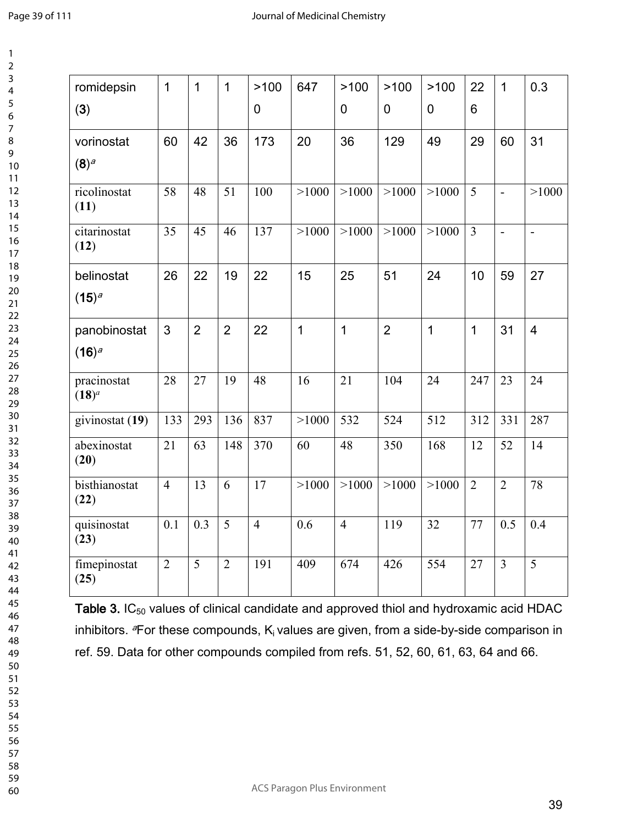| romidepsin                | $\mathbf{1}$   | $\mathbf 1$    | $\mathbf{1}$   | >100           | 647   | >100           | >100           | >100           | 22             | $\mathbf 1$    |
|---------------------------|----------------|----------------|----------------|----------------|-------|----------------|----------------|----------------|----------------|----------------|
| (3)                       |                |                |                | 0              |       | 0              | 0              | $\overline{0}$ | 6              |                |
| vorinostat                | 60             | 42             | 36             | 173            | 20    | 36             | 129            | 49             | 29             | 60             |
| (8) <sup>a</sup>          |                |                |                |                |       |                |                |                |                |                |
| ricolinostat<br>(11)      | 58             | 48             | 51             | 100            | >1000 | >1000          | >1000          | >1000          | $\overline{5}$ | $\blacksquare$ |
| citarinostat<br>(12)      | 35             | 45             | 46             | 137            | >1000 | >1000          | >1000          | >1000          | $\overline{3}$ | $\blacksquare$ |
| belinostat                | 26             | 22             | 19             | 22             | 15    | 25             | 51             | 24             | 10             | 59             |
| $(15)^{a}$                |                |                |                |                |       |                |                |                |                |                |
| panobinostat              | 3              | $\overline{2}$ | $\overline{2}$ | 22             | 1     | $\mathbf 1$    | $\overline{2}$ | $\mathbf{1}$   | $\mathbf 1$    | 31             |
| $(16)^a$                  |                |                |                |                |       |                |                |                |                |                |
| pracinostat<br>$(18)^{a}$ | 28             | 27             | 19             | 48             | 16    | 21             | 104            | 24             | 247            | 23             |
| givinostat (19)           | 133            | 293            | 136            | 837            | >1000 | 532            | 524            | 512            | 312            | 331            |
| abexinostat<br>(20)       | 21             | 63             | 148            | 370            | 60    | 48             | 350            | 168            | 12             | 52             |
| bisthianostat<br>(22)     | $\overline{4}$ | 13             | 6              | 17             | >1000 | >1000          | >1000          | >1000          | $\overline{2}$ | $\overline{2}$ |
| quisinostat<br>(23)       | 0.1            | 0.3            | 5              | $\overline{4}$ | 0.6   | $\overline{4}$ | 119            | 32             | 77             | 0.5            |
| fimepinostat              | $\overline{2}$ | 5              | $\overline{2}$ | 191            | 409   | 674            | 426            | 554            | 27             | $\overline{3}$ |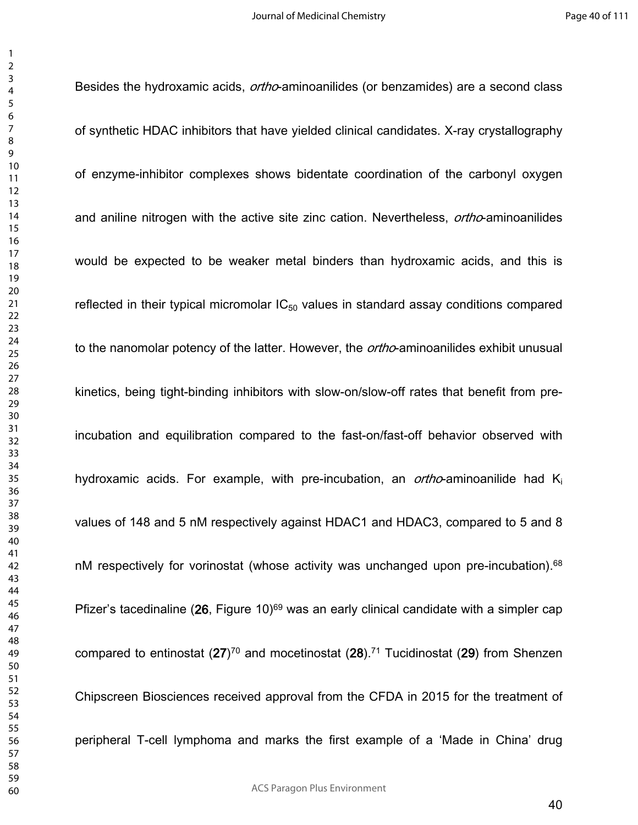Besides the hydroxamic acids, *ortho*-aminoanilides (or benzamides) are a second class of synthetic HDAC inhibitors that have yielded clinical candidates. X-ray crystallography of enzyme-inhibitor complexes shows bidentate coordination of the carbonyl oxygen and aniline nitrogen with the active site zinc cation. Nevertheless, *ortho*-aminoanilides would be expected to be weaker metal binders than hydroxamic acids, and this is reflected in their typical micromolar  $IC_{50}$  values in standard assay conditions compared to the nanomolar potency of the latter. However, the *ortho*-aminoanilides exhibit unusual kinetics, being tight-binding inhibitors with slow-on/slow-off rates that benefit from preincubation and equilibration compared to the fast-on/fast-off behavior observed with hydroxamic acids. For example, with pre-incubation, an *ortho*-aminoanilide had K<sup>i</sup> values of 148 and 5 nM respectively against HDAC1 and HDAC3, compared to 5 and 8 nM respectively for vorinostat (whose activity was unchanged upon pre-incubation).<sup>68</sup> Pfizer's tacedinaline (26, Figure 10)<sup>69</sup> was an early clinical candidate with a simpler cap compared to entinostat (**27**) <sup>70</sup> and mocetinostat (**28**).<sup>71</sup> Tucidinostat (**29**) from Shenzen Chipscreen Biosciences received approval from the CFDA in 2015 for the treatment of peripheral T-cell lymphoma and marks the first example of a 'Made in China' drug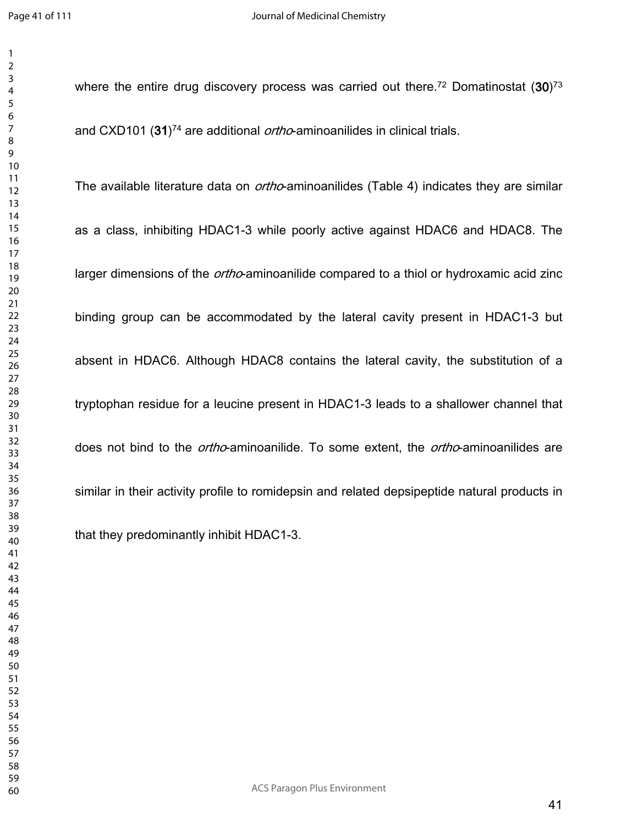where the entire drug discovery process was carried out there.<sup>72</sup> Domatinostat (30)<sup>73</sup> and CXD101 (**31**) <sup>74</sup> are additional *ortho*-aminoanilides in clinical trials.

The available literature data on *ortho*-aminoanilides (Table 4) indicates they are similar as a class, inhibiting HDAC1-3 while poorly active against HDAC6 and HDAC8. The larger dimensions of the *ortho*-aminoanilide compared to a thiol or hydroxamic acid zinc binding group can be accommodated by the lateral cavity present in HDAC1-3 but absent in HDAC6. Although HDAC8 contains the lateral cavity, the substitution of a tryptophan residue for a leucine present in HDAC1-3 leads to a shallower channel that does not bind to the *ortho*-aminoanilide. To some extent, the *ortho*-aminoanilides are similar in their activity profile to romidepsin and related depsipeptide natural products in that they predominantly inhibit HDAC1-3.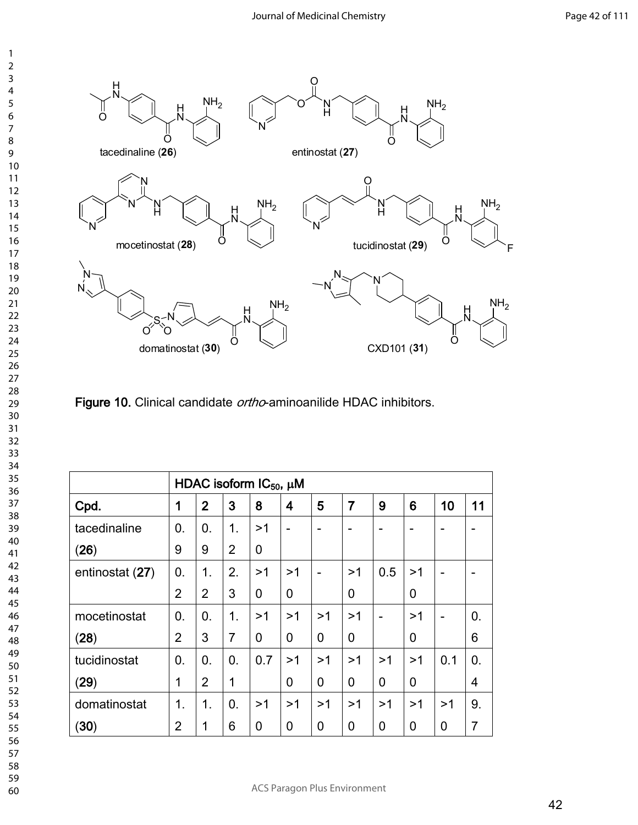

**Figure 10.** Clinical candidate *ortho*-aminoanilide HDAC inhibitors.

|                 |                | HDAC isoform $IC_{50}$ , $\mu$ M |                |             |                |                |    |     |    |     |    |
|-----------------|----------------|----------------------------------|----------------|-------------|----------------|----------------|----|-----|----|-----|----|
| Cpd.            | 1              | $\overline{2}$                   | 3              | 8           | 4              | 5              | 7  | 9   | 6  | 10  | 11 |
| tacedinaline    | $\mathbf{0}$ . | 0.                               | $\mathbf 1$ .  | >1          | $\blacksquare$ | -              |    |     |    |     |    |
| (26)            | 9              | 9                                | $\overline{2}$ | 0           |                |                |    |     |    |     |    |
| entinostat (27) | 0.             | 1.                               | 2.             | >1          | >1             | $\overline{a}$ | >1 | 0.5 | >1 |     |    |
|                 | $\overline{2}$ | $\overline{2}$                   | 3              | $\mathbf 0$ | 0              |                | 0  |     | 0  |     |    |
| mocetinostat    | $\mathbf{0}$ . | 0.                               | $\mathbf 1$ .  | >1          | >1             | >1             | >1 | ۳   | >1 |     | 0. |
| (28)            | $\overline{2}$ | 3                                | $\overline{7}$ | $\mathbf 0$ | 0              | 0              | 0  |     | 0  |     | 6  |
| tucidinostat    | 0.             | 0.                               | 0.             | 0.7         | >1             | >1             | >1 | >1  | >1 | 0.1 | 0. |
| (29)            | 1              | $\overline{2}$                   | 1              |             | 0              | 0              | 0  | 0   | 0  |     | 4  |
| domatinostat    | 1.             | 1 <sub>1</sub>                   | 0.             | >1          | >1             | >1             | >1 | >1  | >1 | >1  | 9. |
| (30)            | $\overline{2}$ | 1                                | 6              | $\mathbf 0$ | 0              | 0              | 0  | 0   | 0  | 0   | 7  |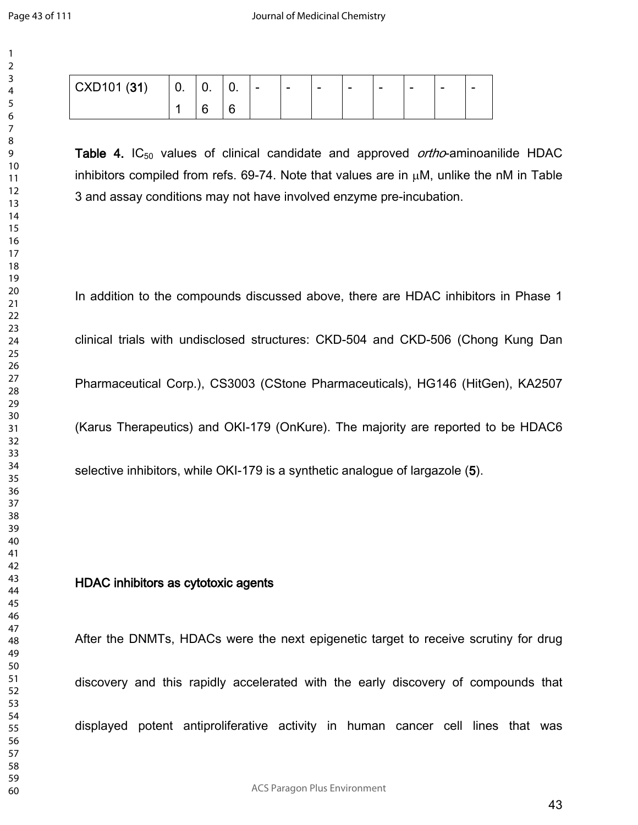| CXD101 (31) | U. | U. | v.     | $\overline{\phantom{0}}$ | $\overline{\phantom{a}}$ | $\overline{\phantom{0}}$ | $\overline{\phantom{0}}$ | $\sim$ | $\,$ | $\sim$ | $\overline{\phantom{a}}$ |
|-------------|----|----|--------|--------------------------|--------------------------|--------------------------|--------------------------|--------|------|--------|--------------------------|
|             |    |    | ∽<br>◡ |                          |                          |                          |                          |        |      |        |                          |

**Table 4.** IC<sub>50</sub> values of clinical candidate and approved *ortho*-aminoanilide HDAC inhibitors compiled from refs. 69-74. Note that values are in  $\mu$ M, unlike the nM in Table 3 and assay conditions may not have involved enzyme pre-incubation.

In addition to the compounds discussed above, there are HDAC inhibitors in Phase 1 clinical trials with undisclosed structures: CKD-504 and CKD-506 (Chong Kung Dan Pharmaceutical Corp.), CS3003 (CStone Pharmaceuticals), HG146 (HitGen), KA2507 (Karus Therapeutics) and OKI-179 (OnKure). The majority are reported to be HDAC6 selective inhibitors, while OKI-179 is a synthetic analogue of largazole (**5**).

## **HDAC inhibitors as cytotoxic agents**

After the DNMTs, HDACs were the next epigenetic target to receive scrutiny for drug discovery and this rapidly accelerated with the early discovery of compounds that displayed potent antiproliferative activity in human cancer cell lines that was

ACS Paragon Plus Environment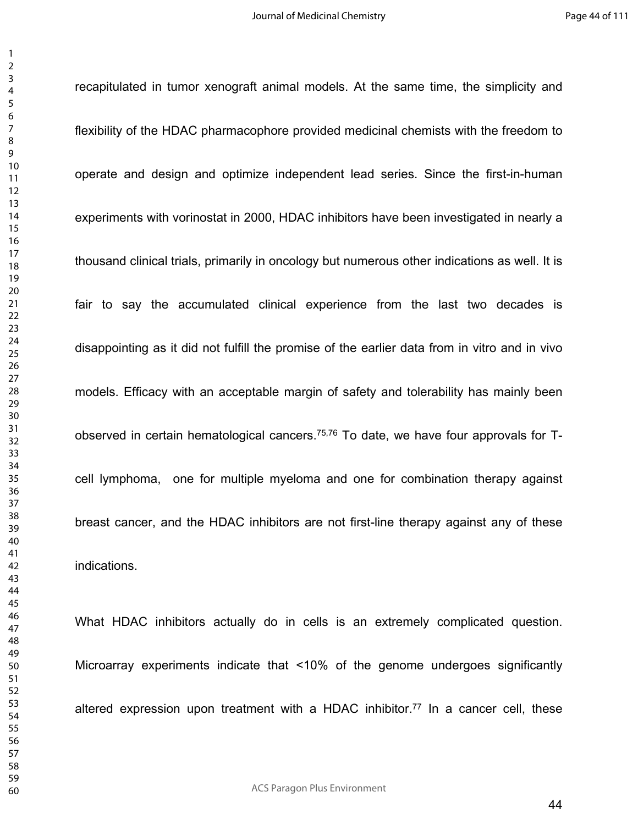recapitulated in tumor xenograft animal models. At the same time, the simplicity and

flexibility of the HDAC pharmacophore provided medicinal chemists with the freedom to operate and design and optimize independent lead series. Since the first-in-human experiments with vorinostat in 2000, HDAC inhibitors have been investigated in nearly a thousand clinical trials, primarily in oncology but numerous other indications as well. It is fair to say the accumulated clinical experience from the last two decades is disappointing as it did not fulfill the promise of the earlier data from in vitro and in vivo models. Efficacy with an acceptable margin of safety and tolerability has mainly been observed in certain hematological cancers.75,76 To date, we have four approvals for Tcell lymphoma, one for multiple myeloma and one for combination therapy against breast cancer, and the HDAC inhibitors are not first-line therapy against any of these indications.

What HDAC inhibitors actually do in cells is an extremely complicated question. Microarray experiments indicate that <10% of the genome undergoes significantly altered expression upon treatment with a HDAC inhibitor.<sup>77</sup> In a cancer cell, these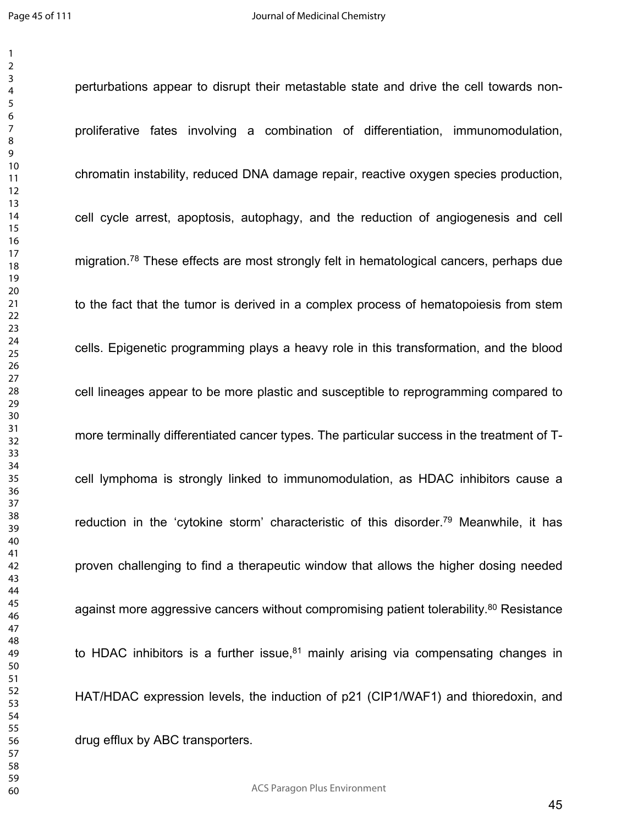perturbations appear to disrupt their metastable state and drive the cell towards nonproliferative fates involving a combination of differentiation, immunomodulation, chromatin instability, reduced DNA damage repair, reactive oxygen species production, cell cycle arrest, apoptosis, autophagy, and the reduction of angiogenesis and cell migration.<sup>78</sup> These effects are most strongly felt in hematological cancers, perhaps due to the fact that the tumor is derived in a complex process of hematopoiesis from stem cells. Epigenetic programming plays a heavy role in this transformation, and the blood cell lineages appear to be more plastic and susceptible to reprogramming compared to more terminally differentiated cancer types. The particular success in the treatment of Tcell lymphoma is strongly linked to immunomodulation, as HDAC inhibitors cause a reduction in the 'cytokine storm' characteristic of this disorder.<sup>79</sup> Meanwhile, it has proven challenging to find a therapeutic window that allows the higher dosing needed against more aggressive cancers without compromising patient tolerability.<sup>80</sup> Resistance to HDAC inhibitors is a further issue, mainly arising via compensating changes in HAT/HDAC expression levels, the induction of p21 (CIP1/WAF1) and thioredoxin, and drug efflux by ABC transporters.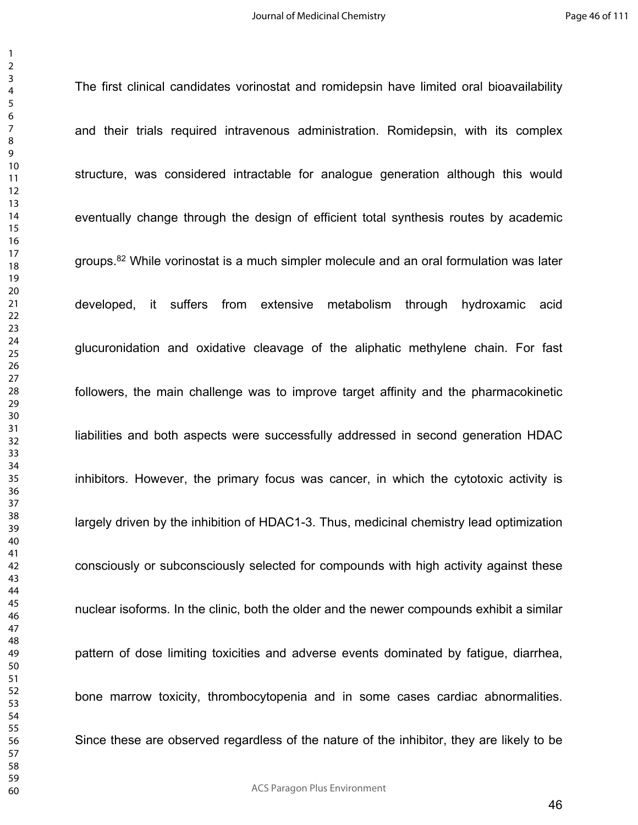The first clinical candidates vorinostat and romidepsin have limited oral bioavailability and their trials required intravenous administration. Romidepsin, with its complex structure, was considered intractable for analogue generation although this would eventually change through the design of efficient total synthesis routes by academic groups.<sup>82</sup> While vorinostat is a much simpler molecule and an oral formulation was later developed, it suffers from extensive metabolism through hydroxamic acid glucuronidation and oxidative cleavage of the aliphatic methylene chain. For fast followers, the main challenge was to improve target affinity and the pharmacokinetic liabilities and both aspects were successfully addressed in second generation HDAC inhibitors. However, the primary focus was cancer, in which the cytotoxic activity is largely driven by the inhibition of HDAC1-3. Thus, medicinal chemistry lead optimization consciously or subconsciously selected for compounds with high activity against these nuclear isoforms. In the clinic, both the older and the newer compounds exhibit a similar pattern of dose limiting toxicities and adverse events dominated by fatigue, diarrhea, bone marrow toxicity, thrombocytopenia and in some cases cardiac abnormalities. Since these are observed regardless of the nature of the inhibitor, they are likely to be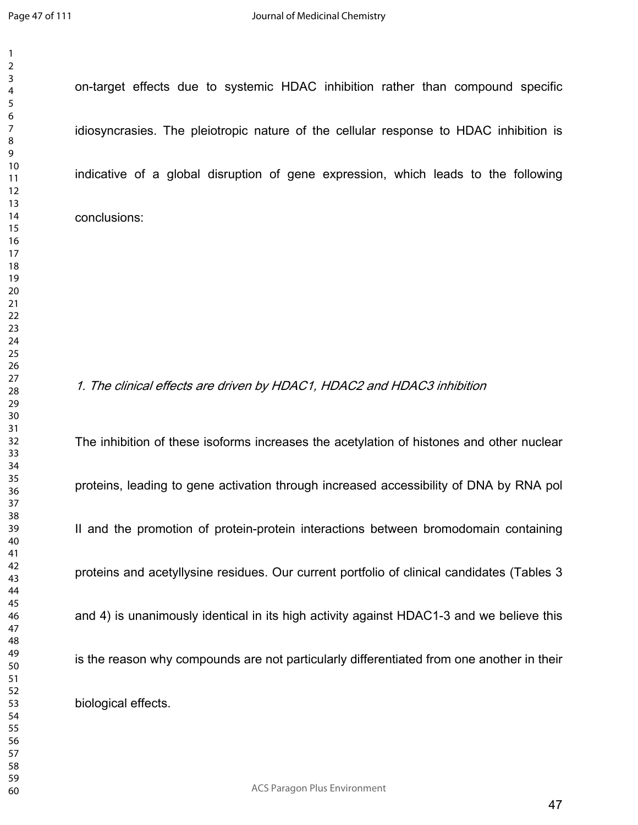on-target effects due to systemic HDAC inhibition rather than compound specific idiosyncrasies. The pleiotropic nature of the cellular response to HDAC inhibition is indicative of a global disruption of gene expression, which leads to the following conclusions:

## *1. The clinical effects are driven by HDAC1, HDAC2 and HDAC3 inhibition*

The inhibition of these isoforms increases the acetylation of histones and other nuclear proteins, leading to gene activation through increased accessibility of DNA by RNA pol II and the promotion of protein-protein interactions between bromodomain containing proteins and acetyllysine residues. Our current portfolio of clinical candidates (Tables 3 and 4) is unanimously identical in its high activity against HDAC1-3 and we believe this is the reason why compounds are not particularly differentiated from one another in their biological effects.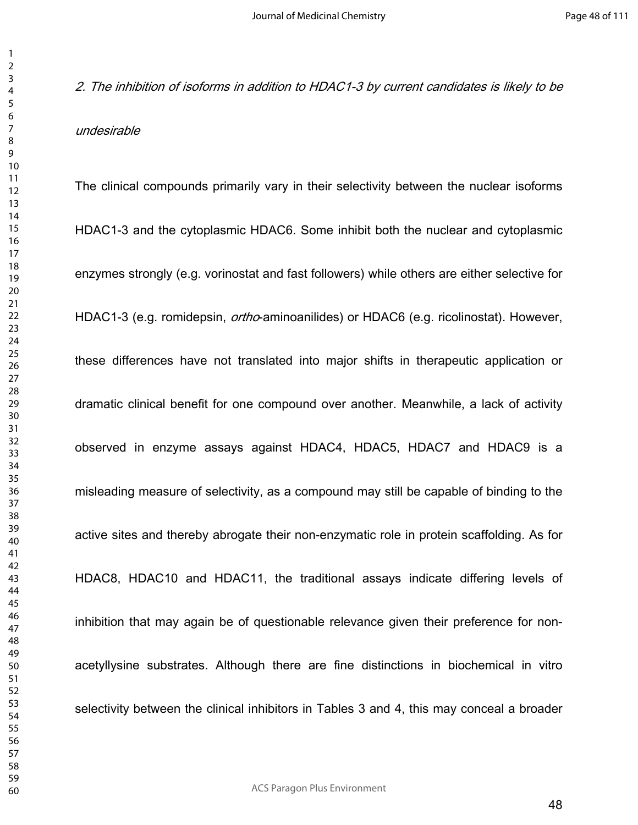*2. The inhibition of isoforms in addition to HDAC1-3 by current candidates is likely to be undesirable*

The clinical compounds primarily vary in their selectivity between the nuclear isoforms HDAC1-3 and the cytoplasmic HDAC6. Some inhibit both the nuclear and cytoplasmic enzymes strongly (e.g. vorinostat and fast followers) while others are either selective for HDAC1-3 (e.g. romidepsin, *ortho*-aminoanilides) or HDAC6 (e.g. ricolinostat). However, these differences have not translated into major shifts in therapeutic application or dramatic clinical benefit for one compound over another. Meanwhile, a lack of activity observed in enzyme assays against HDAC4, HDAC5, HDAC7 and HDAC9 is a misleading measure of selectivity, as a compound may still be capable of binding to the active sites and thereby abrogate their non-enzymatic role in protein scaffolding. As for HDAC8, HDAC10 and HDAC11, the traditional assays indicate differing levels of inhibition that may again be of questionable relevance given their preference for nonacetyllysine substrates. Although there are fine distinctions in biochemical in vitro selectivity between the clinical inhibitors in Tables 3 and 4, this may conceal a broader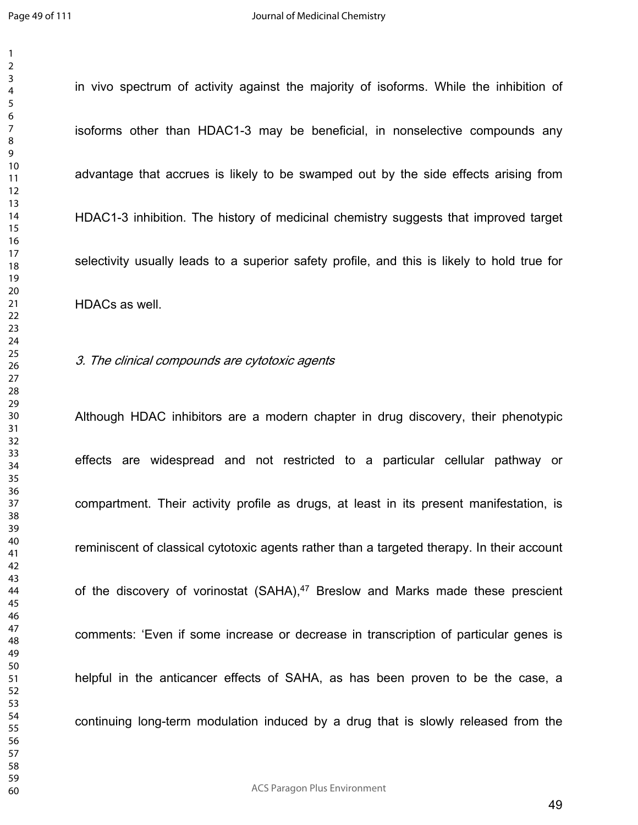in vivo spectrum of activity against the majority of isoforms. While the inhibition of

isoforms other than HDAC1-3 may be beneficial, in nonselective compounds any advantage that accrues is likely to be swamped out by the side effects arising from HDAC1-3 inhibition. The history of medicinal chemistry suggests that improved target selectivity usually leads to a superior safety profile, and this is likely to hold true for HDACs as well.

#### *3. The clinical compounds are cytotoxic agents*

Although HDAC inhibitors are a modern chapter in drug discovery, their phenotypic effects are widespread and not restricted to a particular cellular pathway or compartment. Their activity profile as drugs, at least in its present manifestation, is reminiscent of classical cytotoxic agents rather than a targeted therapy. In their account of the discovery of vorinostat (SAHA),<sup>47</sup> Breslow and Marks made these prescient comments: 'Even if some increase or decrease in transcription of particular genes is helpful in the anticancer effects of SAHA, as has been proven to be the case, a continuing long-term modulation induced by a drug that is slowly released from the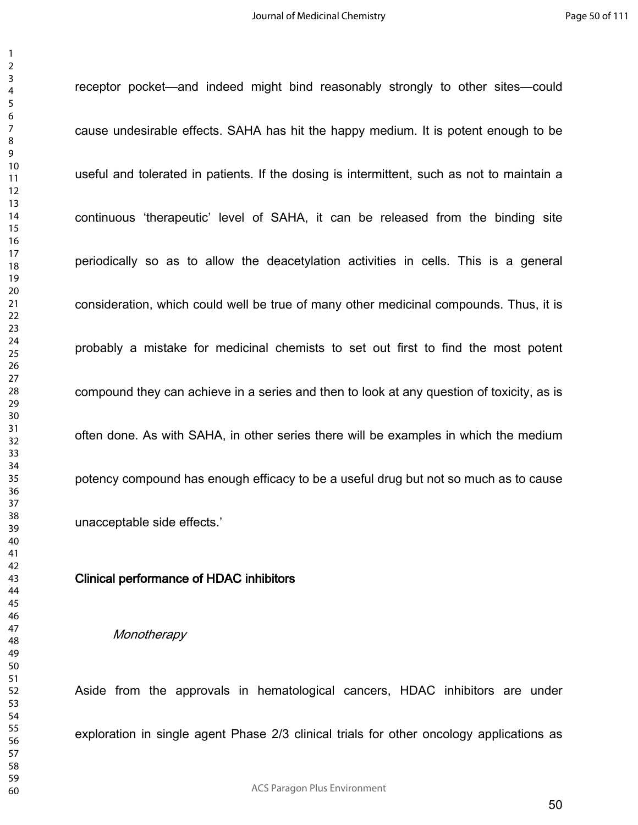receptor pocket—and indeed might bind reasonably strongly to other sites—could cause undesirable effects. SAHA has hit the happy medium. It is potent enough to be useful and tolerated in patients. If the dosing is intermittent, such as not to maintain a continuous 'therapeutic' level of SAHA, it can be released from the binding site periodically so as to allow the deacetylation activities in cells. This is a general consideration, which could well be true of many other medicinal compounds. Thus, it is probably a mistake for medicinal chemists to set out first to find the most potent compound they can achieve in a series and then to look at any question of toxicity, as is often done. As with SAHA, in other series there will be examples in which the medium potency compound has enough efficacy to be a useful drug but not so much as to cause unacceptable side effects.'

### **Clinical performance of HDAC inhibitors**

#### *Monotherapy*

Aside from the approvals in hematological cancers, HDAC inhibitors are under exploration in single agent Phase 2/3 clinical trials for other oncology applications as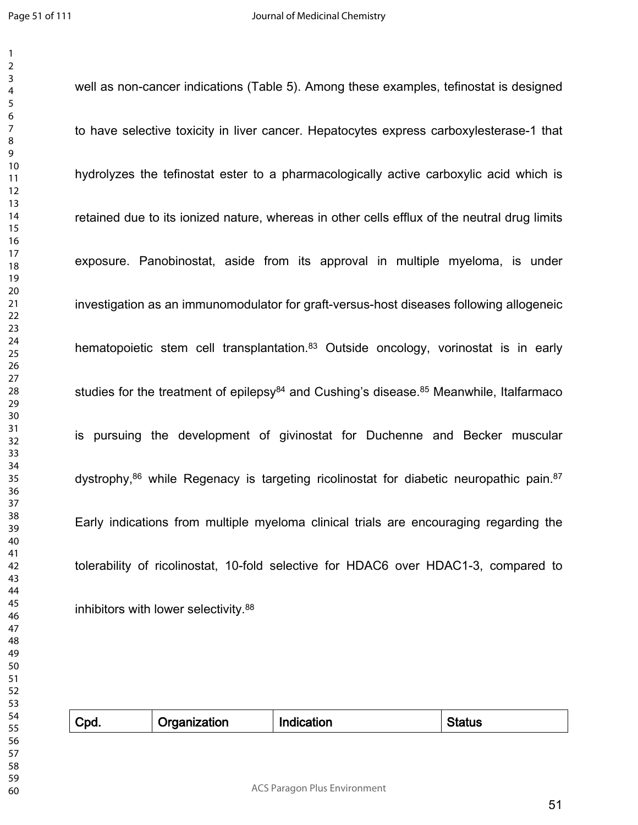well as non-cancer indications (Table 5). Among these examples, tefinostat is designed

to have selective toxicity in liver cancer. Hepatocytes express carboxylesterase-1 that hydrolyzes the tefinostat ester to a pharmacologically active carboxylic acid which is retained due to its ionized nature, whereas in other cells efflux of the neutral drug limits exposure. Panobinostat, aside from its approval in multiple myeloma, is under investigation as an immunomodulator for graft-versus-host diseases following allogeneic hematopoietic stem cell transplantation.<sup>83</sup> Outside oncology, vorinostat is in early studies for the treatment of epilepsy and Cushing's disease. $85$  Meanwhile, Italfarmaco is pursuing the development of givinostat for Duchenne and Becker muscular dystrophy,<sup>86</sup> while Regenacy is targeting ricolinostat for diabetic neuropathic pain.<sup>87</sup> Early indications from multiple myeloma clinical trials are encouraging regarding the tolerability of ricolinostat, 10-fold selective for HDAC6 over HDAC1-3, compared to inhibitors with lower selectivity.<sup>88</sup>

| Cpd. | Organization | Indication | Status |
|------|--------------|------------|--------|
|      |              |            |        |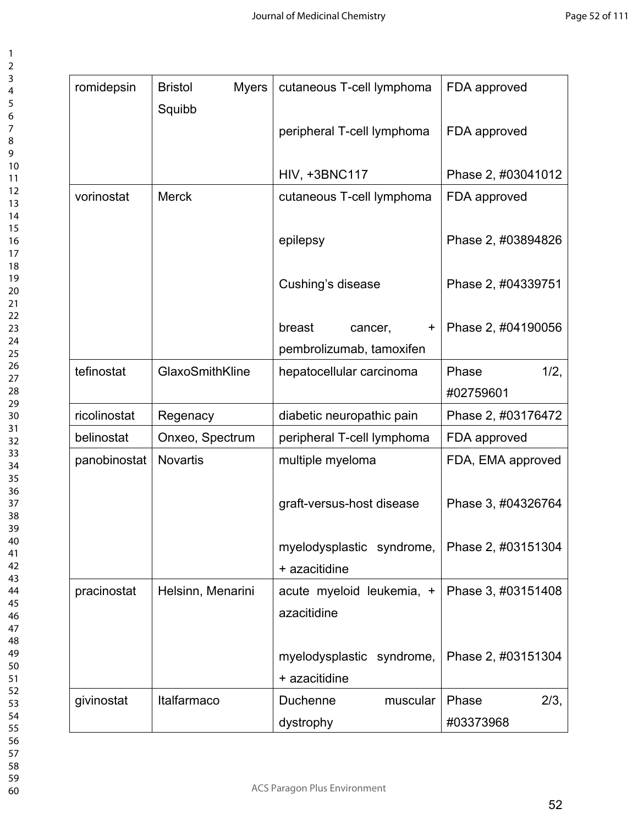| ì                             |
|-------------------------------|
| ξ                             |
| 4                             |
| 5                             |
| 6                             |
|                               |
|                               |
| 8                             |
| 9                             |
| 10                            |
| 1<br>1                        |
| 1<br>ì                        |
| 1<br>3                        |
| 1<br>4                        |
| 5<br>1                        |
| 16                            |
|                               |
| 1                             |
| 18                            |
| 19                            |
| $\overline{20}$               |
| $\overline{\phantom{a}}$<br>1 |
| $\overline{2}$<br>Č           |
| $\overline{2}$<br>3           |
| $\frac{2}{4}$                 |
| 25                            |
|                               |
| 26                            |
| $\frac{2}{3}$                 |
| $^{28}$                       |
| $\frac{1}{2}$<br>)            |
| 30                            |
| 3<br>1                        |
| 3<br>ì                        |
|                               |
| $\overline{\mathbf{3}}$<br>3  |
| 34                            |
| 35                            |
| 36                            |
| $rac{1}{37}$                  |
| 38                            |
| $\mathbf{S}^{\prime}$         |
| 40                            |
| 41                            |
|                               |
| $\overline{4}$<br>)           |
| 43                            |
| 44                            |
| 45                            |
| 46                            |
| $\overline{4}$                |
| 48                            |
| 49<br>€                       |
| 50                            |
| 51                            |
|                               |
| 5<br>)                        |
| 5<br>3                        |
| 54                            |
| 55                            |
| 56                            |
| $\overline{5}$                |
| 58                            |
|                               |
| 59                            |

| romidepsin   | <b>Myers</b><br><b>Bristol</b><br>Squibb | cutaneous T-cell lymphoma                  | FDA approved       |
|--------------|------------------------------------------|--------------------------------------------|--------------------|
|              |                                          | peripheral T-cell lymphoma                 | FDA approved       |
|              |                                          | <b>HIV, +3BNC117</b>                       | Phase 2, #03041012 |
| vorinostat   | <b>Merck</b>                             | cutaneous T-cell lymphoma                  | FDA approved       |
|              |                                          | epilepsy                                   | Phase 2, #03894826 |
|              |                                          | Cushing's disease                          | Phase 2, #04339751 |
|              |                                          | breast<br>cancer,<br>$+$                   | Phase 2, #04190056 |
|              |                                          | pembrolizumab, tamoxifen                   |                    |
| tefinostat   | GlaxoSmithKline                          | hepatocellular carcinoma                   | $1/2$ ,<br>Phase   |
|              |                                          |                                            | #02759601          |
| ricolinostat | Regenacy                                 | diabetic neuropathic pain                  | Phase 2, #03176472 |
| belinostat   | Onxeo, Spectrum                          | peripheral T-cell lymphoma                 | FDA approved       |
| panobinostat | <b>Novartis</b>                          | multiple myeloma                           | FDA, EMA approved  |
|              |                                          | graft-versus-host disease                  | Phase 3, #04326764 |
|              |                                          | myelodysplastic syndrome,<br>+ azacitidine | Phase 2, #03151304 |
| pracinostat  | Helsinn, Menarini                        | acute myeloid leukemia, +<br>azacitidine   | Phase 3, #03151408 |
|              |                                          | myelodysplastic syndrome,<br>+ azacitidine | Phase 2, #03151304 |
| givinostat   | Italfarmaco                              | Duchenne<br>muscular                       | Phase<br>2/3,      |
|              |                                          | dystrophy                                  | #03373968          |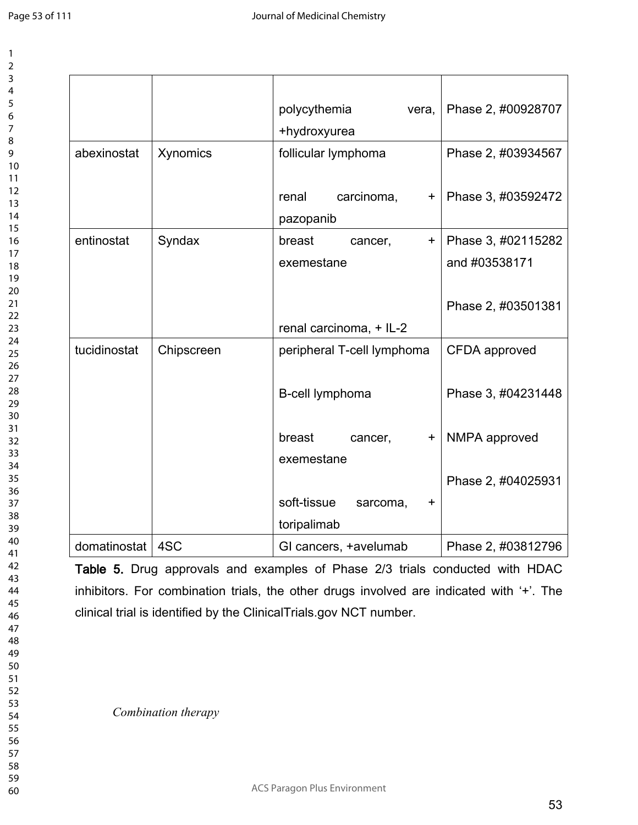|              |            | polycythemia<br>vera,<br>+hydroxyurea        | Phase 2, #00928707 |
|--------------|------------|----------------------------------------------|--------------------|
| abexinostat  | Xynomics   | follicular lymphoma                          | Phase 2, #03934567 |
|              |            | carcinoma,<br>renal<br>$\pm$<br>pazopanib    | Phase 3, #03592472 |
| entinostat   | Syndax     | breast<br>cancer,<br>$\ddot{}$               | Phase 3, #02115282 |
|              |            | exemestane                                   | and #03538171      |
|              |            | renal carcinoma, + IL-2                      | Phase 2, #03501381 |
| tucidinostat | Chipscreen | peripheral T-cell lymphoma                   | CFDA approved      |
|              |            | B-cell lymphoma                              | Phase 3, #04231448 |
|              |            | breast<br>cancer,<br>$\ddot{}$<br>exemestane | NMPA approved      |
|              |            |                                              | Phase 2, #04025931 |
|              |            | soft-tissue<br>sarcoma,<br>$\mathbf +$       |                    |
|              |            | toripalimab                                  |                    |
| domatinostat | 4SC        | GI cancers, +avelumab                        | Phase 2, #03812796 |

**Table 5.** Drug approvals and examples of Phase 2/3 trials conducted with HDAC inhibitors. For combination trials, the other drugs involved are indicated with '+'. The clinical trial is identified by the ClinicalTrials.gov NCT number.

*Combination therapy*

ACS Paragon Plus Environment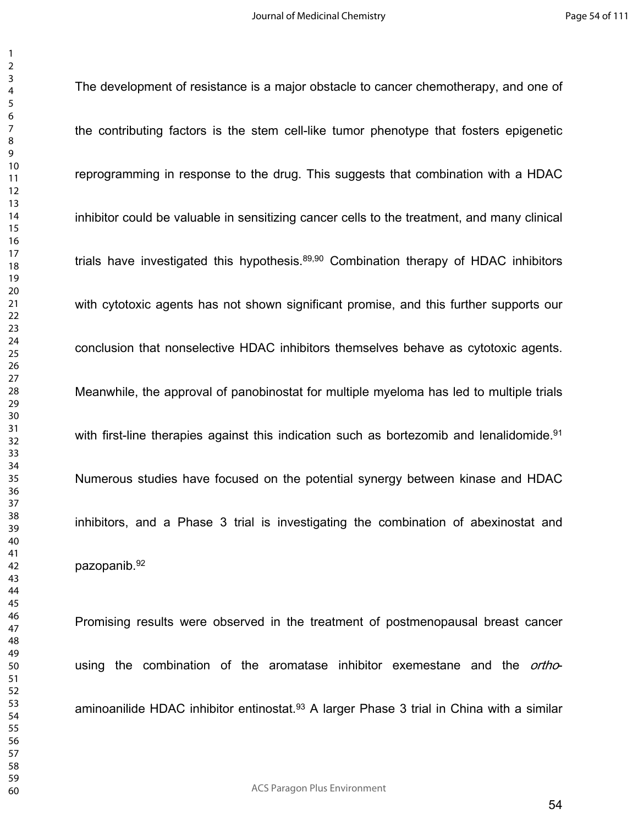The development of resistance is a major obstacle to cancer chemotherapy, and one of

the contributing factors is the stem cell-like tumor phenotype that fosters epigenetic reprogramming in response to the drug. This suggests that combination with a HDAC inhibitor could be valuable in sensitizing cancer cells to the treatment, and many clinical trials have investigated this hypothesis.<sup>89,90</sup> Combination therapy of HDAC inhibitors with cytotoxic agents has not shown significant promise, and this further supports our conclusion that nonselective HDAC inhibitors themselves behave as cytotoxic agents. Meanwhile, the approval of panobinostat for multiple myeloma has led to multiple trials with first-line therapies against this indication such as bortezomib and lenalidomide.<sup>91</sup> Numerous studies have focused on the potential synergy between kinase and HDAC inhibitors, and a Phase 3 trial is investigating the combination of abexinostat and pazopanib.<sup>92</sup>

Promising results were observed in the treatment of postmenopausal breast cancer using the combination of the aromatase inhibitor exemestane and the *ortho*aminoanilide HDAC inhibitor entinostat.<sup>93</sup> A larger Phase 3 trial in China with a similar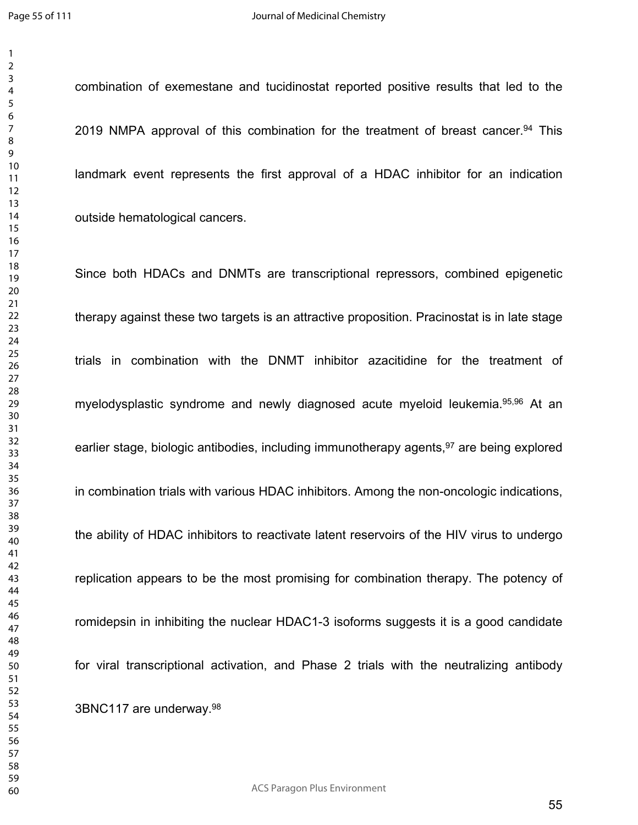combination of exemestane and tucidinostat reported positive results that led to the 2019 NMPA approval of this combination for the treatment of breast cancer.<sup>94</sup> This landmark event represents the first approval of a HDAC inhibitor for an indication outside hematological cancers.

Since both HDACs and DNMTs are transcriptional repressors, combined epigenetic therapy against these two targets is an attractive proposition. Pracinostat is in late stage trials in combination with the DNMT inhibitor azacitidine for the treatment of myelodysplastic syndrome and newly diagnosed acute myeloid leukemia.95,96 At an earlier stage, biologic antibodies, including immunotherapy agents,<sup>97</sup> are being explored in combination trials with various HDAC inhibitors. Among the non-oncologic indications, the ability of HDAC inhibitors to reactivate latent reservoirs of the HIV virus to undergo replication appears to be the most promising for combination therapy. The potency of romidepsin in inhibiting the nuclear HDAC1-3 isoforms suggests it is a good candidate for viral transcriptional activation, and Phase 2 trials with the neutralizing antibody 3BNC117 are underway.<sup>98</sup>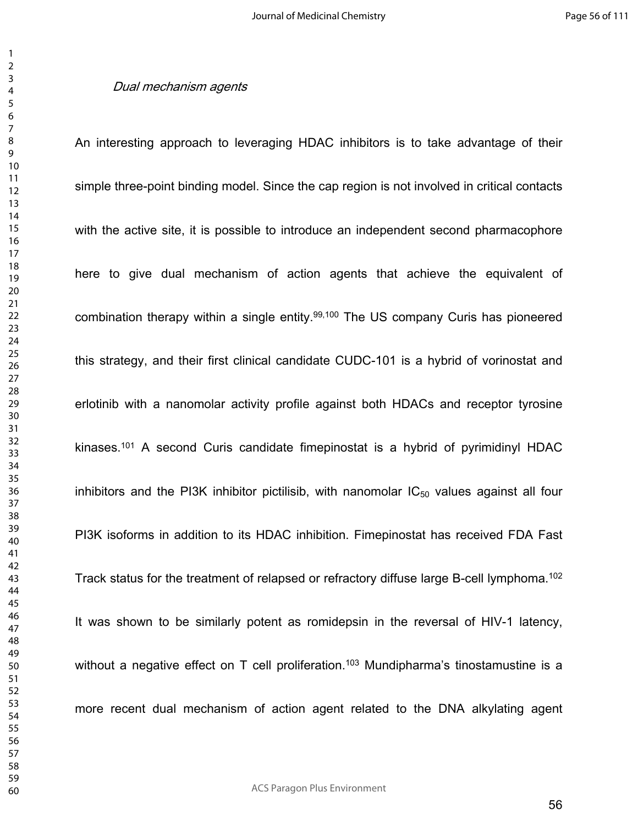#### *Dual mechanism agents*

An interesting approach to leveraging HDAC inhibitors is to take advantage of their simple three-point binding model. Since the cap region is not involved in critical contacts with the active site, it is possible to introduce an independent second pharmacophore here to give dual mechanism of action agents that achieve the equivalent of combination therapy within a single entity.99,100 The US company Curis has pioneered this strategy, and their first clinical candidate CUDC-101 is a hybrid of vorinostat and erlotinib with a nanomolar activity profile against both HDACs and receptor tyrosine kinases.<sup>101</sup> A second Curis candidate fimepinostat is a hybrid of pyrimidinyl HDAC inhibitors and the PI3K inhibitor pictilisib, with nanomolar  $IC_{50}$  values against all four PI3K isoforms in addition to its HDAC inhibition. Fimepinostat has received FDA Fast Track status for the treatment of relapsed or refractory diffuse large B-cell lymphoma.<sup>102</sup> It was shown to be similarly potent as romidepsin in the reversal of HIV-1 latency, without a negative effect on T cell proliferation.<sup>103</sup> Mundipharma's tinostamustine is a more recent dual mechanism of action agent related to the DNA alkylating agent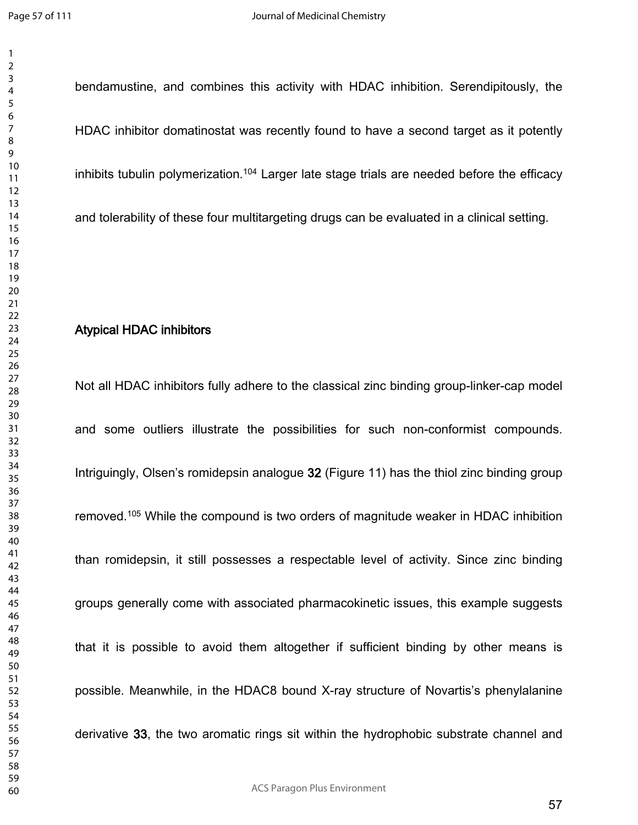bendamustine, and combines this activity with HDAC inhibition. Serendipitously, the HDAC inhibitor domatinostat was recently found to have a second target as it potently inhibits tubulin polymerization.<sup>104</sup> Larger late stage trials are needed before the efficacy and tolerability of these four multitargeting drugs can be evaluated in a clinical setting.

# **Atypical HDAC inhibitors**

Not all HDAC inhibitors fully adhere to the classical zinc binding group-linker-cap model and some outliers illustrate the possibilities for such non-conformist compounds. Intriguingly, Olsen's romidepsin analogue **32** (Figure 11) has the thiol zinc binding group removed.<sup>105</sup> While the compound is two orders of magnitude weaker in HDAC inhibition than romidepsin, it still possesses a respectable level of activity. Since zinc binding groups generally come with associated pharmacokinetic issues, this example suggests that it is possible to avoid them altogether if sufficient binding by other means is possible. Meanwhile, in the HDAC8 bound X-ray structure of Novartis's phenylalanine derivative **33**, the two aromatic rings sit within the hydrophobic substrate channel and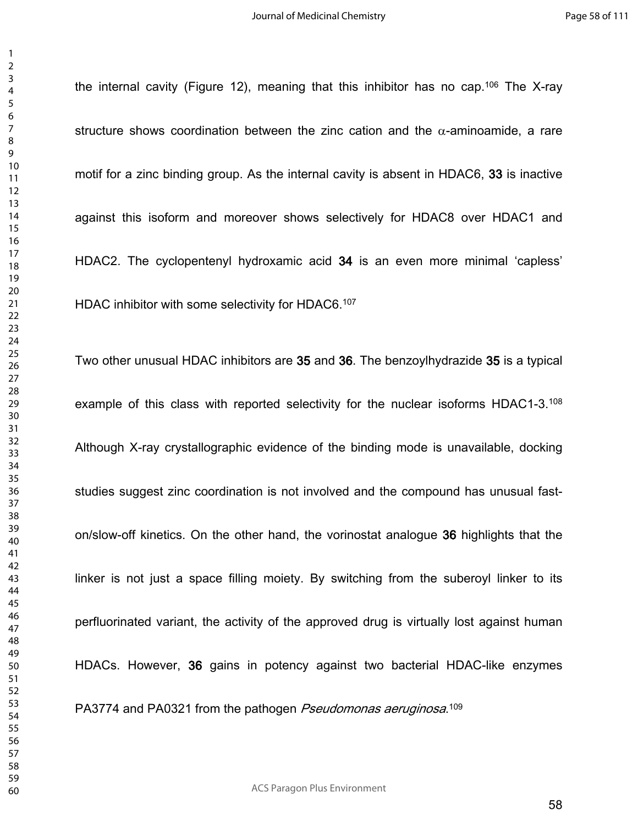the internal cavity (Figure 12), meaning that this inhibitor has no cap.<sup>106</sup> The X-ray structure shows coordination between the zinc cation and the  $\alpha$ -aminoamide, a rare motif for a zinc binding group. As the internal cavity is absent in HDAC6, **33** is inactive against this isoform and moreover shows selectively for HDAC8 over HDAC1 and HDAC2. The cyclopentenyl hydroxamic acid **34** is an even more minimal 'capless' HDAC inhibitor with some selectivity for HDAC6.<sup>107</sup> Two other unusual HDAC inhibitors are **35** and **36**. The benzoylhydrazide **35** is a typical example of this class with reported selectivity for the nuclear isoforms HDAC1-3.<sup>108</sup> Although X-ray crystallographic evidence of the binding mode is unavailable, docking studies suggest zinc coordination is not involved and the compound has unusual faston/slow-off kinetics. On the other hand, the vorinostat analogue **36** highlights that the linker is not just a space filling moiety. By switching from the suberoyl linker to its perfluorinated variant, the activity of the approved drug is virtually lost against human HDACs. However, **36** gains in potency against two bacterial HDAC-like enzymes PA3774 and PA0321 from the pathogen *Pseudomonas aeruginosa*. 109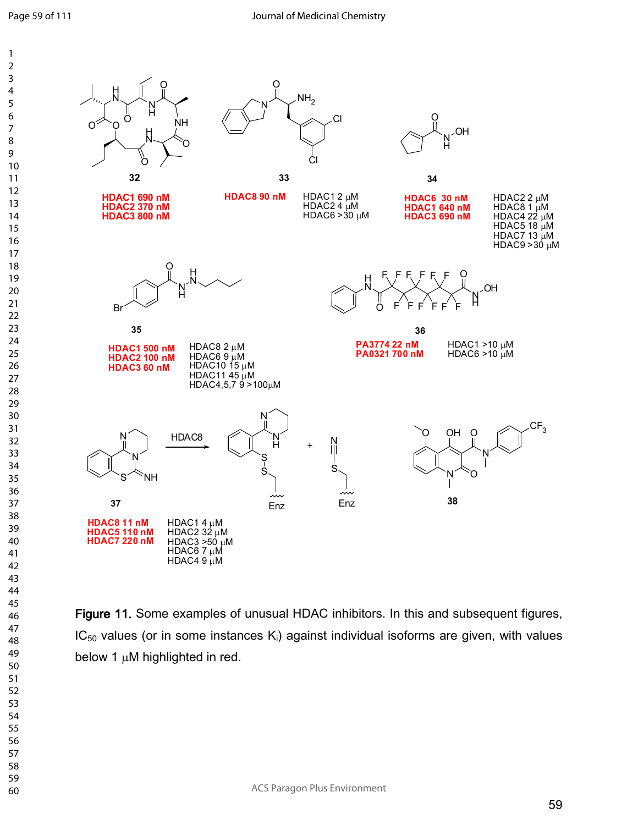

**Figure 11.** Some examples of unusual HDAC inhibitors. In this and subsequent figures,  $IC_{50}$  values (or in some instances  $K_i$ ) against individual isoforms are given, with values below 1  $\mu$ M highlighted in red.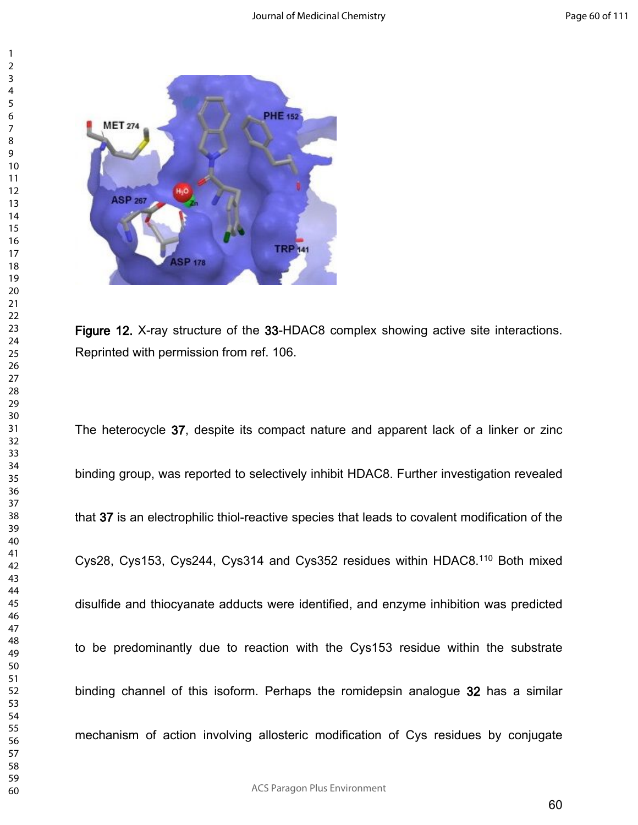



**Figure 12.** X-ray structure of the **33**-HDAC8 complex showing active site interactions. Reprinted with permission from ref. 106.

The heterocycle **37**, despite its compact nature and apparent lack of a linker or zinc binding group, was reported to selectively inhibit HDAC8. Further investigation revealed that **37** is an electrophilic thiol-reactive species that leads to covalent modification of the Cys28, Cys153, Cys244, Cys314 and Cys352 residues within HDAC8.<sup>110</sup> Both mixed disulfide and thiocyanate adducts were identified, and enzyme inhibition was predicted to be predominantly due to reaction with the Cys153 residue within the substrate binding channel of this isoform. Perhaps the romidepsin analogue **32** has a similar mechanism of action involving allosteric modification of Cys residues by conjugate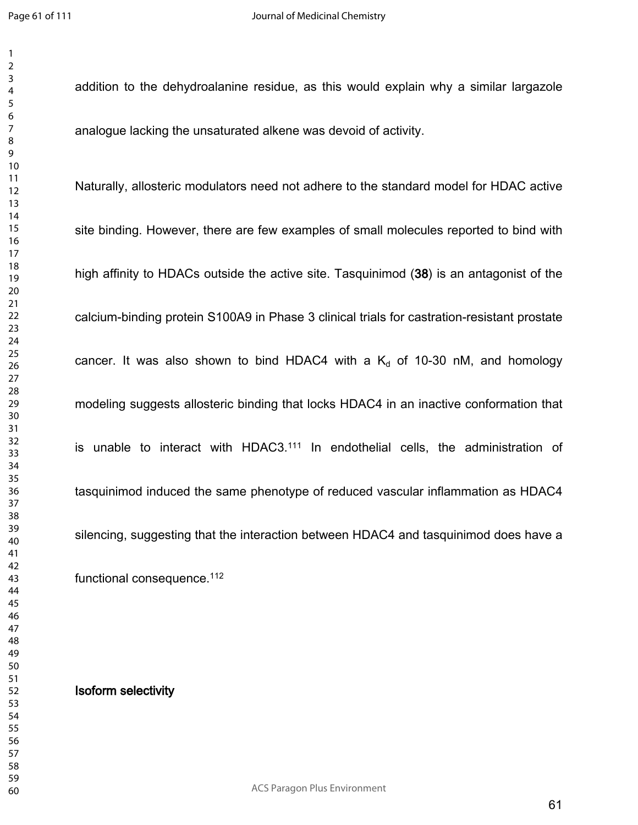addition to the dehydroalanine residue, as this would explain why a similar largazole analogue lacking the unsaturated alkene was devoid of activity.

Naturally, allosteric modulators need not adhere to the standard model for HDAC active site binding. However, there are few examples of small molecules reported to bind with high affinity to HDACs outside the active site. Tasquinimod (**38**) is an antagonist of the calcium-binding protein S100A9 in Phase 3 clinical trials for castration-resistant prostate cancer. It was also shown to bind HDAC4 with a  $K<sub>d</sub>$  of 10-30 nM, and homology modeling suggests allosteric binding that locks HDAC4 in an inactive conformation that is unable to interact with HDAC3.<sup>111</sup> In endothelial cells, the administration of tasquinimod induced the same phenotype of reduced vascular inflammation as HDAC4 silencing, suggesting that the interaction between HDAC4 and tasquinimod does have a functional consequence.<sup>112</sup>

**Isoform selectivity**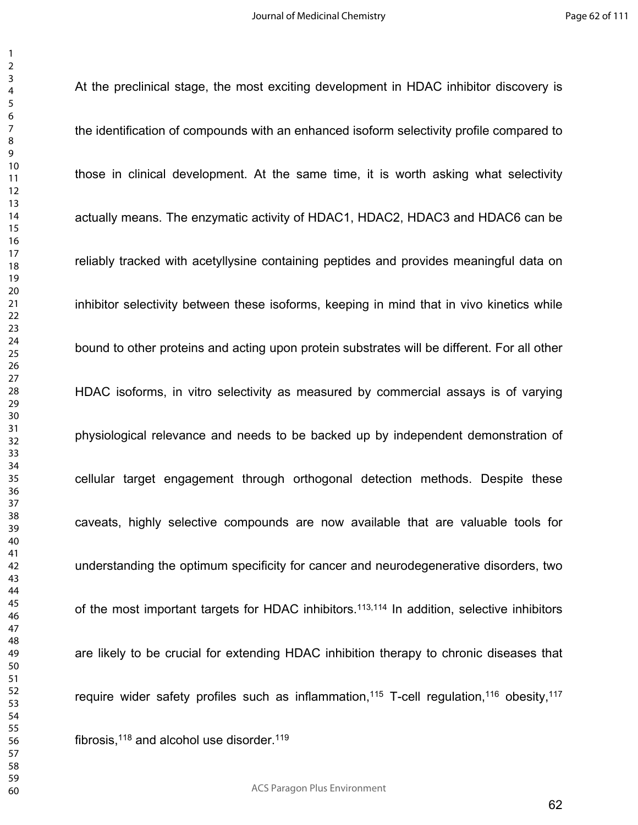At the preclinical stage, the most exciting development in HDAC inhibitor discovery is

the identification of compounds with an enhanced isoform selectivity profile compared to those in clinical development. At the same time, it is worth asking what selectivity actually means. The enzymatic activity of HDAC1, HDAC2, HDAC3 and HDAC6 can be reliably tracked with acetyllysine containing peptides and provides meaningful data on inhibitor selectivity between these isoforms, keeping in mind that in vivo kinetics while bound to other proteins and acting upon protein substrates will be different. For all other HDAC isoforms, in vitro selectivity as measured by commercial assays is of varying physiological relevance and needs to be backed up by independent demonstration of cellular target engagement through orthogonal detection methods. Despite these caveats, highly selective compounds are now available that are valuable tools for understanding the optimum specificity for cancer and neurodegenerative disorders, two of the most important targets for HDAC inhibitors.<sup>113,114</sup> In addition, selective inhibitors are likely to be crucial for extending HDAC inhibition therapy to chronic diseases that require wider safety profiles such as inflammation,<sup>115</sup> T-cell regulation,<sup>116</sup> obesity,<sup>117</sup> fibrosis, and alcohol use disorder. $119$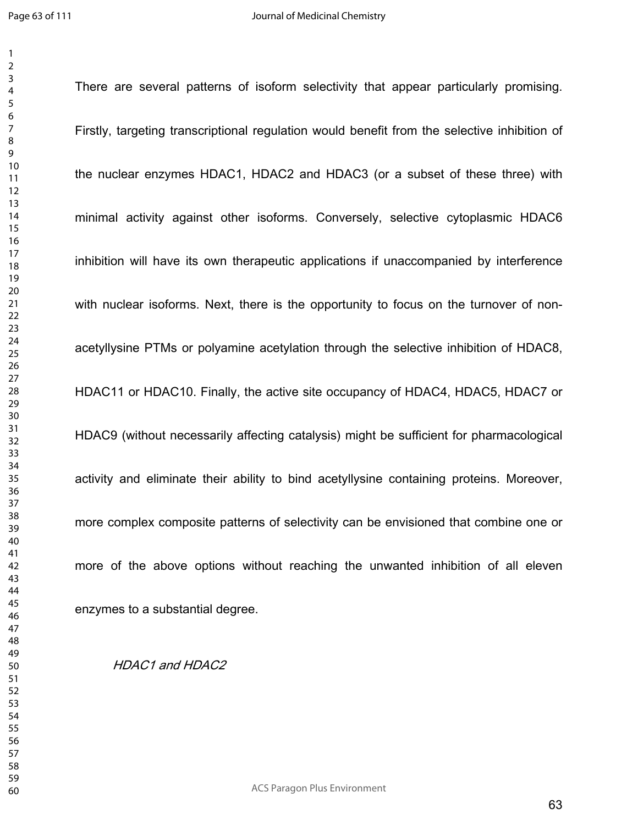There are several patterns of isoform selectivity that appear particularly promising.

Firstly, targeting transcriptional regulation would benefit from the selective inhibition of the nuclear enzymes HDAC1, HDAC2 and HDAC3 (or a subset of these three) with minimal activity against other isoforms. Conversely, selective cytoplasmic HDAC6 inhibition will have its own therapeutic applications if unaccompanied by interference with nuclear isoforms. Next, there is the opportunity to focus on the turnover of nonacetyllysine PTMs or polyamine acetylation through the selective inhibition of HDAC8, HDAC11 or HDAC10. Finally, the active site occupancy of HDAC4, HDAC5, HDAC7 or HDAC9 (without necessarily affecting catalysis) might be sufficient for pharmacological activity and eliminate their ability to bind acetyllysine containing proteins. Moreover, more complex composite patterns of selectivity can be envisioned that combine one or more of the above options without reaching the unwanted inhibition of all eleven enzymes to a substantial degree.

*HDAC1 and HDAC2*

ACS Paragon Plus Environment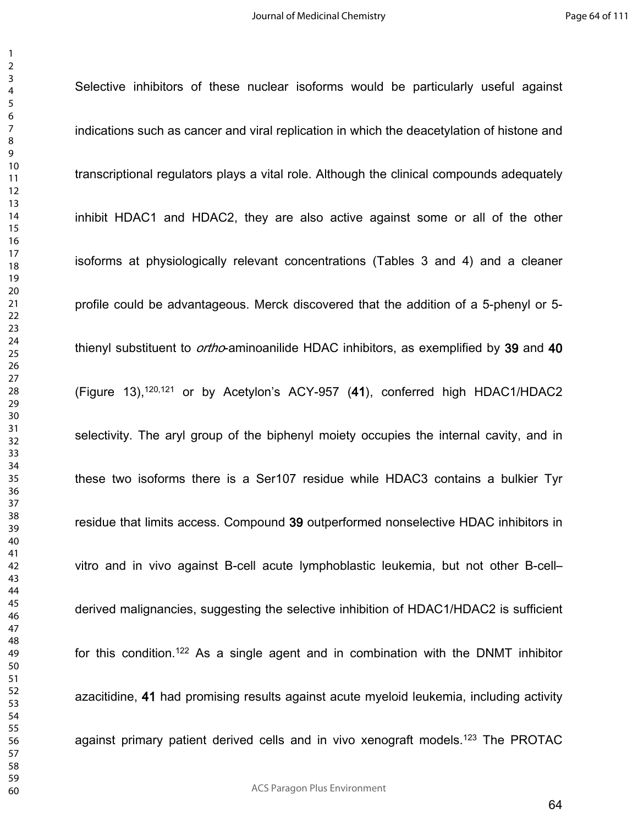Selective inhibitors of these nuclear isoforms would be particularly useful against

indications such as cancer and viral replication in which the deacetylation of histone and transcriptional regulators plays a vital role. Although the clinical compounds adequately inhibit HDAC1 and HDAC2, they are also active against some or all of the other isoforms at physiologically relevant concentrations (Tables 3 and 4) and a cleaner profile could be advantageous. Merck discovered that the addition of a 5-phenyl or 5 thienyl substituent to *ortho*-aminoanilide HDAC inhibitors, as exemplified by **39** and **40** (Figure 13),120,121 or by Acetylon's ACY-957 (**41**), conferred high HDAC1/HDAC2 selectivity. The aryl group of the biphenyl moiety occupies the internal cavity, and in these two isoforms there is a Ser107 residue while HDAC3 contains a bulkier Tyr residue that limits access. Compound **39** outperformed nonselective HDAC inhibitors in vitro and in vivo against B-cell acute lymphoblastic leukemia, but not other B-cell– derived malignancies, suggesting the selective inhibition of HDAC1/HDAC2 is sufficient for this condition.<sup>122</sup> As a single agent and in combination with the DNMT inhibitor azacitidine, **41** had promising results against acute myeloid leukemia, including activity against primary patient derived cells and in vivo xenograft models.<sup>123</sup> The PROTAC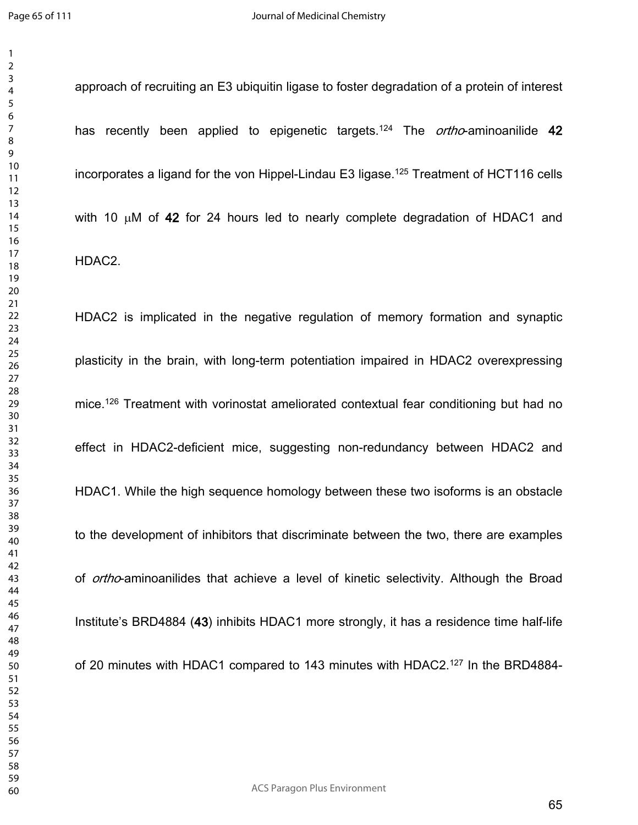approach of recruiting an E3 ubiquitin ligase to foster degradation of a protein of interest has recently been applied to epigenetic targets.<sup>124</sup> The *ortho*-aminoanilide **42** incorporates a ligand for the von Hippel-Lindau E3 ligase.<sup>125</sup> Treatment of HCT116 cells with 10  $\mu$ M of 42 for 24 hours led to nearly complete degradation of HDAC1 and HDAC2.

HDAC2 is implicated in the negative regulation of memory formation and synaptic plasticity in the brain, with long-term potentiation impaired in HDAC2 overexpressing mice.<sup>126</sup> Treatment with vorinostat ameliorated contextual fear conditioning but had no effect in HDAC2-deficient mice, suggesting non-redundancy between HDAC2 and HDAC1. While the high sequence homology between these two isoforms is an obstacle to the development of inhibitors that discriminate between the two, there are examples of *ortho*-aminoanilides that achieve a level of kinetic selectivity. Although the Broad Institute's BRD4884 (**43**) inhibits HDAC1 more strongly, it has a residence time half-life of 20 minutes with HDAC1 compared to 143 minutes with HDAC2.<sup>127</sup> In the BRD4884-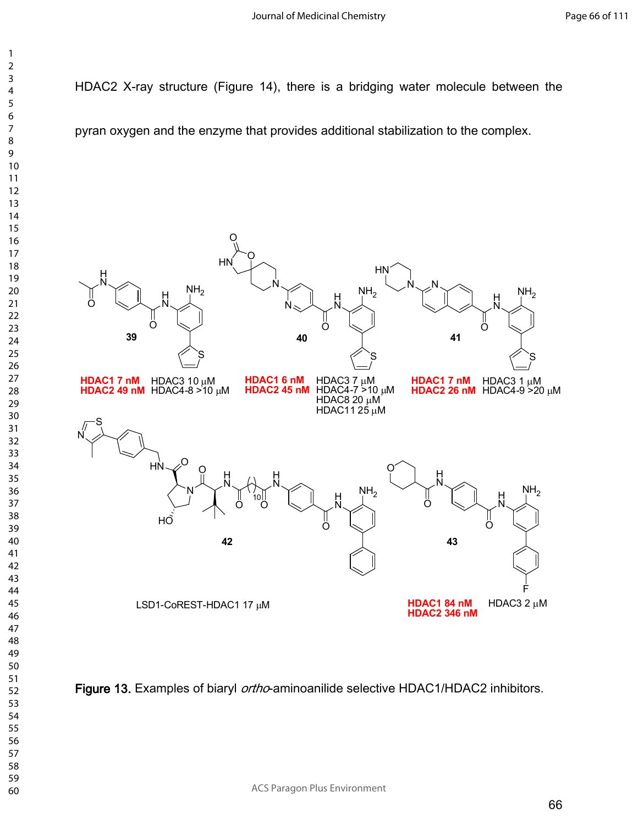HDAC2 X-ray structure (Figure 14), there is a bridging water molecule between the

pyran oxygen and the enzyme that provides additional stabilization to the complex.



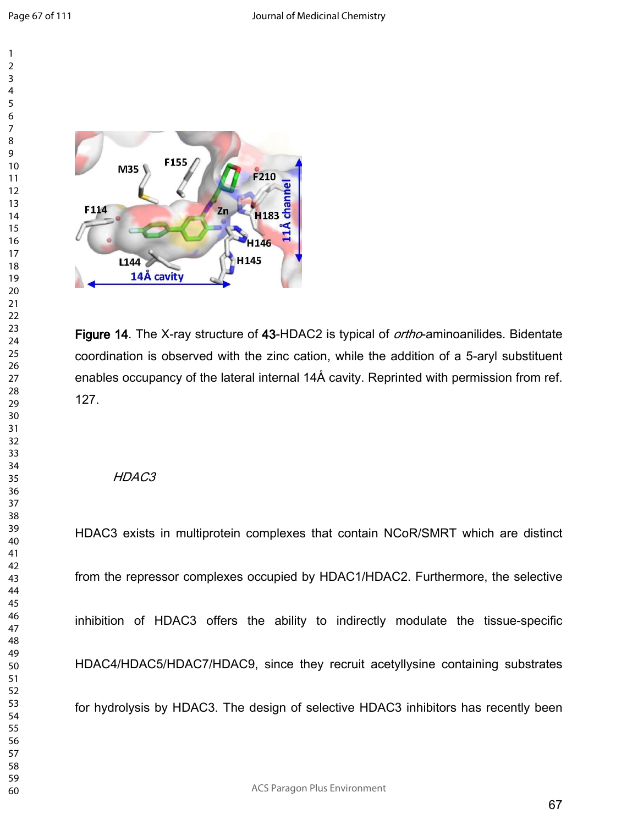

**Figure 14**. The X-ray structure of **43**-HDAC2 is typical of *ortho*-aminoanilides. Bidentate coordination is observed with the zinc cation, while the addition of a 5-aryl substituent enables occupancy of the lateral internal 14Å cavity. Reprinted with permission from ref. 127.

### *HDAC3*

HDAC3 exists in multiprotein complexes that contain NCoR/SMRT which are distinct from the repressor complexes occupied by HDAC1/HDAC2. Furthermore, the selective inhibition of HDAC3 offers the ability to indirectly modulate the tissue-specific HDAC4/HDAC5/HDAC7/HDAC9, since they recruit acetyllysine containing substrates for hydrolysis by HDAC3. The design of selective HDAC3 inhibitors has recently been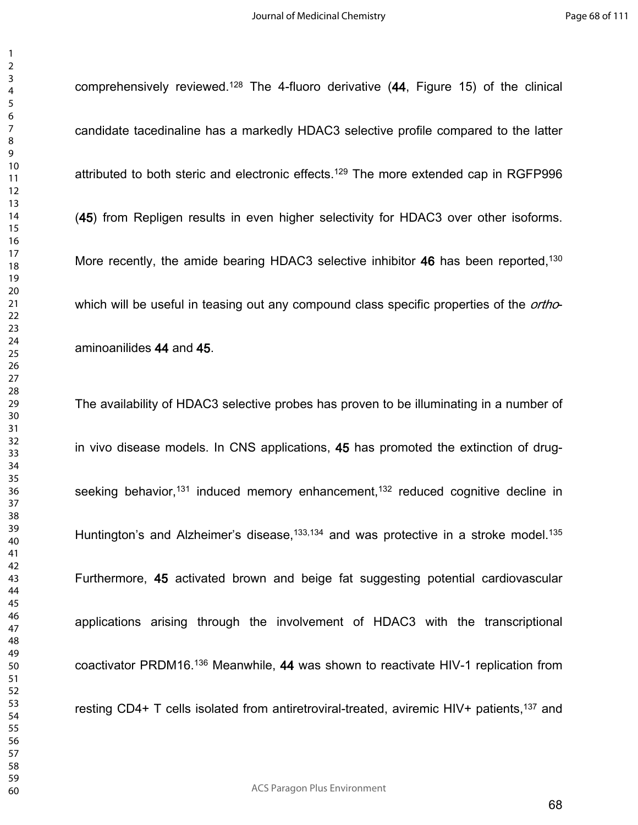comprehensively reviewed.<sup>128</sup> The 4-fluoro derivative (**44**, Figure 15) of the clinical

candidate tacedinaline has a markedly HDAC3 selective profile compared to the latter attributed to both steric and electronic effects.<sup>129</sup> The more extended cap in RGFP996 (**45**) from Repligen results in even higher selectivity for HDAC3 over other isoforms. More recently, the amide bearing HDAC3 selective inhibitor 46 has been reported,<sup>130</sup> which will be useful in teasing out any compound class specific properties of the *ortho*aminoanilides **44** and **45**. The availability of HDAC3 selective probes has proven to be illuminating in a number of in vivo disease models. In CNS applications, **45** has promoted the extinction of drugseeking behavior,<sup>131</sup> induced memory enhancement,<sup>132</sup> reduced cognitive decline in Huntington's and Alzheimer's disease,  $133,134$  and was protective in a stroke model.<sup>135</sup> Furthermore, **45** activated brown and beige fat suggesting potential cardiovascular applications arising through the involvement of HDAC3 with the transcriptional coactivator PRDM16.<sup>136</sup> Meanwhile, **44** was shown to reactivate HIV-1 replication from resting CD4+ T cells isolated from antiretroviral-treated, aviremic HIV+ patients,<sup>137</sup> and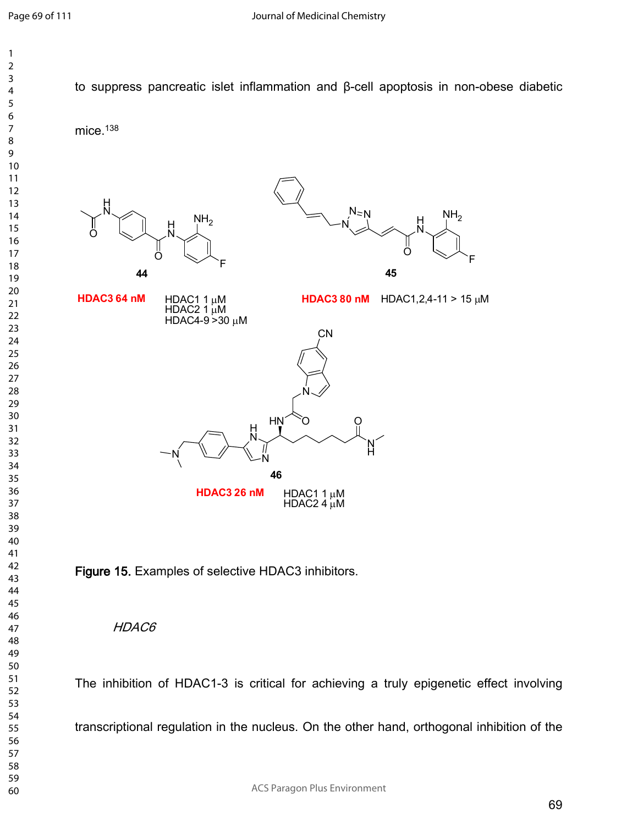

The inhibition of HDAC1-3 is critical for achieving a truly epigenetic effect involving transcriptional regulation in the nucleus. On the other hand, orthogonal inhibition of the

ACS Paragon Plus Environment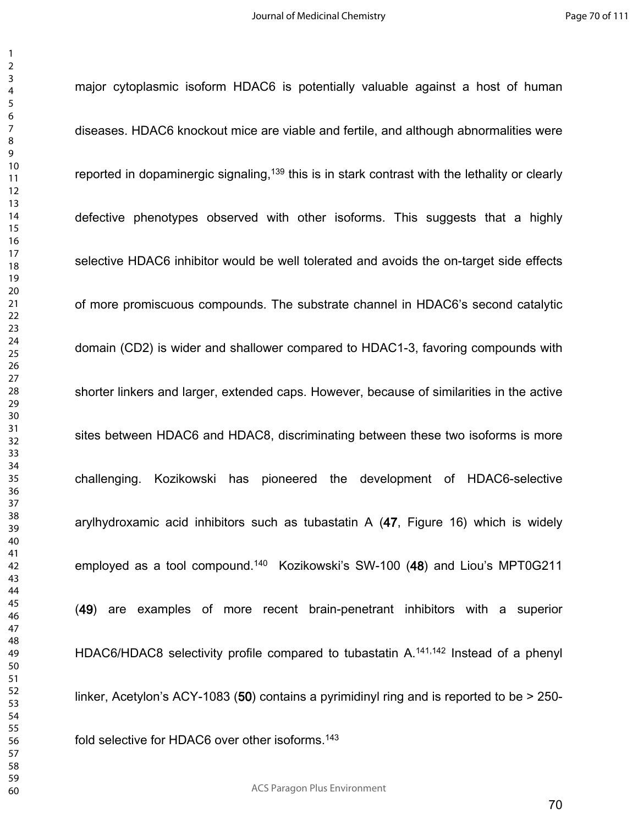major cytoplasmic isoform HDAC6 is potentially valuable against a host of human

diseases. HDAC6 knockout mice are viable and fertile, and although abnormalities were reported in dopaminergic signaling,<sup>139</sup> this is in stark contrast with the lethality or clearly defective phenotypes observed with other isoforms. This suggests that a highly selective HDAC6 inhibitor would be well tolerated and avoids the on-target side effects of more promiscuous compounds. The substrate channel in HDAC6's second catalytic domain (CD2) is wider and shallower compared to HDAC1-3, favoring compounds with shorter linkers and larger, extended caps. However, because of similarities in the active sites between HDAC6 and HDAC8, discriminating between these two isoforms is more challenging. Kozikowski has pioneered the development of HDAC6-selective arylhydroxamic acid inhibitors such as tubastatin A (**47**, Figure 16) which is widely employed as a tool compound.<sup>140</sup> Kozikowski's SW-100 (**48**) and Liou's MPT0G211 (**49**) are examples of more recent brain-penetrant inhibitors with a superior HDAC6/HDAC8 selectivity profile compared to tubastatin A.<sup>141,142</sup> Instead of a phenyl linker, Acetylon's ACY-1083 (**50**) contains a pyrimidinyl ring and is reported to be > 250 fold selective for HDAC6 over other isoforms.<sup>143</sup>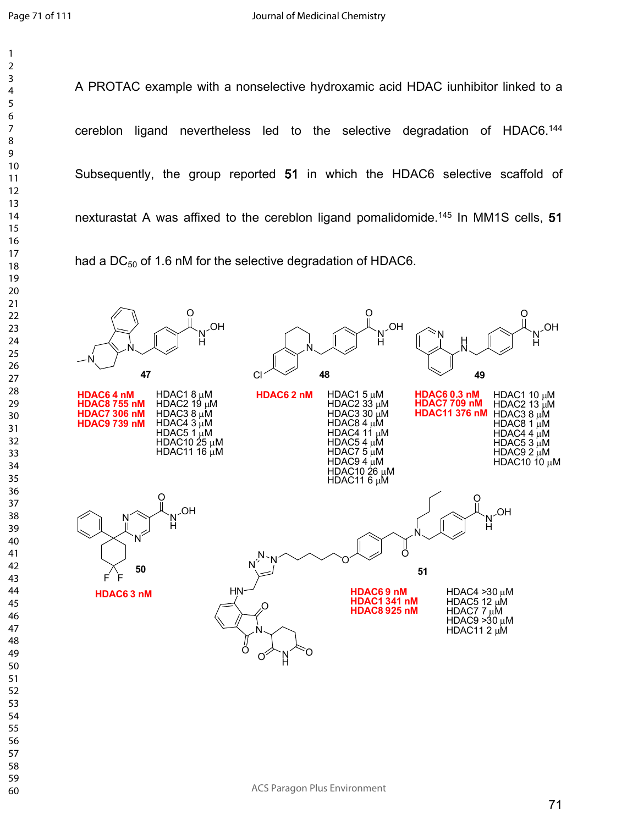A PROTAC example with a nonselective hydroxamic acid HDAC iunhibitor linked to a cereblon ligand nevertheless led to the selective degradation of HDAC6.<sup>144</sup> Subsequently, the group reported **51** in which the HDAC6 selective scaffold of nexturastat A was affixed to the cereblon ligand pomalidomide.<sup>145</sup> In MM1S cells, **51** had a DC $_{50}$  of 1.6 nM for the selective degradation of HDAC6.

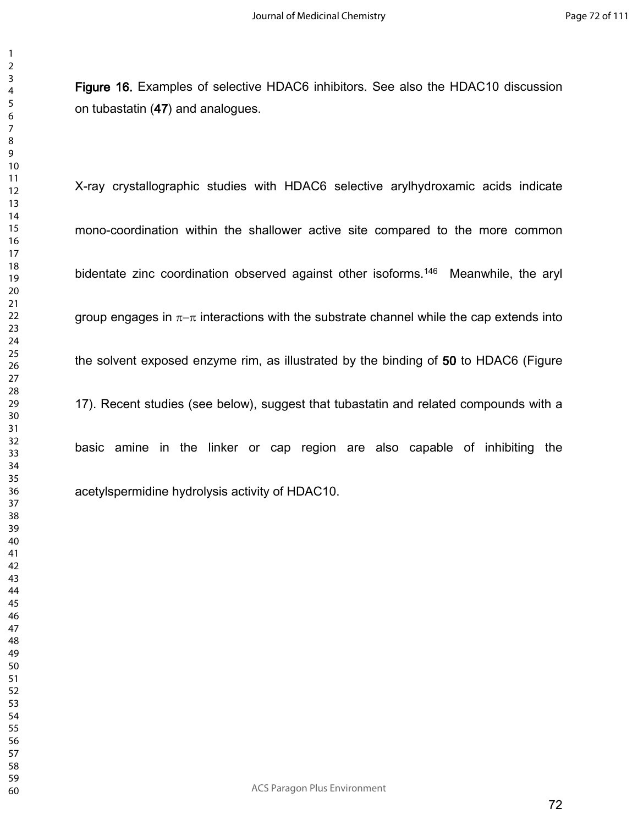**Figure 16.** Examples of selective HDAC6 inhibitors. See also the HDAC10 discussion on tubastatin (**47**) and analogues.

X-ray crystallographic studies with HDAC6 selective arylhydroxamic acids indicate mono-coordination within the shallower active site compared to the more common bidentate zinc coordination observed against other isoforms.<sup>146</sup> Meanwhile, the aryl group engages in  $\pi-\pi$  interactions with the substrate channel while the cap extends into the solvent exposed enzyme rim, as illustrated by the binding of **50** to HDAC6 (Figure 17). Recent studies (see below), suggest that tubastatin and related compounds with a basic amine in the linker or cap region are also capable of inhibiting the acetylspermidine hydrolysis activity of HDAC10.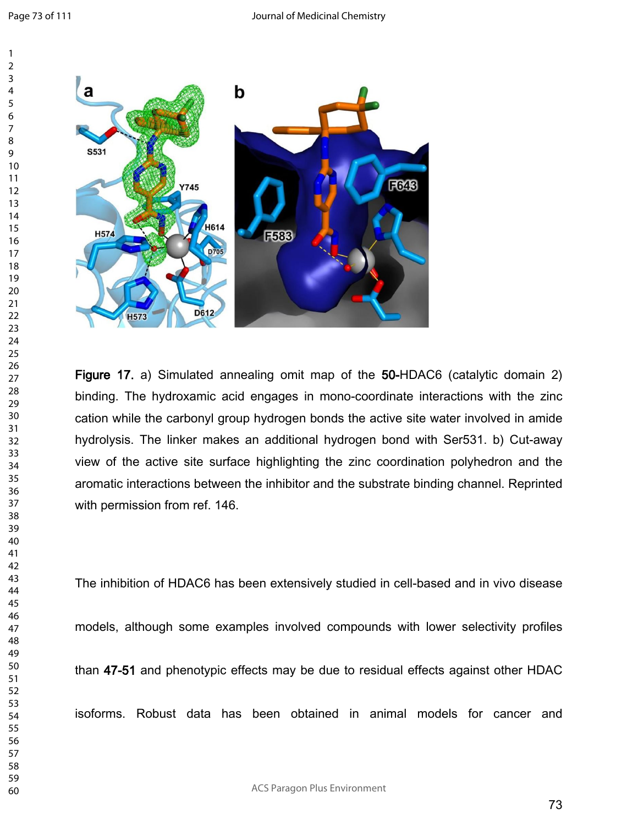

**Figure 17.** a) Simulated annealing omit map of the **50-**HDAC6 (catalytic domain 2) binding. The hydroxamic acid engages in mono-coordinate interactions with the zinc cation while the carbonyl group hydrogen bonds the active site water involved in amide hydrolysis. The linker makes an additional hydrogen bond with Ser531. b) Cut-away view of the active site surface highlighting the zinc coordination polyhedron and the aromatic interactions between the inhibitor and the substrate binding channel. Reprinted with permission from ref. 146.

The inhibition of HDAC6 has been extensively studied in cell-based and in vivo disease

models, although some examples involved compounds with lower selectivity profiles

than **47-51** and phenotypic effects may be due to residual effects against other HDAC

isoforms. Robust data has been obtained in animal models for cancer and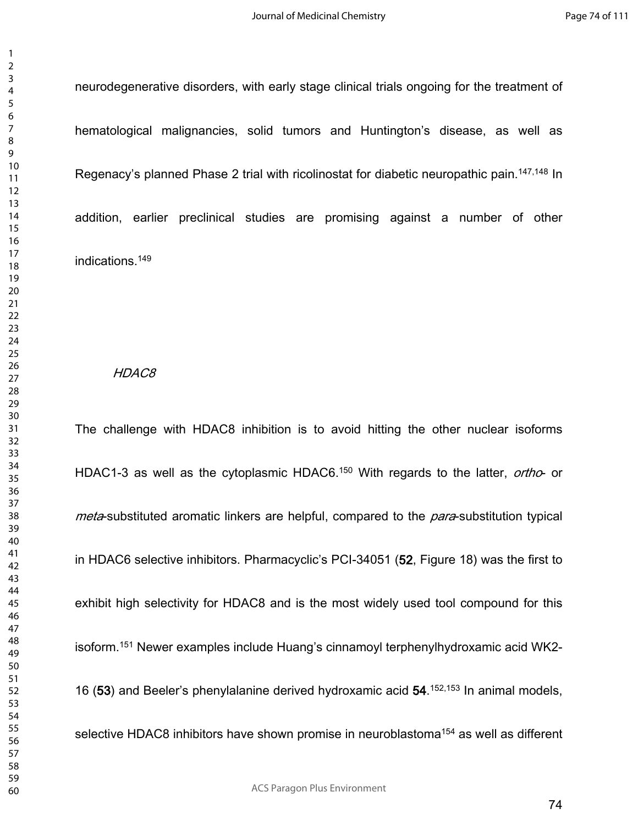neurodegenerative disorders, with early stage clinical trials ongoing for the treatment of hematological malignancies, solid tumors and Huntington's disease, as well as Regenacy's planned Phase 2 trial with ricolinostat for diabetic neuropathic pain.<sup>147,148</sup> In addition, earlier preclinical studies are promising against a number of other indications.<sup>149</sup>

#### *HDAC8*

The challenge with HDAC8 inhibition is to avoid hitting the other nuclear isoforms HDAC1-3 as well as the cytoplasmic HDAC6.<sup>150</sup> With regards to the latter, *ortho*- or *meta*-substituted aromatic linkers are helpful, compared to the *para*-substitution typical in HDAC6 selective inhibitors. Pharmacyclic's PCI-34051 (**52**, Figure 18) was the first to exhibit high selectivity for HDAC8 and is the most widely used tool compound for this isoform.<sup>151</sup> Newer examples include Huang's cinnamoyl terphenylhydroxamic acid WK2- 16 (**53**) and Beeler's phenylalanine derived hydroxamic acid **54**. 152,153 In animal models, selective HDAC8 inhibitors have shown promise in neuroblastoma<sup>154</sup> as well as different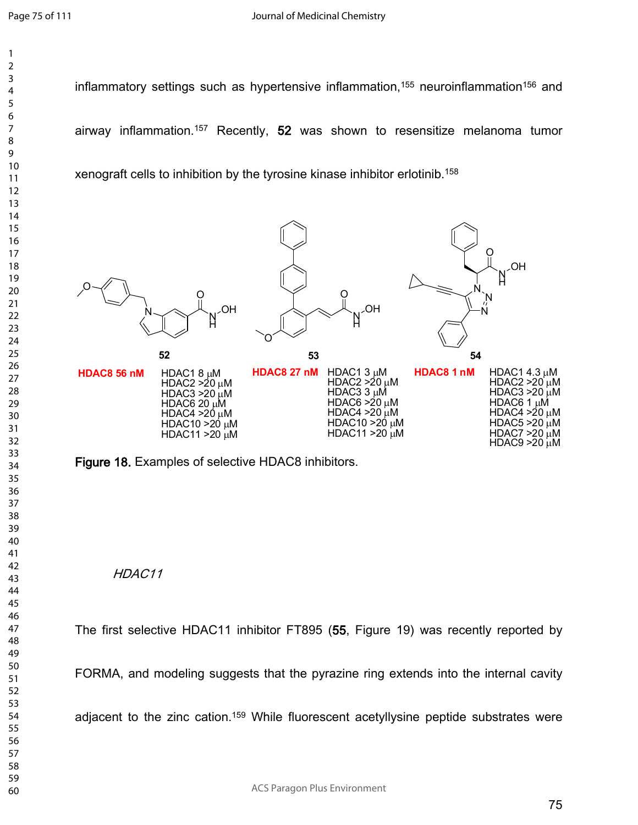inflammatory settings such as hypertensive inflammation,<sup>155</sup> neuroinflammation<sup>156</sup> and airway inflammation.<sup>157</sup> Recently, **52** was shown to resensitize melanoma tumor xenograft cells to inhibition by the tyrosine kinase inhibitor erlotinib.<sup>158</sup>



**Figure 18.** Examples of selective HDAC8 inhibitors.

# *HDAC11*

The first selective HDAC11 inhibitor FT895 (**55**, Figure 19) was recently reported by

FORMA, and modeling suggests that the pyrazine ring extends into the internal cavity

adjacent to the zinc cation.<sup>159</sup> While fluorescent acetyllysine peptide substrates were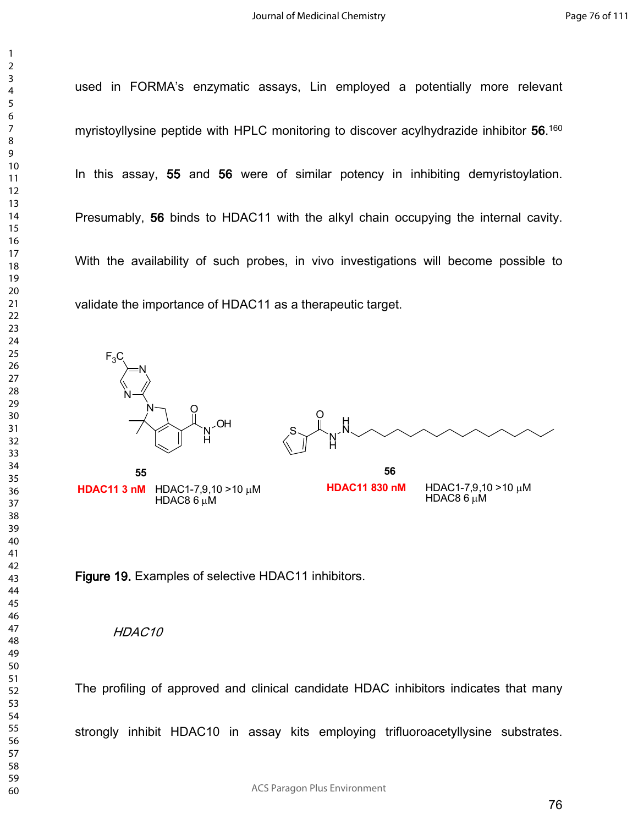> used in FORMA's enzymatic assays, Lin employed a potentially more relevant myristoyllysine peptide with HPLC monitoring to discover acylhydrazide inhibitor **56**. 160 In this assay, **55** and **56** were of similar potency in inhibiting demyristoylation. Presumably, **56** binds to HDAC11 with the alkyl chain occupying the internal cavity. With the availability of such probes, in vivo investigations will become possible to validate the importance of HDAC11 as a therapeutic target.



**HDAC11 3 nM** HDAC1-7,9,10 >10 µM  $HDAC86 \mu M$ 



HDAC1-7,9,10  $>10 \mu M$ HDAC8 $6 \mu$ M **HDAC11 830 nM** 

**Figure 19.** Examples of selective HDAC11 inhibitors.

### *HDAC10*

The profiling of approved and clinical candidate HDAC inhibitors indicates that many

strongly inhibit HDAC10 in assay kits employing trifluoroacetyllysine substrates.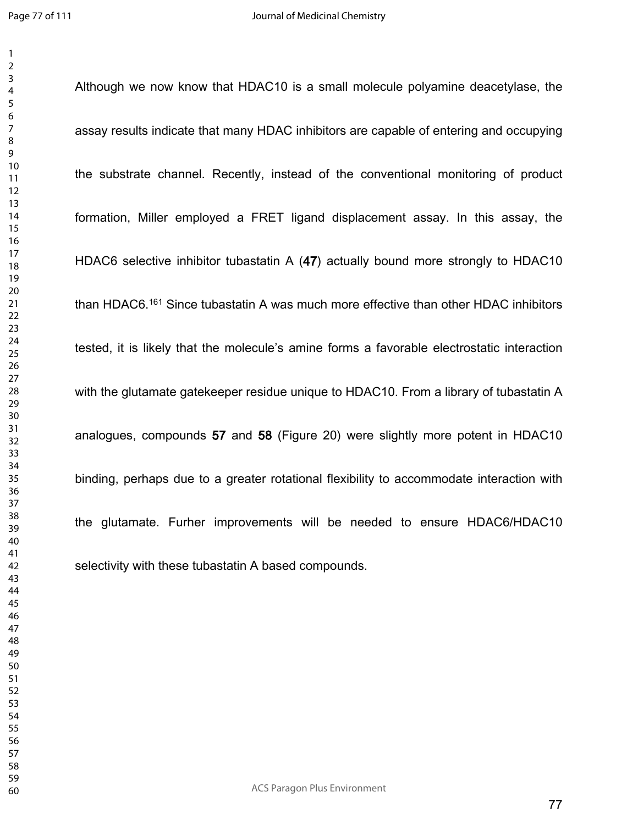Although we now know that HDAC10 is a small molecule polyamine deacetylase, the assay results indicate that many HDAC inhibitors are capable of entering and occupying the substrate channel. Recently, instead of the conventional monitoring of product formation, Miller employed a FRET ligand displacement assay. In this assay, the HDAC6 selective inhibitor tubastatin A (**47**) actually bound more strongly to HDAC10 than HDAC6.<sup>161</sup> Since tubastatin A was much more effective than other HDAC inhibitors tested, it is likely that the molecule's amine forms a favorable electrostatic interaction with the glutamate gatekeeper residue unique to HDAC10. From a library of tubastatin A analogues, compounds **57** and **58** (Figure 20) were slightly more potent in HDAC10 binding, perhaps due to a greater rotational flexibility to accommodate interaction with the glutamate. Furher improvements will be needed to ensure HDAC6/HDAC10 selectivity with these tubastatin A based compounds.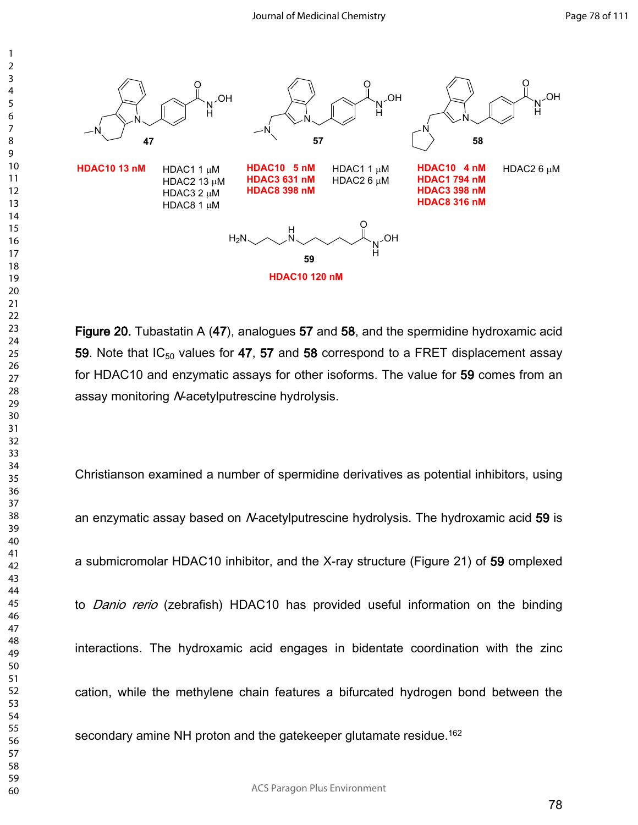

**Figure 20.** Tubastatin A (**47**), analogues **57** and **58**, and the spermidine hydroxamic acid **59**. Note that IC<sub>50</sub> values for 47, 57 and 58 correspond to a FRET displacement assay for HDAC10 and enzymatic assays for other isoforms. The value for **59** comes from an assay monitoring *N*-acetylputrescine hydrolysis.

Christianson examined a number of spermidine derivatives as potential inhibitors, using an enzymatic assay based on *N*-acetylputrescine hydrolysis. The hydroxamic acid **59** is a submicromolar HDAC10 inhibitor, and the X-ray structure (Figure 21) of **59** omplexed to *Danio rerio* (zebrafish) HDAC10 has provided useful information on the binding interactions. The hydroxamic acid engages in bidentate coordination with the zinc cation, while the methylene chain features a bifurcated hydrogen bond between the secondary amine NH proton and the gatekeeper glutamate residue.<sup>162</sup>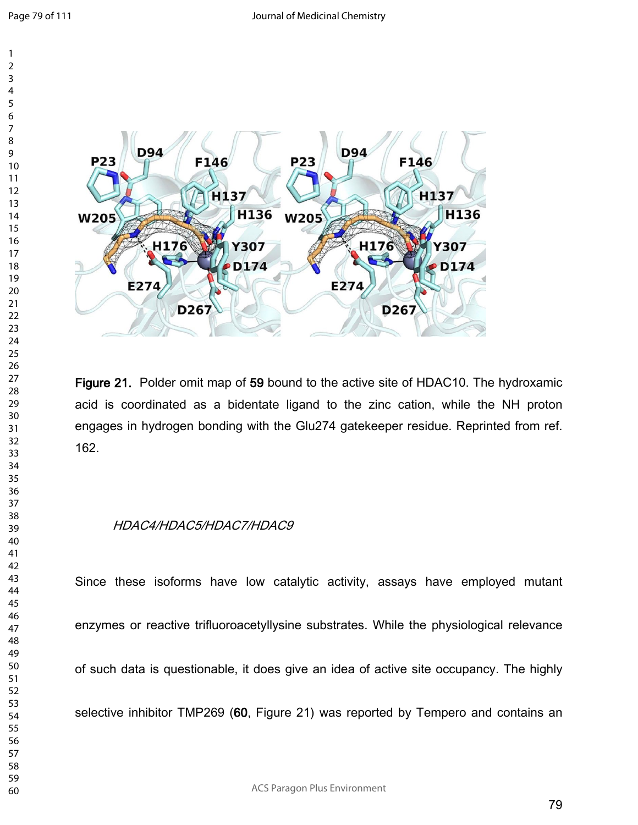

**Figure 21.** Polder omit map of **59** bound to the active site of HDAC10. The hydroxamic acid is coordinated as a bidentate ligand to the zinc cation, while the NH proton engages in hydrogen bonding with the Glu274 gatekeeper residue. Reprinted from ref. 162.

## *HDAC4/HDAC5/HDAC7/HDAC9*

Since these isoforms have low catalytic activity, assays have employed mutant enzymes or reactive trifluoroacetyllysine substrates. While the physiological relevance of such data is questionable, it does give an idea of active site occupancy. The highly selective inhibitor TMP269 (**60**, Figure 21) was reported by Tempero and contains an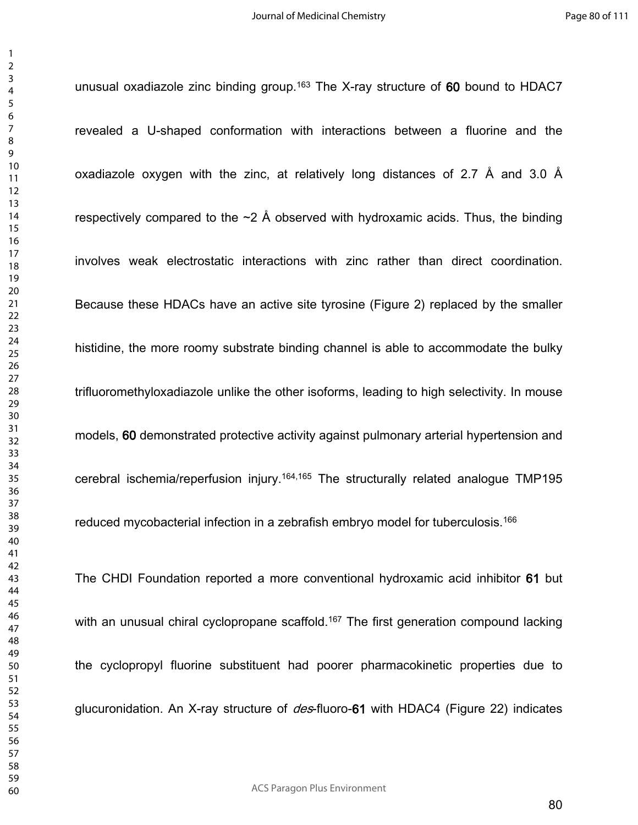unusual oxadiazole zinc binding group.<sup>163</sup> The X-ray structure of **60** bound to HDAC7

revealed a U-shaped conformation with interactions between a fluorine and the oxadiazole oxygen with the zinc, at relatively long distances of 2.7 Å and 3.0 Å respectively compared to the  $\sim$ 2 Å observed with hydroxamic acids. Thus, the binding involves weak electrostatic interactions with zinc rather than direct coordination. Because these HDACs have an active site tyrosine (Figure 2) replaced by the smaller histidine, the more roomy substrate binding channel is able to accommodate the bulky trifluoromethyloxadiazole unlike the other isoforms, leading to high selectivity. In mouse models, **60** demonstrated protective activity against pulmonary arterial hypertension and cerebral ischemia/reperfusion injury.<sup>164,165</sup> The structurally related analogue TMP195 reduced mycobacterial infection in a zebrafish embryo model for tuberculosis.<sup>166</sup> The CHDI Foundation reported a more conventional hydroxamic acid inhibitor **61** but

with an unusual chiral cyclopropane scaffold.<sup>167</sup> The first generation compound lacking the cyclopropyl fluorine substituent had poorer pharmacokinetic properties due to glucuronidation. An X-ray structure of *des*-fluoro-**61** with HDAC4 (Figure 22) indicates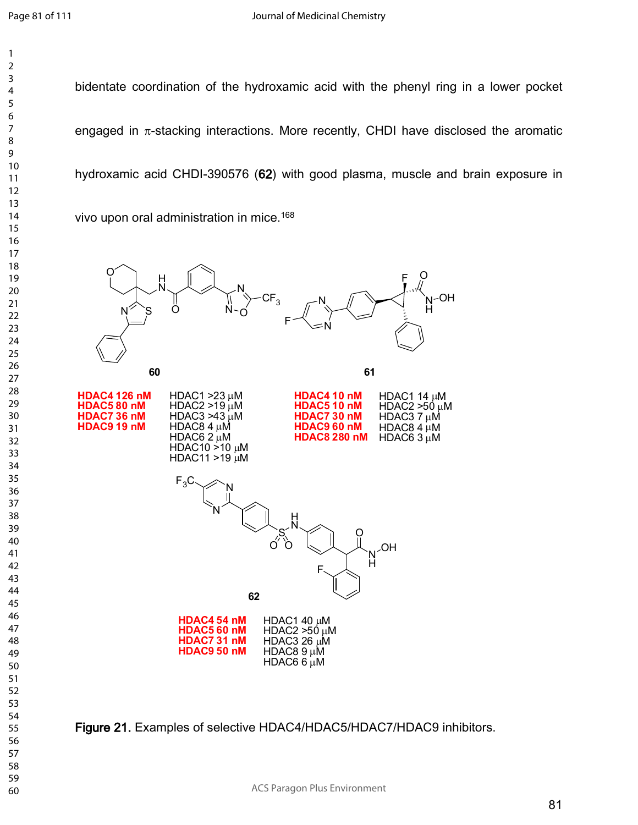

bidentate coordination of the hydroxamic acid with the phenyl ring in a lower pocket engaged in  $\pi$ -stacking interactions. More recently, CHDI have disclosed the aromatic hydroxamic acid CHDI-390576 (**62**) with good plasma, muscle and brain exposure in vivo upon oral administration in mice.<sup>168</sup>



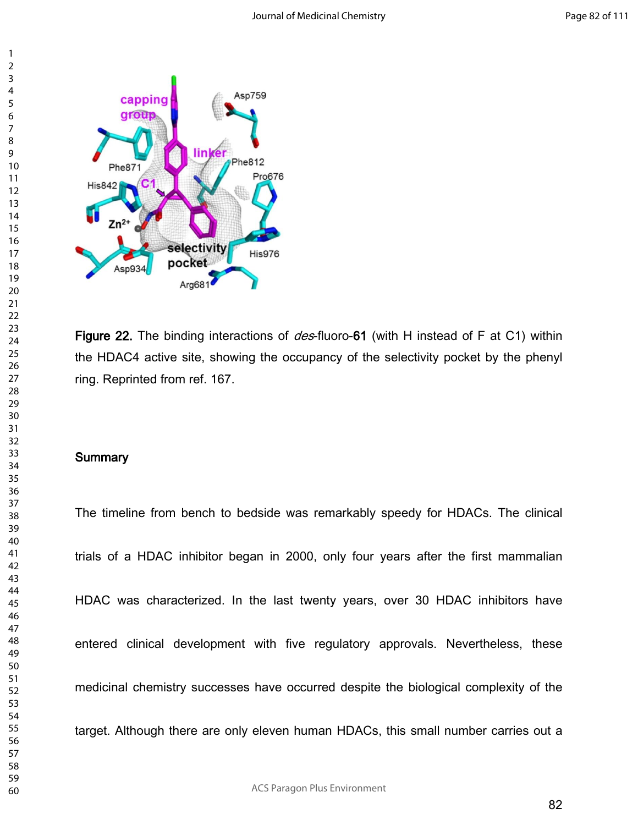

**Figure 22.** The binding interactions of *des*-fluoro-**61** (with H instead of F at C1) within the HDAC4 active site, showing the occupancy of the selectivity pocket by the phenyl ring. Reprinted from ref. 167.

#### **Summary**

The timeline from bench to bedside was remarkably speedy for HDACs. The clinical trials of a HDAC inhibitor began in 2000, only four years after the first mammalian HDAC was characterized. In the last twenty years, over 30 HDAC inhibitors have entered clinical development with five regulatory approvals. Nevertheless, these medicinal chemistry successes have occurred despite the biological complexity of the target. Although there are only eleven human HDACs, this small number carries out a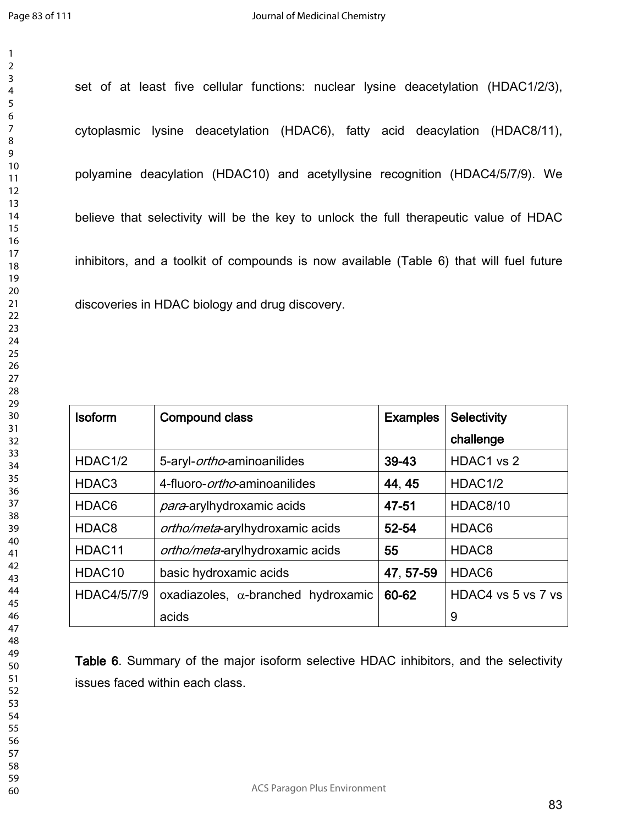set of at least five cellular functions: nuclear lysine deacetylation (HDAC1/2/3), cytoplasmic lysine deacetylation (HDAC6), fatty acid deacylation (HDAC8/11), polyamine deacylation (HDAC10) and acetyllysine recognition (HDAC4/5/7/9). We believe that selectivity will be the key to unlock the full therapeutic value of HDAC inhibitors, and a toolkit of compounds is now available (Table 6) that will fuel future discoveries in HDAC biology and drug discovery.

| <b>Isoform</b>      | <b>Compound class</b>                      | <b>Examples</b> | <b>Selectivity</b> |
|---------------------|--------------------------------------------|-----------------|--------------------|
|                     |                                            |                 | challenge          |
| HDAC <sub>1/2</sub> | 5-aryl- <i>ortho</i> -aminoanilides        | 39-43           | HDAC1 vs 2         |
| HDAC <sub>3</sub>   | 4-fluoro- <i>ortho</i> -aminoanilides      | 44, 45          | HDAC1/2            |
| HDAC6               | para-arylhydroxamic acids                  | 47-51           | <b>HDAC8/10</b>    |
| HDAC <sub>8</sub>   | <i>ortho/meta</i> -arylhydroxamic acids    | 52-54           | HDAC <sub>6</sub>  |
| HDAC11              | ortho/meta-arylhydroxamic acids            | 55              | HDAC <sub>8</sub>  |
| HDAC10              | basic hydroxamic acids                     | 47, 57-59       | HDAC <sub>6</sub>  |
| HDAC4/5/7/9         | oxadiazoles, $\alpha$ -branched hydroxamic | 60-62           | HDAC4 vs 5 vs 7 vs |
|                     | acids                                      |                 | 9                  |

**Table 6**. Summary of the major isoform selective HDAC inhibitors, and the selectivity issues faced within each class.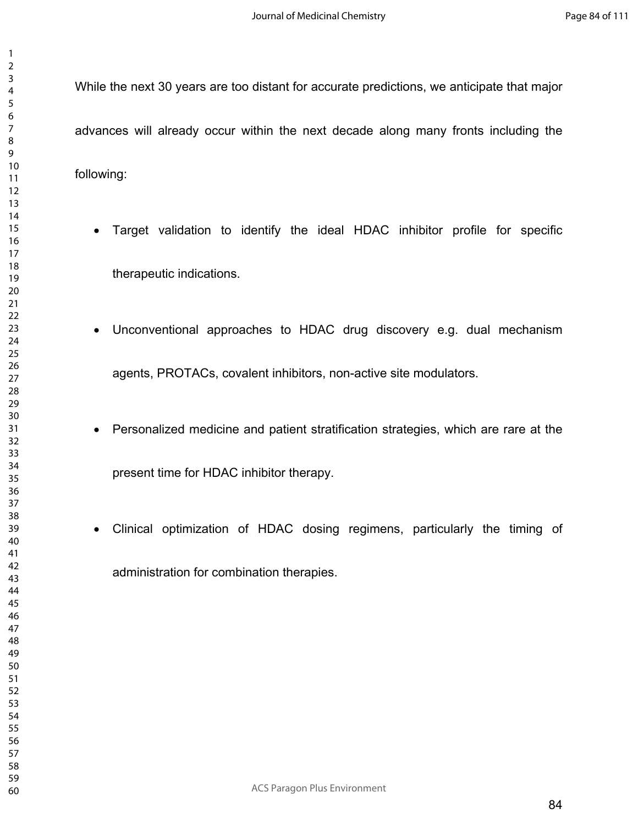While the next 30 years are too distant for accurate predictions, we anticipate that major advances will already occur within the next decade along many fronts including the following:

- Target validation to identify the ideal HDAC inhibitor profile for specific therapeutic indications.
- Unconventional approaches to HDAC drug discovery e.g. dual mechanism agents, PROTACs, covalent inhibitors, non-active site modulators.
- Personalized medicine and patient stratification strategies, which are rare at the present time for HDAC inhibitor therapy.
- Clinical optimization of HDAC dosing regimens, particularly the timing of administration for combination therapies.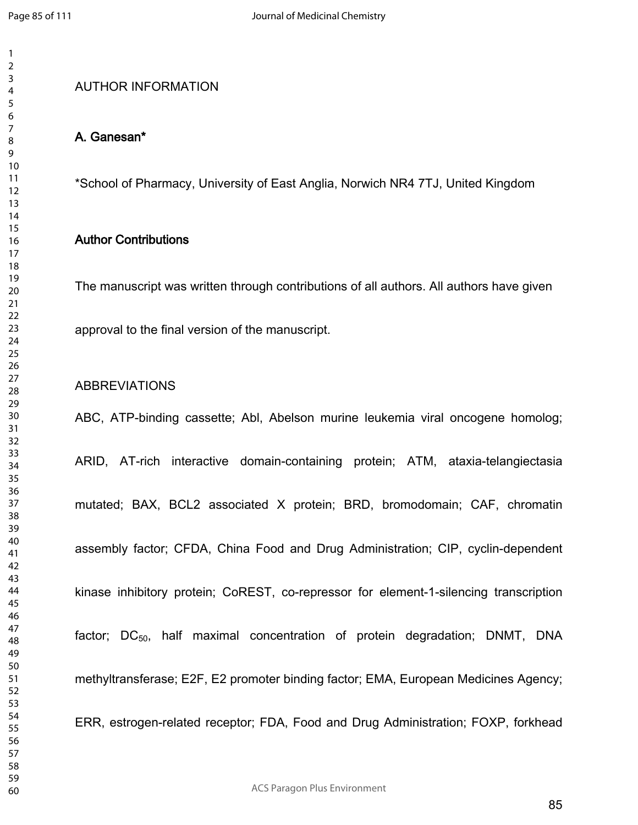## AUTHOR INFORMATION

### **A. Ganesan\***

\*School of Pharmacy, University of East Anglia, Norwich NR4 7TJ, United Kingdom

#### **Author Contributions**

approval to the final version of the manuscript.

The manuscript was written through contributions of all authors. All authors have given

### ABBREVIATIONS

ABC, ATP-binding cassette; Abl, Abelson murine leukemia viral oncogene homolog; ARID, AT-rich interactive domain-containing protein; ATM, ataxia-telangiectasia mutated; BAX, BCL2 associated X protein; BRD, bromodomain; CAF, chromatin assembly factor; CFDA, China Food and Drug Administration; CIP, cyclin-dependent kinase inhibitory protein; CoREST, co-repressor for element-1-silencing transcription factor;  $DC_{50}$ , half maximal concentration of protein degradation; DNMT, DNA methyltransferase; E2F, E2 promoter binding factor; EMA, European Medicines Agency; ERR, estrogen-related receptor; FDA, Food and Drug Administration; FOXP, forkhead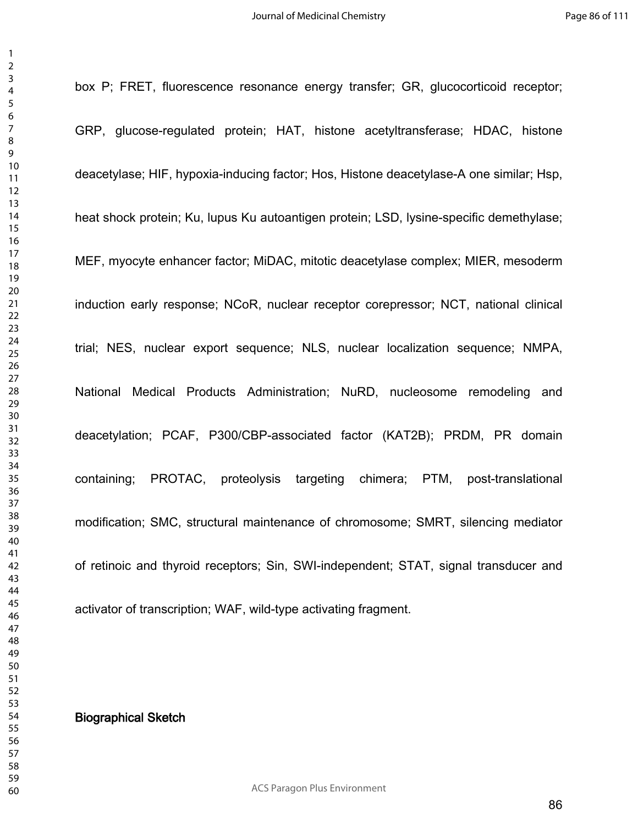box P; FRET, fluorescence resonance energy transfer; GR, glucocorticoid receptor; GRP, glucose-regulated protein; HAT, histone acetyltransferase; HDAC, histone deacetylase; HIF, hypoxia-inducing factor; Hos, Histone deacetylase-A one similar; Hsp, heat shock protein; Ku, lupus Ku autoantigen protein; LSD, lysine-specific demethylase; MEF, myocyte enhancer factor; MiDAC, mitotic deacetylase complex; MIER, mesoderm induction early response; NCoR, nuclear receptor corepressor; NCT, national clinical trial; NES, nuclear export sequence; NLS, nuclear localization sequence; NMPA, National Medical Products Administration; NuRD, nucleosome remodeling and deacetylation; PCAF, P300/CBP-associated factor (KAT2B); PRDM, PR domain containing; PROTAC, proteolysis targeting chimera; PTM, post-translational modification; SMC, structural maintenance of chromosome; SMRT, silencing mediator of retinoic and thyroid receptors; Sin, SWI-independent; STAT, signal transducer and activator of transcription; WAF, wild-type activating fragment.

### **Biographical Sketch**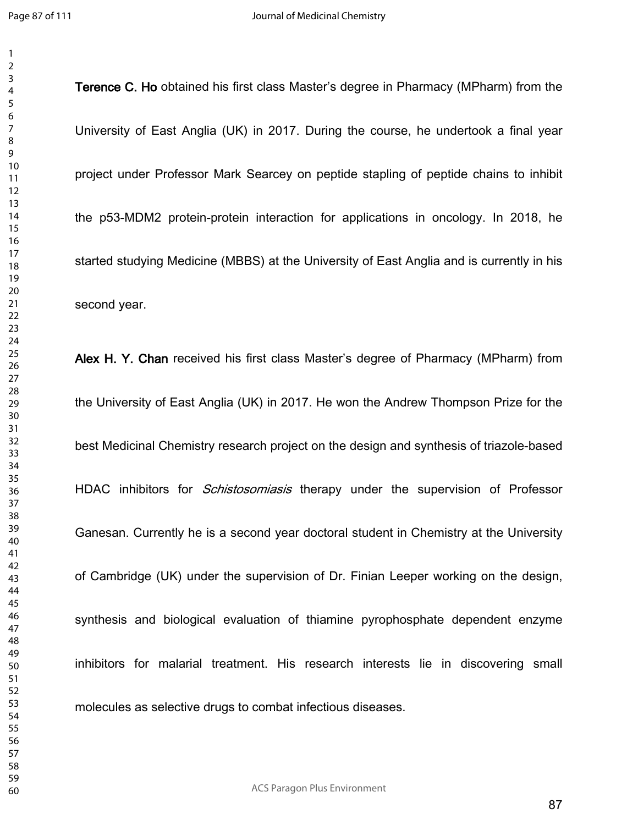**Terence C. Ho** obtained his first class Master's degree in Pharmacy (MPharm) from the

University of East Anglia (UK) in 2017. During the course, he undertook a final year project under Professor Mark Searcey on peptide stapling of peptide chains to inhibit the p53-MDM2 protein-protein interaction for applications in oncology. In 2018, he started studying Medicine (MBBS) at the University of East Anglia and is currently in his second year.

**Alex H. Y. Chan** received his first class Master's degree of Pharmacy (MPharm) from the University of East Anglia (UK) in 2017. He won the Andrew Thompson Prize for the best Medicinal Chemistry research project on the design and synthesis of triazole-based HDAC inhibitors for *Schistosomiasis* therapy under the supervision of Professor Ganesan. Currently he is a second year doctoral student in Chemistry at the University of Cambridge (UK) under the supervision of Dr. Finian Leeper working on the design, synthesis and biological evaluation of thiamine pyrophosphate dependent enzyme inhibitors for malarial treatment. His research interests lie in discovering small molecules as selective drugs to combat infectious diseases.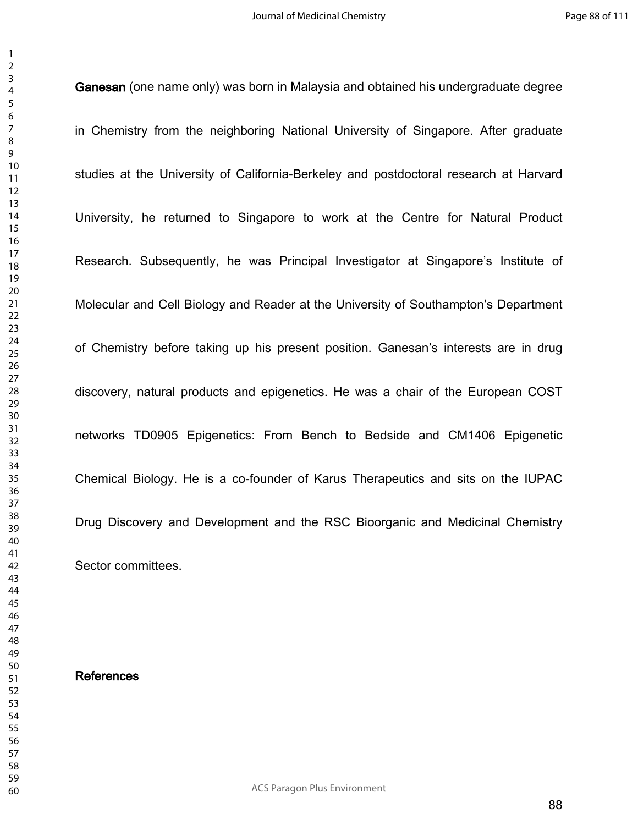**Ganesan** (one name only) was born in Malaysia and obtained his undergraduate degree

in Chemistry from the neighboring National University of Singapore. After graduate studies at the University of California-Berkeley and postdoctoral research at Harvard University, he returned to Singapore to work at the Centre for Natural Product Research. Subsequently, he was Principal Investigator at Singapore's Institute of Molecular and Cell Biology and Reader at the University of Southampton's Department of Chemistry before taking up his present position. Ganesan's interests are in drug discovery, natural products and epigenetics. He was a chair of the European COST networks TD0905 Epigenetics: From Bench to Bedside and CM1406 Epigenetic Chemical Biology. He is a co-founder of Karus Therapeutics and sits on the IUPAC Drug Discovery and Development and the RSC Bioorganic and Medicinal Chemistry Sector committees.

#### **References**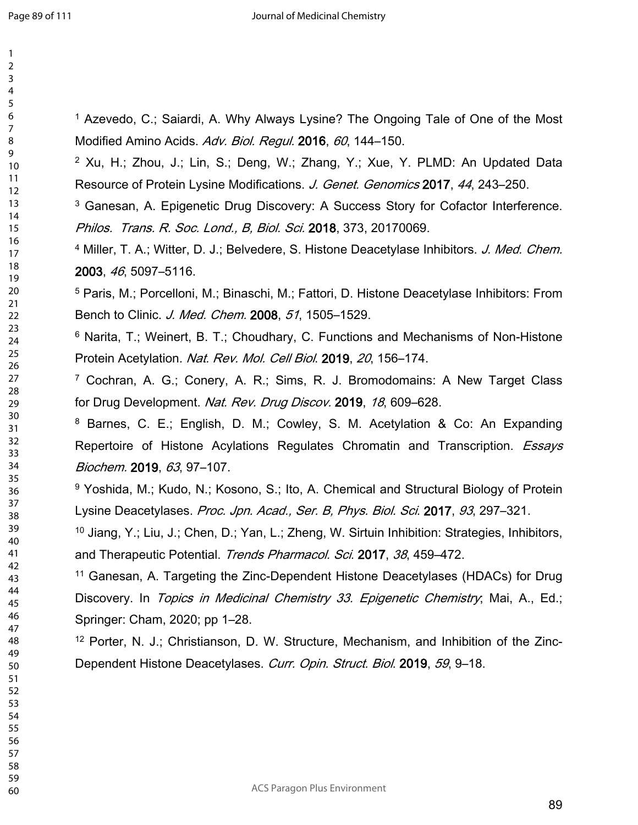| 2               |  |
|-----------------|--|
| 3               |  |
| 4               |  |
| 5               |  |
| 6               |  |
|                 |  |
|                 |  |
| 8               |  |
| 9               |  |
| 10              |  |
| 11              |  |
| $\overline{12}$ |  |
| 13              |  |
|                 |  |
| 14              |  |
| 15              |  |
| 16              |  |
| 1               |  |
| 18              |  |
| 19              |  |
| 20              |  |
| $\overline{21}$ |  |
|                 |  |
| $^{22}$         |  |
| 23              |  |
| $^{24}$         |  |
| 25              |  |
| 26              |  |
| 27              |  |
| 28              |  |
| 29              |  |
|                 |  |
| 30              |  |
| $\overline{31}$ |  |
| $\overline{32}$ |  |
| 33              |  |
| 34              |  |
| 35              |  |
| 36              |  |
| 37              |  |
| 38              |  |
|                 |  |
| 39              |  |
| 40              |  |
| 41              |  |
| 42              |  |
| 43              |  |
| 44              |  |
| 45              |  |
| 46              |  |
|                 |  |
| 47              |  |
| 48              |  |
| 49              |  |
| 50              |  |
| 51              |  |
| 52              |  |
| 53              |  |
| 54              |  |
| 55              |  |
|                 |  |
| 56              |  |
| 57              |  |
| 58              |  |

 

<sup>1</sup> Azevedo, C.; Saiardi, A. Why Always Lysine? The Ongoing Tale of One of the Most Modified Amino Acids. *Adv. Biol. Regul.* **2016**, *60*, 144–150.

 Xu, H.; Zhou, J.; Lin, S.; Deng, W.; Zhang, Y.; Xue, Y. PLMD: An Updated Data Resource of Protein Lysine Modifications. *J. Genet. Genomics* **2017**, *44*, 243–250.

<sup>3</sup> Ganesan, A. Epigenetic Drug Discovery: A Success Story for Cofactor Interference. *Philos. Trans. R. Soc. Lond., B, Biol. Sci.* **2018**, 373, 20170069.

 Miller, T. A.; Witter, D. J.; Belvedere, S. Histone Deacetylase Inhibitors. *J. Med. Chem.* , *46*, 5097–5116.

 Paris, M.; Porcelloni, M.; Binaschi, M.; Fattori, D. Histone Deacetylase Inhibitors: From Bench to Clinic. *J. Med. Chem.* **2008**, *51*, 1505–1529.

 Narita, T.; Weinert, B. T.; Choudhary, C. Functions and Mechanisms of Non-Histone Protein Acetylation. *Nat. Rev. Mol. Cell Biol*. **2019**, *20*, 156–174.

 Cochran, A. G.; Conery, A. R.; Sims, R. J. Bromodomains: A New Target Class for Drug Development. *Nat. Rev. Drug Discov.* **2019**, *18*, 609–628.

 Barnes, C. E.; English, D. M.; Cowley, S. M. Acetylation & Co: An Expanding Repertoire of Histone Acylations Regulates Chromatin and Transcription. *Essays Biochem.* **2019**, *63*, 97–107.

<sup>9</sup> Yoshida, M.; Kudo, N.; Kosono, S.; Ito, A. Chemical and Structural Biology of Protein Lysine Deacetylases. *Proc. Jpn. Acad., Ser. B, Phys. Biol. Sci*. **2017**, *93*, 297–321.

 Jiang, Y.; Liu, J.; Chen, D.; Yan, L.; Zheng, W. Sirtuin Inhibition: Strategies, Inhibitors, and Therapeutic Potential. *Trends Pharmacol. Sci*. **2017**, *38*, 459–472.

 Ganesan, A. Targeting the Zinc-Dependent Histone Deacetylases (HDACs) for Drug Discovery. In *Topics in Medicinal Chemistry 33. Epigenetic Chemistry*; Mai, A., Ed.; Springer: Cham, 2020; pp 1–28.

 Porter, N. J.; Christianson, D. W. Structure, Mechanism, and Inhibition of the Zinc-Dependent Histone Deacetylases. *Curr. Opin. Struct. Biol*. **2019**, *59*, 9–18.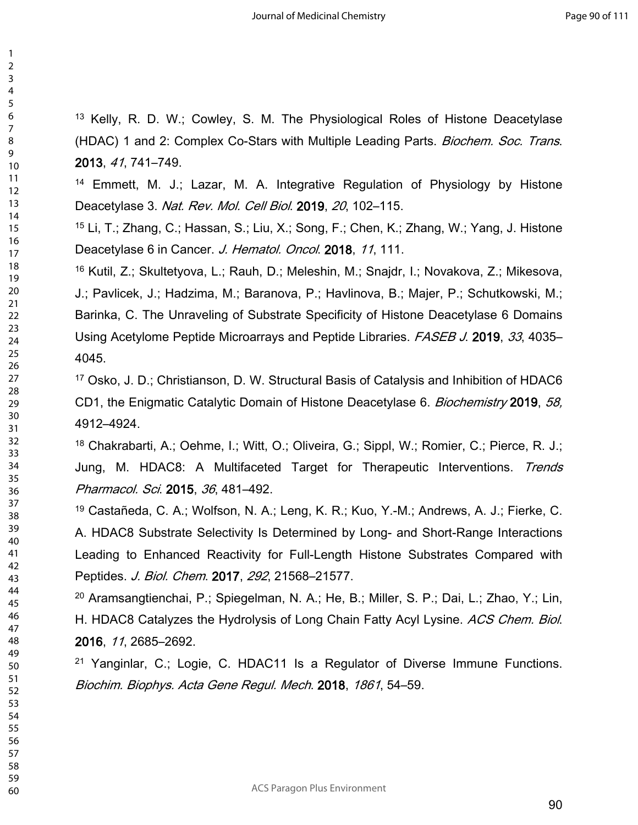Kelly, R. D. W.; Cowley, S. M. The Physiological Roles of Histone Deacetylase (HDAC) 1 and 2: Complex Co-Stars with Multiple Leading Parts. *Biochem. Soc. Trans*. , *41*, 741–749.

 Emmett, M. J.; Lazar, M. A. Integrative Regulation of Physiology by Histone Deacetylase 3. *Nat. Rev. Mol. Cell Biol*. **2019**, *20*, 102–115.

 Li, T.; Zhang, C.; Hassan, S.; Liu, X.; Song, F.; Chen, K.; Zhang, W.; Yang, J. Histone Deacetylase 6 in Cancer. *J. Hematol. Oncol*. **2018**, *11*, 111.

 Kutil, Z.; Skultetyova, L.; Rauh, D.; Meleshin, M.; Snajdr, I.; Novakova, Z.; Mikesova, J.; Pavlicek, J.; Hadzima, M.; Baranova, P.; Havlinova, B.; Majer, P.; Schutkowski, M.; Barinka, C. The Unraveling of Substrate Specificity of Histone Deacetylase 6 Domains Using Acetylome Peptide Microarrays and Peptide Libraries. *FASEB J*. **2019**, *33*, 4035– 4045.

 Osko, J. D.; Christianson, D. W. Structural Basis of Catalysis and Inhibition of HDAC6 CD1, the Enigmatic Catalytic Domain of Histone Deacetylase 6. *Biochemistry* **2019**, *58,* 4912–4924.

 Chakrabarti, A.; Oehme, I.; Witt, O.; Oliveira, G.; Sippl, W.; Romier, C.; Pierce, R. J.; Jung, M. HDAC8: A Multifaceted Target for Therapeutic Interventions. *Trends Pharmacol. Sci*. **2015**, *36*, 481–492.

 Castañeda, C. A.; Wolfson, N. A.; Leng, K. R.; Kuo, Y.-M.; Andrews, A. J.; Fierke, C. A. HDAC8 Substrate Selectivity Is Determined by Long- and Short-Range Interactions Leading to Enhanced Reactivity for Full-Length Histone Substrates Compared with Peptides. *J. Biol. Chem*. **2017**, *292*, 21568–21577.

 Aramsangtienchai, P.; Spiegelman, N. A.; He, B.; Miller, S. P.; Dai, L.; Zhao, Y.; Lin, H. HDAC8 Catalyzes the Hydrolysis of Long Chain Fatty Acyl Lysine. *ACS Chem. Biol*. , *11*, 2685–2692.

 Yanginlar, C.; Logie, C. HDAC11 Is a Regulator of Diverse Immune Functions. *Biochim. Biophys. Acta Gene Regul. Mech*. **2018**, *1861*, 54–59.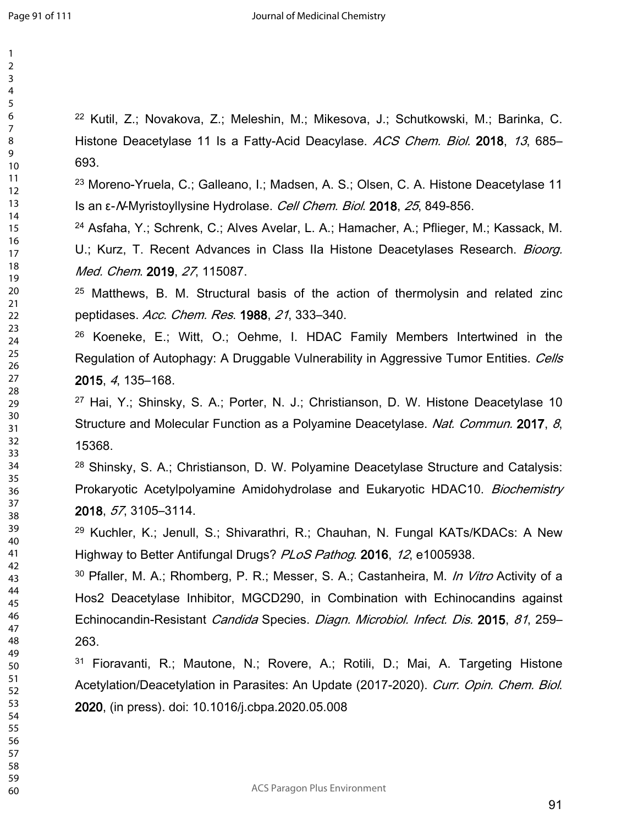Kutil, Z.; Novakova, Z.; Meleshin, M.; Mikesova, J.; Schutkowski, M.; Barinka, C. Histone Deacetylase 11 Is a Fatty-Acid Deacylase. *ACS Chem. Biol.* **2018**, *13*, 685– 693.

 Moreno-Yruela, C.; Galleano, I.; Madsen, A. S.; Olsen, C. A. Histone Deacetylase 11 Is an ε-*N*-Myristoyllysine Hydrolase. *Cell Chem. Biol*. **2018**, *25*, 849-856.

 Asfaha, Y.; Schrenk, C.; Alves Avelar, L. A.; Hamacher, A.; Pflieger, M.; Kassack, M. U.; Kurz, T. Recent Advances in Class IIa Histone Deacetylases Research. *Bioorg. Med. Chem*. **2019**, *27*, 115087.

 Matthews, B. M. Structural basis of the action of thermolysin and related zinc peptidases. *Acc. Chem. Res*. **1988**, *21*, 333–340.

 Koeneke, E.; Witt, O.; Oehme, I. HDAC Family Members Intertwined in the Regulation of Autophagy: A Druggable Vulnerability in Aggressive Tumor Entities. *Cells* , *4*, 135–168.

 Hai, Y.; Shinsky, S. A.; Porter, N. J.; Christianson, D. W. Histone Deacetylase 10 Structure and Molecular Function as a Polyamine Deacetylase. *Nat. Commun.* **2017**, *8*, 15368.

 Shinsky, S. A.; Christianson, D. W. Polyamine Deacetylase Structure and Catalysis: Prokaryotic Acetylpolyamine Amidohydrolase and Eukaryotic HDAC10. *Biochemistry* , *57*, 3105–3114.

 Kuchler, K.; Jenull, S.; Shivarathri, R.; Chauhan, N. Fungal KATs/KDACs: A New Highway to Better Antifungal Drugs? *PLoS Pathog*. **2016**, *12*, e1005938.

 Pfaller, M. A.; Rhomberg, P. R.; Messer, S. A.; Castanheira, M. *In Vitro* Activity of a Hos2 Deacetylase Inhibitor, MGCD290, in Combination with Echinocandins against Echinocandin-Resistant *Candida* Species. *Diagn. Microbiol. Infect. Dis.* **2015**, *81*, 259– 263.

 Fioravanti, R.; Mautone, N.; Rovere, A.; Rotili, D.; Mai, A. Targeting Histone Acetylation/Deacetylation in Parasites: An Update (2017-2020). *Curr. Opin. Chem. Biol*. , (in press). doi: 10.1016/j.cbpa.2020.05.008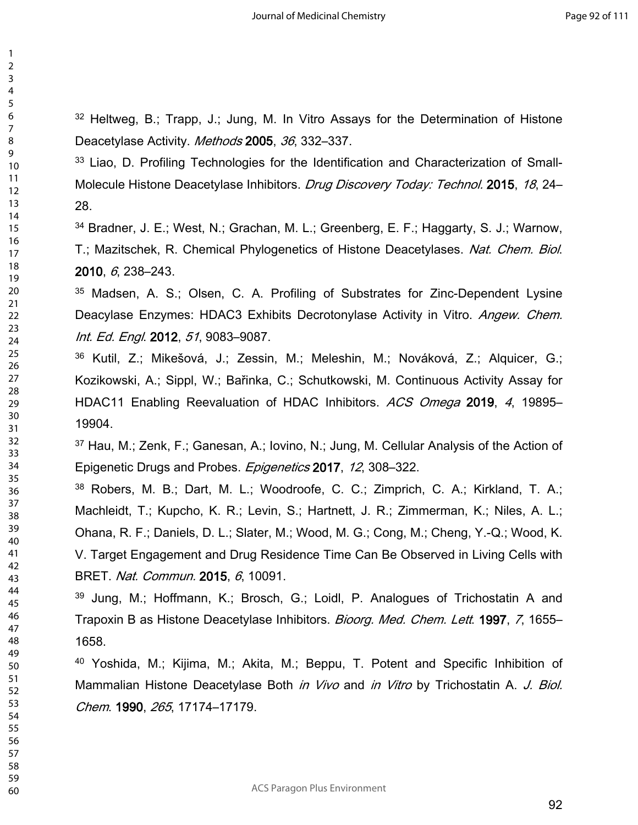Heltweg, B.; Trapp, J.; Jung, M. In Vitro Assays for the Determination of Histone Deacetylase Activity. *Methods* **2005**, *36*, 332–337.

<sup>33</sup> Liao, D. Profiling Technologies for the Identification and Characterization of Small-Molecule Histone Deacetylase Inhibitors. *Drug Discovery Today: Technol.* **2015**, *18*, 24– 28.

 Bradner, J. E.; West, N.; Grachan, M. L.; Greenberg, E. F.; Haggarty, S. J.; Warnow, T.; Mazitschek, R. Chemical Phylogenetics of Histone Deacetylases. *Nat. Chem. Biol*. , *6*, 238–243.

 Madsen, A. S.; Olsen, C. A. Profiling of Substrates for Zinc-Dependent Lysine Deacylase Enzymes: HDAC3 Exhibits Decrotonylase Activity in Vitro. *Angew. Chem. Int. Ed. Engl*. **2012**, *51*, 9083–9087.

 Kutil, Z.; Mikešová, J.; Zessin, M.; Meleshin, M.; Nováková, Z.; Alquicer, G.; Kozikowski, A.; Sippl, W.; Bařinka, C.; Schutkowski, M. Continuous Activity Assay for HDAC11 Enabling Reevaluation of HDAC Inhibitors. *ACS Omega* **2019**, *4*, 19895– 19904.

 Hau, M.; Zenk, F.; Ganesan, A.; Iovino, N.; Jung, M. Cellular Analysis of the Action of Epigenetic Drugs and Probes. *Epigenetics* **2017**, *12*, 308–322.

 Robers, M. B.; Dart, M. L.; Woodroofe, C. C.; Zimprich, C. A.; Kirkland, T. A.; Machleidt, T.; Kupcho, K. R.; Levin, S.; Hartnett, J. R.; Zimmerman, K.; Niles, A. L.; Ohana, R. F.; Daniels, D. L.; Slater, M.; Wood, M. G.; Cong, M.; Cheng, Y.-Q.; Wood, K. V. Target Engagement and Drug Residence Time Can Be Observed in Living Cells with BRET. *Nat. Commun.* **2015**, *6*, 10091.

 Jung, M.; Hoffmann, K.; Brosch, G.; Loidl, P. Analogues of Trichostatin A and Trapoxin B as Histone Deacetylase Inhibitors. *Bioorg. Med. Chem. Lett*. **1997**, *7*, 1655– 1658.

 Yoshida, M.; Kijima, M.; Akita, M.; Beppu, T. Potent and Specific Inhibition of Mammalian Histone Deacetylase Both *in Vivo* and *in Vitro* by Trichostatin A. *J. Biol. Chem*. **1990**, *265*, 17174–17179.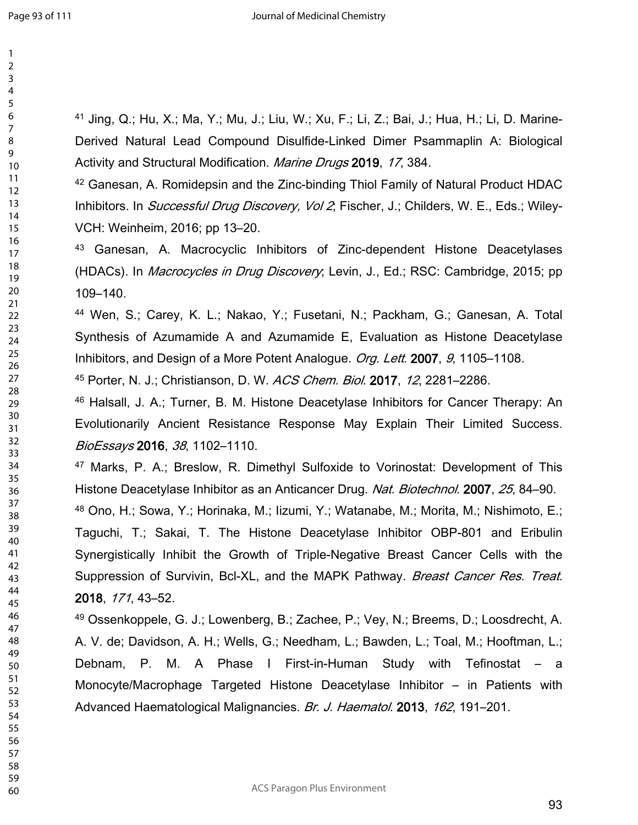> 

 Jing, Q.; Hu, X.; Ma, Y.; Mu, J.; Liu, W.; Xu, F.; Li, Z.; Bai, J.; Hua, H.; Li, D. Marine-Derived Natural Lead Compound Disulfide-Linked Dimer Psammaplin A: Biological Activity and Structural Modification. *Marine Drugs* **2019**, *17*, 384.

 Ganesan, A. Romidepsin and the Zinc-binding Thiol Family of Natural Product HDAC Inhibitors. In *Successful Drug Discovery, Vol 2*; Fischer, J.; Childers, W. E., Eds.; Wiley-VCH: Weinheim, 2016; pp 13–20.

 Ganesan, A. Macrocyclic Inhibitors of Zinc-dependent Histone Deacetylases (HDACs). In *Macrocycles in Drug Discovery*; Levin, J., Ed.; RSC: Cambridge, 2015; pp 109–140.

 Wen, S.; Carey, K. L.; Nakao, Y.; Fusetani, N.; Packham, G.; Ganesan, A. Total Synthesis of Azumamide A and Azumamide E, Evaluation as Histone Deacetylase Inhibitors, and Design of a More Potent Analogue. *Org. Lett*. **2007**, *9*, 1105–1108.

Porter, N. J.; Christianson, D. W. *ACS Chem. Biol*. **2017**, *12*, 2281–2286.

 Halsall, J. A.; Turner, B. M. Histone Deacetylase Inhibitors for Cancer Therapy: An Evolutionarily Ancient Resistance Response May Explain Their Limited Success. *BioEssays* **2016**, *38*, 1102–1110.

 Marks, P. A.; Breslow, R. Dimethyl Sulfoxide to Vorinostat: Development of This Histone Deacetylase Inhibitor as an Anticancer Drug. *Nat. Biotechnol*. **2007**, *25*, 84–90.

 Ono, H.; Sowa, Y.; Horinaka, M.; Iizumi, Y.; Watanabe, M.; Morita, M.; Nishimoto, E.; Taguchi, T.; Sakai, T. The Histone Deacetylase Inhibitor OBP-801 and Eribulin Synergistically Inhibit the Growth of Triple-Negative Breast Cancer Cells with the Suppression of Survivin, Bcl-XL, and the MAPK Pathway. *Breast Cancer Res. Treat.* , *171*, 43–52.

 Ossenkoppele, G. J.; Lowenberg, B.; Zachee, P.; Vey, N.; Breems, D.; Loosdrecht, A. A. V. de; Davidson, A. H.; Wells, G.; Needham, L.; Bawden, L.; Toal, M.; Hooftman, L.; Debnam, P. M. A Phase I First-in-Human Study with Tefinostat – a Monocyte/Macrophage Targeted Histone Deacetylase Inhibitor – in Patients with Advanced Haematological Malignancies. *Br. J. Haematol*. **2013**, *162*, 191–201.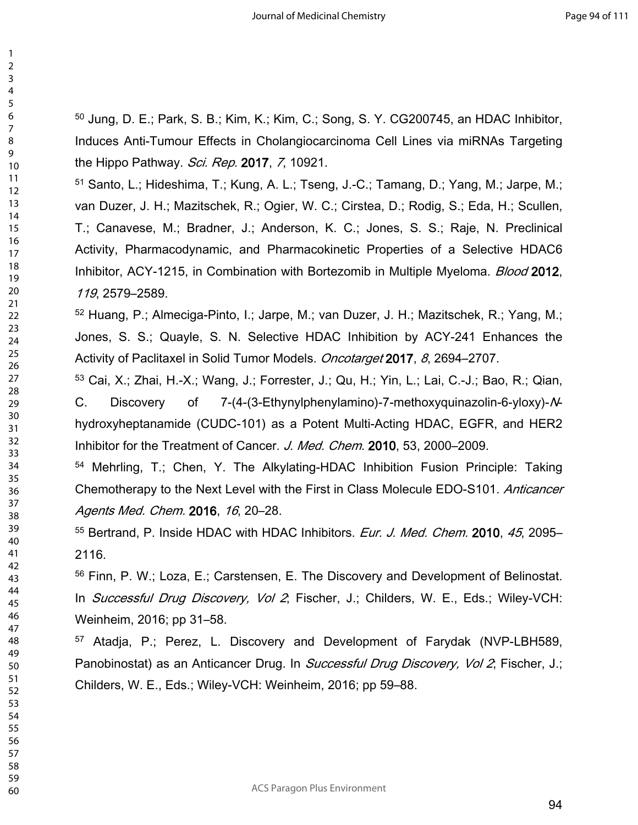Jung, D. E.; Park, S. B.; Kim, K.; Kim, C.; Song, S. Y. CG200745, an HDAC Inhibitor, Induces Anti-Tumour Effects in Cholangiocarcinoma Cell Lines via miRNAs Targeting the Hippo Pathway. *Sci. Rep.* **2017**, *7*, 10921.

 Santo, L.; Hideshima, T.; Kung, A. L.; Tseng, J.-C.; Tamang, D.; Yang, M.; Jarpe, M.; van Duzer, J. H.; Mazitschek, R.; Ogier, W. C.; Cirstea, D.; Rodig, S.; Eda, H.; Scullen, T.; Canavese, M.; Bradner, J.; Anderson, K. C.; Jones, S. S.; Raje, N. Preclinical Activity, Pharmacodynamic, and Pharmacokinetic Properties of a Selective HDAC6 Inhibitor, ACY-1215, in Combination with Bortezomib in Multiple Myeloma. *Blood* **2012**, , 2579–2589.

 Huang, P.; Almeciga-Pinto, I.; Jarpe, M.; van Duzer, J. H.; Mazitschek, R.; Yang, M.; Jones, S. S.; Quayle, S. N. Selective HDAC Inhibition by ACY-241 Enhances the Activity of Paclitaxel in Solid Tumor Models. *Oncotarget* **2017**, *8*, 2694–2707.

 Cai, X.; Zhai, H.-X.; Wang, J.; Forrester, J.; Qu, H.; Yin, L.; Lai, C.-J.; Bao, R.; Qian, C. Discovery of 7-(4-(3-Ethynylphenylamino)-7-methoxyquinazolin-6-yloxy)-*N*hydroxyheptanamide (CUDC-101) as a Potent Multi-Acting HDAC, EGFR, and HER2 Inhibitor for the Treatment of Cancer. *J. Med. Chem*. **2010**, 53, 2000–2009.

 Mehrling, T.; Chen, Y. The Alkylating-HDAC Inhibition Fusion Principle: Taking Chemotherapy to the Next Level with the First in Class Molecule EDO-S101. *Anticancer Agents Med. Chem.* **2016**, *16*, 20–28.

 Bertrand, P. Inside HDAC with HDAC Inhibitors. *Eur. J. Med. Chem.* **2010**, *45*, 2095– 2116.

 Finn, P. W.; Loza, E.; Carstensen, E. The Discovery and Development of Belinostat. In *Successful Drug Discovery, Vol 2*; Fischer, J.; Childers, W. E., Eds.; Wiley-VCH: Weinheim, 2016; pp 31–58.

 Atadja, P.; Perez, L. Discovery and Development of Farydak (NVP-LBH589, Panobinostat) as an Anticancer Drug. In *Successful Drug Discovery, Vol 2*; Fischer, J.; Childers, W. E., Eds.; Wiley-VCH: Weinheim, 2016; pp 59–88.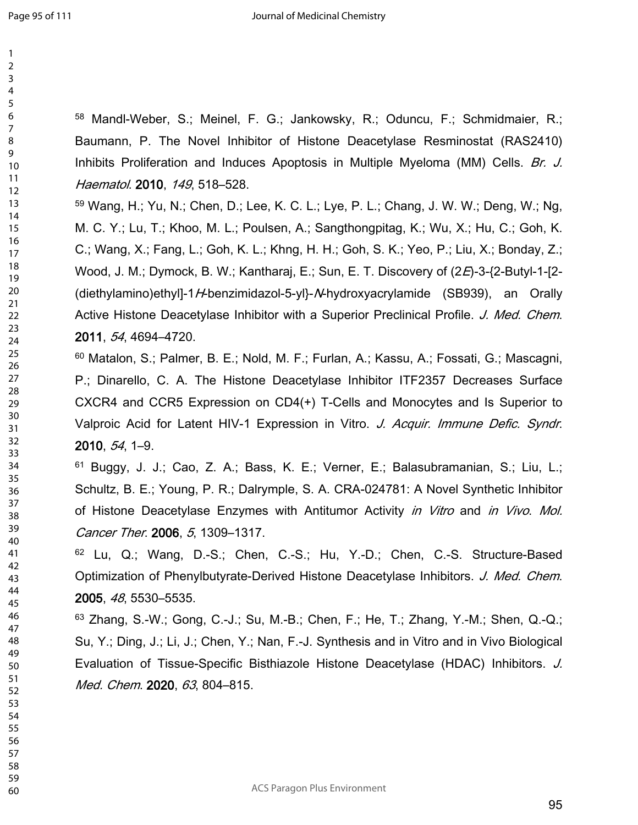Mandl-Weber, S.; Meinel, F. G.; Jankowsky, R.; Oduncu, F.; Schmidmaier, R.; Baumann, P. The Novel Inhibitor of Histone Deacetylase Resminostat (RAS2410) Inhibits Proliferation and Induces Apoptosis in Multiple Myeloma (MM) Cells. *Br. J. Haematol*. **2010**, *149*, 518–528.

 Wang, H.; Yu, N.; Chen, D.; Lee, K. C. L.; Lye, P. L.; Chang, J. W. W.; Deng, W.; Ng, M. C. Y.; Lu, T.; Khoo, M. L.; Poulsen, A.; Sangthongpitag, K.; Wu, X.; Hu, C.; Goh, K. C.; Wang, X.; Fang, L.; Goh, K. L.; Khng, H. H.; Goh, S. K.; Yeo, P.; Liu, X.; Bonday, Z.; Wood, J. M.; Dymock, B. W.; Kantharaj, E.; Sun, E. T. Discovery of (2*E*)-3-{2-Butyl-1-[2- (diethylamino)ethyl]-1*H*-benzimidazol-5-yl}-*N*-hydroxyacrylamide (SB939), an Orally Active Histone Deacetylase Inhibitor with a Superior Preclinical Profile. *J. Med. Chem*. , *54*, 4694–4720.

 Matalon, S.; Palmer, B. E.; Nold, M. F.; Furlan, A.; Kassu, A.; Fossati, G.; Mascagni, P.; Dinarello, C. A. The Histone Deacetylase Inhibitor ITF2357 Decreases Surface CXCR4 and CCR5 Expression on CD4(+) T-Cells and Monocytes and Is Superior to Valproic Acid for Latent HIV-1 Expression in Vitro. *J. Acquir. Immune Defic. Syndr*. , *54*, 1–9.

 Buggy, J. J.; Cao, Z. A.; Bass, K. E.; Verner, E.; Balasubramanian, S.; Liu, L.; Schultz, B. E.; Young, P. R.; Dalrymple, S. A. CRA-024781: A Novel Synthetic Inhibitor of Histone Deacetylase Enzymes with Antitumor Activity *in Vitro* and *in Vivo*. *Mol. Cancer Ther*. **2006**, *5*, 1309–1317.

 Lu, Q.; Wang, D.-S.; Chen, C.-S.; Hu, Y.-D.; Chen, C.-S. Structure-Based Optimization of Phenylbutyrate-Derived Histone Deacetylase Inhibitors. *J. Med. Chem*. , *48*, 5530–5535.

 Zhang, S.-W.; Gong, C.-J.; Su, M.-B.; Chen, F.; He, T.; Zhang, Y.-M.; Shen, Q.-Q.; Su, Y.; Ding, J.; Li, J.; Chen, Y.; Nan, F.-J. Synthesis and in Vitro and in Vivo Biological Evaluation of Tissue-Specific Bisthiazole Histone Deacetylase (HDAC) Inhibitors. *J. Med. Chem*. **2020**, *63*, 804–815.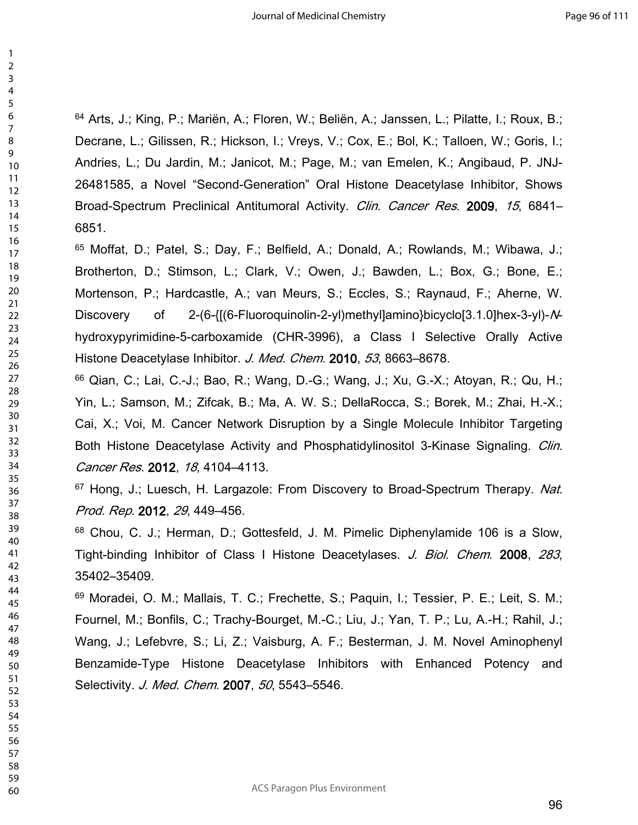Arts, J.; King, P.; Mariën, A.; Floren, W.; Beliën, A.; Janssen, L.; Pilatte, I.; Roux, B.; Decrane, L.; Gilissen, R.; Hickson, I.; Vreys, V.; Cox, E.; Bol, K.; Talloen, W.; Goris, I.; Andries, L.; Du Jardin, M.; Janicot, M.; Page, M.; van Emelen, K.; Angibaud, P. JNJ-26481585, a Novel "Second-Generation" Oral Histone Deacetylase Inhibitor, Shows Broad-Spectrum Preclinical Antitumoral Activity. *Clin. Cancer Res*. **2009**, *15*, 6841– 6851.

 Moffat, D.; Patel, S.; Day, F.; Belfield, A.; Donald, A.; Rowlands, M.; Wibawa, J.; Brotherton, D.; Stimson, L.; Clark, V.; Owen, J.; Bawden, L.; Box, G.; Bone, E.; Mortenson, P.; Hardcastle, A.; van Meurs, S.; Eccles, S.; Raynaud, F.; Aherne, W. Discovery of 2-(6-{[(6-Fluoroquinolin-2-yl)methyl]amino}bicyclo[3.1.0]hex-3-yl)-*N*hydroxypyrimidine-5-carboxamide (CHR-3996), a Class I Selective Orally Active Histone Deacetylase Inhibitor. *J. Med. Chem*. **2010**, *53*, 8663–8678.

 Qian, C.; Lai, C.-J.; Bao, R.; Wang, D.-G.; Wang, J.; Xu, G.-X.; Atoyan, R.; Qu, H.; Yin, L.; Samson, M.; Zifcak, B.; Ma, A. W. S.; DellaRocca, S.; Borek, M.; Zhai, H.-X.; Cai, X.; Voi, M. Cancer Network Disruption by a Single Molecule Inhibitor Targeting Both Histone Deacetylase Activity and Phosphatidylinositol 3-Kinase Signaling. *Clin. Cancer Res*. **2012**, *18*, 4104–4113.

 Hong, J.; Luesch, H. Largazole: From Discovery to Broad-Spectrum Therapy. *Nat. Prod. Rep*. **2012**, *29*, 449–456.

 Chou, C. J.; Herman, D.; Gottesfeld, J. M. Pimelic Diphenylamide 106 is a Slow, Tight-binding Inhibitor of Class I Histone Deacetylases. *J. Biol. Chem*. **2008**, *283*, 35402–35409.

 Moradei, O. M.; Mallais, T. C.; Frechette, S.; Paquin, I.; Tessier, P. E.; Leit, S. M.; Fournel, M.; Bonfils, C.; Trachy-Bourget, M.-C.; Liu, J.; Yan, T. P.; Lu, A.-H.; Rahil, J.; Wang, J.; Lefebvre, S.; Li, Z.; Vaisburg, A. F.; Besterman, J. M. Novel Aminophenyl Benzamide-Type Histone Deacetylase Inhibitors with Enhanced Potency and Selectivity. *J. Med. Chem*. **2007**, *50*, 5543–5546.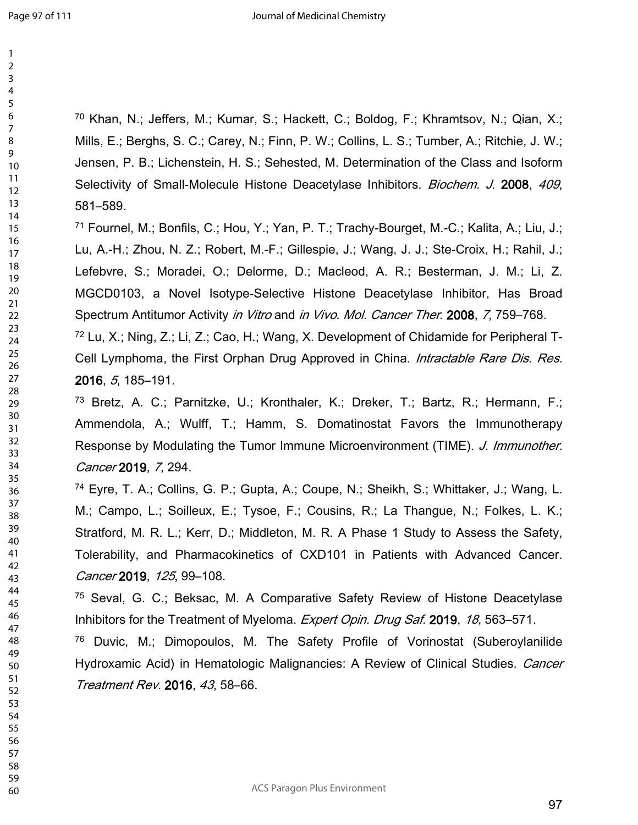Khan, N.; Jeffers, M.; Kumar, S.; Hackett, C.; Boldog, F.; Khramtsov, N.; Qian, X.; Mills, E.; Berghs, S. C.; Carey, N.; Finn, P. W.; Collins, L. S.; Tumber, A.; Ritchie, J. W.; Jensen, P. B.; Lichenstein, H. S.; Sehested, M. Determination of the Class and Isoform Selectivity of Small-Molecule Histone Deacetylase Inhibitors. *Biochem. J*. **2008**, *409*, 581–589.

 Fournel, M.; Bonfils, C.; Hou, Y.; Yan, P. T.; Trachy-Bourget, M.-C.; Kalita, A.; Liu, J.; Lu, A.-H.; Zhou, N. Z.; Robert, M.-F.; Gillespie, J.; Wang, J. J.; Ste-Croix, H.; Rahil, J.; Lefebvre, S.; Moradei, O.; Delorme, D.; Macleod, A. R.; Besterman, J. M.; Li, Z. MGCD0103, a Novel Isotype-Selective Histone Deacetylase Inhibitor, Has Broad Spectrum Antitumor Activity *in Vitro* and *in Vivo*. *Mol. Cancer Ther*. **2008**, *7*, 759–768.

 Lu, X.; Ning, Z.; Li, Z.; Cao, H.; Wang, X. Development of Chidamide for Peripheral T-Cell Lymphoma, the First Orphan Drug Approved in China. *Intractable Rare Dis. Res.* , *5*, 185–191.

 Bretz, A. C.; Parnitzke, U.; Kronthaler, K.; Dreker, T.; Bartz, R.; Hermann, F.; Ammendola, A.; Wulff, T.; Hamm, S. Domatinostat Favors the Immunotherapy Response by Modulating the Tumor Immune Microenvironment (TIME). *J. Immunother. Cancer* **2019**, *7*, 294.

 Eyre, T. A.; Collins, G. P.; Gupta, A.; Coupe, N.; Sheikh, S.; Whittaker, J.; Wang, L. M.; Campo, L.; Soilleux, E.; Tysoe, F.; Cousins, R.; La Thangue, N.; Folkes, L. K.; Stratford, M. R. L.; Kerr, D.; Middleton, M. R. A Phase 1 Study to Assess the Safety, Tolerability, and Pharmacokinetics of CXD101 in Patients with Advanced Cancer. *Cancer* **2019**, *125*, 99–108.

 Seval, G. C.; Beksac, M. A Comparative Safety Review of Histone Deacetylase Inhibitors for the Treatment of Myeloma. *Expert Opin. Drug Saf.* **2019**, *18*, 563–571.

 Duvic, M.; Dimopoulos, M. The Safety Profile of Vorinostat (Suberoylanilide Hydroxamic Acid) in Hematologic Malignancies: A Review of Clinical Studies. *Cancer Treatment Rev.* **2016**, *43*, 58–66.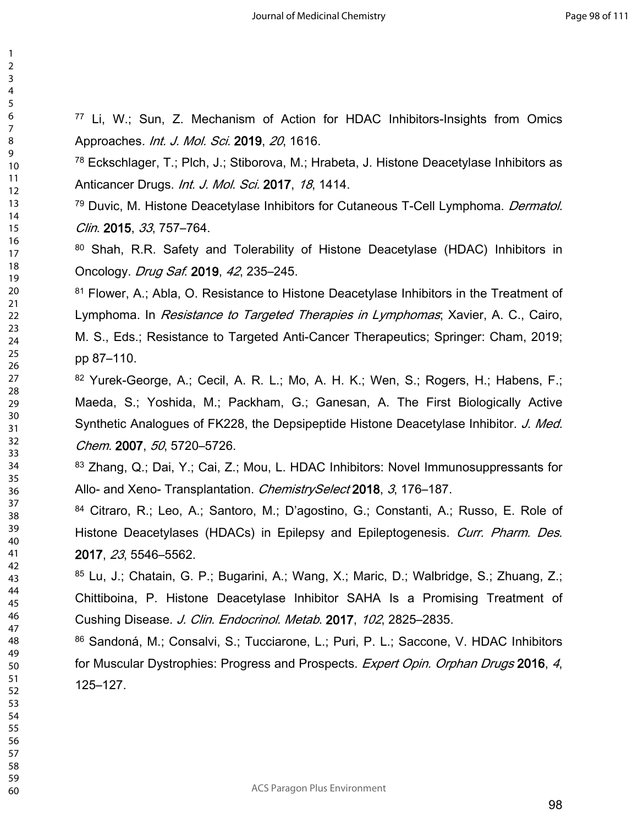Li, W.; Sun, Z. Mechanism of Action for HDAC Inhibitors-Insights from Omics Approaches*. Int. J. Mol. Sci.* **2019**, *20*, 1616.

 Eckschlager, T.; Plch, J.; Stiborova, M.; Hrabeta, J. Histone Deacetylase Inhibitors as Anticancer Drugs. *Int. J. Mol. Sci.* **2017**, *18*, 1414.

 Duvic, M. Histone Deacetylase Inhibitors for Cutaneous T-Cell Lymphoma. *Dermatol. Clin*. **2015**, *33*, 757–764.

80 Shah, R.R. Safety and Tolerability of Histone Deacetylase (HDAC) Inhibitors in Oncology. *Drug Saf*. **2019**, *42*, 235–245.

<sup>81</sup> Flower, A.; Abla, O. Resistance to Histone Deacetylase Inhibitors in the Treatment of Lymphoma. In *Resistance to Targeted Therapies in Lymphomas*; Xavier, A. C., Cairo, M. S., Eds.; Resistance to Targeted Anti-Cancer Therapeutics; Springer: Cham, 2019; pp 87–110.

 Yurek-George, A.; Cecil, A. R. L.; Mo, A. H. K.; Wen, S.; Rogers, H.; Habens, F.; Maeda, S.; Yoshida, M.; Packham, G.; Ganesan, A. The First Biologically Active Synthetic Analogues of FK228, the Depsipeptide Histone Deacetylase Inhibitor. *J. Med. Chem.* **2007**, *50*, 5720–5726.

83 Zhang, Q.; Dai, Y.; Cai, Z.; Mou, L. HDAC Inhibitors: Novel Immunosuppressants for Allo- and Xeno- Transplantation. *ChemistrySelect* **2018**, *3*, 176–187.

 Citraro, R.; Leo, A.; Santoro, M.; D'agostino, G.; Constanti, A.; Russo, E. Role of Histone Deacetylases (HDACs) in Epilepsy and Epileptogenesis. *Curr. Pharm. Des*. , *23*, 5546–5562.

 Lu, J.; Chatain, G. P.; Bugarini, A.; Wang, X.; Maric, D.; Walbridge, S.; Zhuang, Z.; Chittiboina, P. Histone Deacetylase Inhibitor SAHA Is a Promising Treatment of Cushing Disease. *J. Clin. Endocrinol. Metab*. **2017**, *102*, 2825–2835.

86 Sandoná, M.; Consalvi, S.; Tucciarone, L.; Puri, P. L.; Saccone, V. HDAC Inhibitors for Muscular Dystrophies: Progress and Prospects. *Expert Opin. Orphan Drugs* **2016**, *4*, 125–127.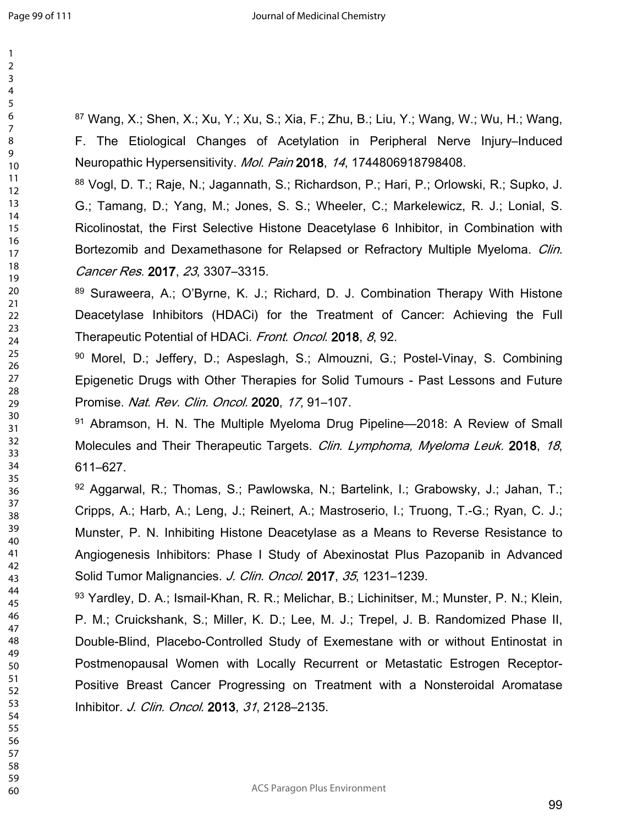Wang, X.; Shen, X.; Xu, Y.; Xu, S.; Xia, F.; Zhu, B.; Liu, Y.; Wang, W.; Wu, H.; Wang, F. The Etiological Changes of Acetylation in Peripheral Nerve Injury–Induced Neuropathic Hypersensitivity. *Mol. Pain* **2018**, *14*, 1744806918798408.

 Vogl, D. T.; Raje, N.; Jagannath, S.; Richardson, P.; Hari, P.; Orlowski, R.; Supko, J. G.; Tamang, D.; Yang, M.; Jones, S. S.; Wheeler, C.; Markelewicz, R. J.; Lonial, S. Ricolinostat, the First Selective Histone Deacetylase 6 Inhibitor, in Combination with Bortezomib and Dexamethasone for Relapsed or Refractory Multiple Myeloma. *Clin. Cancer Res*. **2017**, *23*, 3307–3315.

 Suraweera, A.; O'Byrne, K. J.; Richard, D. J. Combination Therapy With Histone Deacetylase Inhibitors (HDACi) for the Treatment of Cancer: Achieving the Full Therapeutic Potential of HDACi. *Front. Oncol*. **2018**, *8*, 92.

 Morel, D.; Jeffery, D.; Aspeslagh, S.; Almouzni, G.; Postel-Vinay, S. Combining Epigenetic Drugs with Other Therapies for Solid Tumours - Past Lessons and Future Promise. *Nat. Rev. Clin. Oncol.* **2020**, *17*, 91–107.

91 Abramson, H. N. The Multiple Myeloma Drug Pipeline—2018: A Review of Small Molecules and Their Therapeutic Targets. *Clin. Lymphoma, Myeloma Leuk.* **2018**, *18*, 611–627.

 Aggarwal, R.; Thomas, S.; Pawlowska, N.; Bartelink, I.; Grabowsky, J.; Jahan, T.; Cripps, A.; Harb, A.; Leng, J.; Reinert, A.; Mastroserio, I.; Truong, T.-G.; Ryan, C. J.; Munster, P. N. Inhibiting Histone Deacetylase as a Means to Reverse Resistance to Angiogenesis Inhibitors: Phase I Study of Abexinostat Plus Pazopanib in Advanced Solid Tumor Malignancies. *J. Clin. Oncol*. **2017**, *35*, 1231–1239.

93 Yardley, D. A.; Ismail-Khan, R. R.; Melichar, B.; Lichinitser, M.; Munster, P. N.; Klein, P. M.; Cruickshank, S.; Miller, K. D.; Lee, M. J.; Trepel, J. B. Randomized Phase II, Double-Blind, Placebo-Controlled Study of Exemestane with or without Entinostat in Postmenopausal Women with Locally Recurrent or Metastatic Estrogen Receptor-Positive Breast Cancer Progressing on Treatment with a Nonsteroidal Aromatase Inhibitor. *J. Clin. Oncol*. **2013**, *31*, 2128–2135.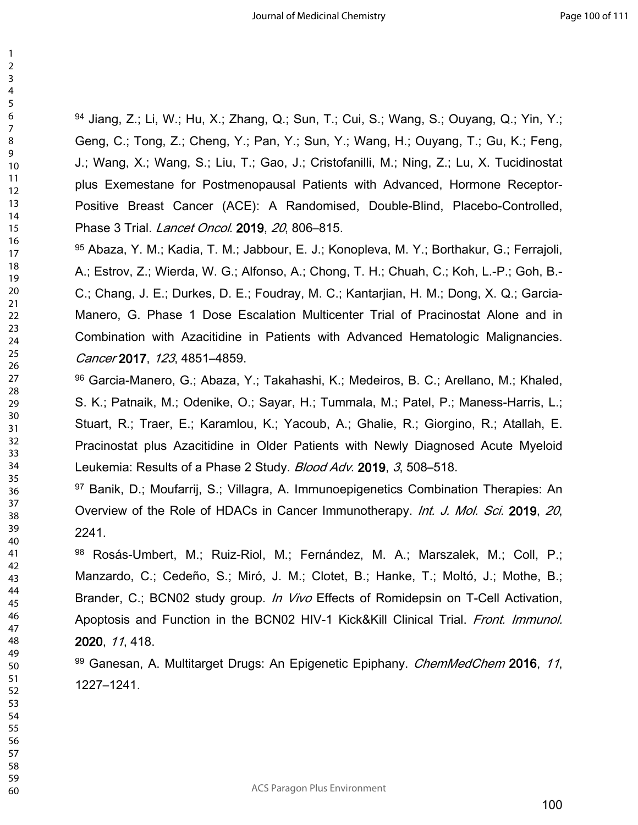94 Jiang, Z.; Li, W.; Hu, X.; Zhang, Q.; Sun, T.; Cui, S.; Wang, S.; Ouyang, Q.; Yin, Y.; Geng, C.; Tong, Z.; Cheng, Y.; Pan, Y.; Sun, Y.; Wang, H.; Ouyang, T.; Gu, K.; Feng, J.; Wang, X.; Wang, S.; Liu, T.; Gao, J.; Cristofanilli, M.; Ning, Z.; Lu, X. Tucidinostat plus Exemestane for Postmenopausal Patients with Advanced, Hormone Receptor-Positive Breast Cancer (ACE): A Randomised, Double-Blind, Placebo-Controlled, Phase 3 Trial. *Lancet Oncol*. **2019**, *20*, 806–815.

 Abaza, Y. M.; Kadia, T. M.; Jabbour, E. J.; Konopleva, M. Y.; Borthakur, G.; Ferrajoli, A.; Estrov, Z.; Wierda, W. G.; Alfonso, A.; Chong, T. H.; Chuah, C.; Koh, L.-P.; Goh, B.- C.; Chang, J. E.; Durkes, D. E.; Foudray, M. C.; Kantarjian, H. M.; Dong, X. Q.; Garcia-Manero, G. Phase 1 Dose Escalation Multicenter Trial of Pracinostat Alone and in Combination with Azacitidine in Patients with Advanced Hematologic Malignancies. *Cancer* **2017**, *123*, 4851–4859.

 Garcia-Manero, G.; Abaza, Y.; Takahashi, K.; Medeiros, B. C.; Arellano, M.; Khaled, S. K.; Patnaik, M.; Odenike, O.; Sayar, H.; Tummala, M.; Patel, P.; Maness-Harris, L.; Stuart, R.; Traer, E.; Karamlou, K.; Yacoub, A.; Ghalie, R.; Giorgino, R.; Atallah, E. Pracinostat plus Azacitidine in Older Patients with Newly Diagnosed Acute Myeloid Leukemia: Results of a Phase 2 Study. *Blood Adv*. **2019**, *3*, 508–518.

 Banik, D.; Moufarrij, S.; Villagra, A. Immunoepigenetics Combination Therapies: An Overview of the Role of HDACs in Cancer Immunotherapy. *Int. J. Mol. Sci.* **2019**, *20*, 2241.

 Rosás-Umbert, M.; Ruiz-Riol, M.; Fernández, M. A.; Marszalek, M.; Coll, P.; Manzardo, C.; Cedeño, S.; Miró, J. M.; Clotet, B.; Hanke, T.; Moltó, J.; Mothe, B.; Brander, C.; BCN02 study group. *In Vivo* Effects of Romidepsin on T-Cell Activation, Apoptosis and Function in the BCN02 HIV-1 Kick&Kill Clinical Trial. *Front. Immunol.* , *11*, 418.

 Ganesan, A. Multitarget Drugs: An Epigenetic Epiphany. *ChemMedChem* **2016**, *11*, 1227–1241.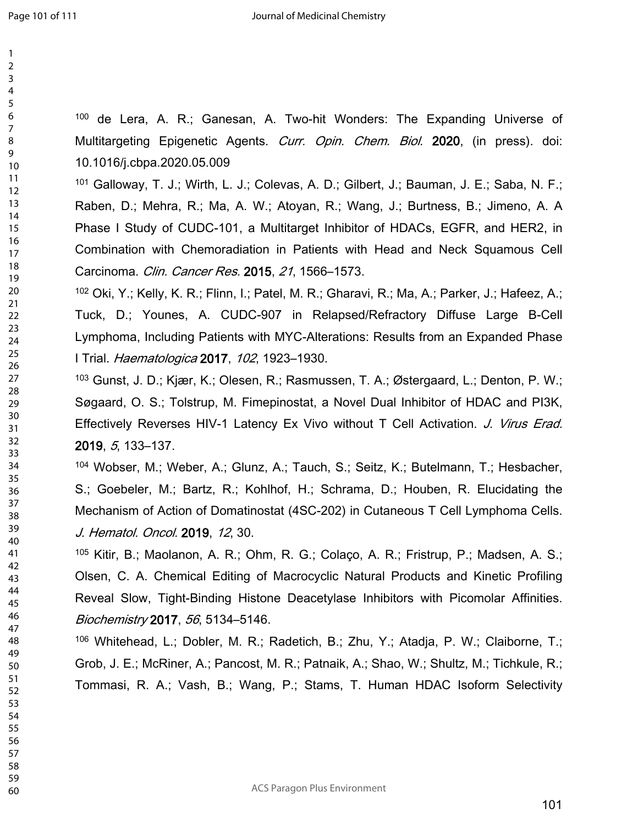> 

 de Lera, A. R.; Ganesan, A. Two-hit Wonders: The Expanding Universe of Multitargeting Epigenetic Agents. *Curr. Opin. Chem. Biol*. **2020**, (in press). doi: 10.1016/j.cbpa.2020.05.009

 Galloway, T. J.; Wirth, L. J.; Colevas, A. D.; Gilbert, J.; Bauman, J. E.; Saba, N. F.; Raben, D.; Mehra, R.; Ma, A. W.; Atoyan, R.; Wang, J.; Burtness, B.; Jimeno, A. A Phase I Study of CUDC-101, a Multitarget Inhibitor of HDACs, EGFR, and HER2, in Combination with Chemoradiation in Patients with Head and Neck Squamous Cell Carcinoma. *Clin. Cancer Res.* **2015**, *21*, 1566–1573.

 Oki, Y.; Kelly, K. R.; Flinn, I.; Patel, M. R.; Gharavi, R.; Ma, A.; Parker, J.; Hafeez, A.; Tuck, D.; Younes, A. CUDC-907 in Relapsed/Refractory Diffuse Large B-Cell Lymphoma, Including Patients with MYC-Alterations: Results from an Expanded Phase I Trial. *Haematologica* **2017**, *102*, 1923–1930.

 Gunst, J. D.; Kjær, K.; Olesen, R.; Rasmussen, T. A.; Østergaard, L.; Denton, P. W.; Søgaard, O. S.; Tolstrup, M. Fimepinostat, a Novel Dual Inhibitor of HDAC and PI3K, Effectively Reverses HIV-1 Latency Ex Vivo without T Cell Activation. *J. Virus Erad.* , *5*, 133–137.

 Wobser, M.; Weber, A.; Glunz, A.; Tauch, S.; Seitz, K.; Butelmann, T.; Hesbacher, S.; Goebeler, M.; Bartz, R.; Kohlhof, H.; Schrama, D.; Houben, R. Elucidating the Mechanism of Action of Domatinostat (4SC-202) in Cutaneous T Cell Lymphoma Cells. *J. Hematol. Oncol.* **2019**, *12*, 30.

 Kitir, B.; Maolanon, A. R.; Ohm, R. G.; Colaço, A. R.; Fristrup, P.; Madsen, A. S.; Olsen, C. A. Chemical Editing of Macrocyclic Natural Products and Kinetic Profiling Reveal Slow, Tight-Binding Histone Deacetylase Inhibitors with Picomolar Affinities. *Biochemistry* **2017**, *56*, 5134–5146.

 Whitehead, L.; Dobler, M. R.; Radetich, B.; Zhu, Y.; Atadja, P. W.; Claiborne, T.; Grob, J. E.; McRiner, A.; Pancost, M. R.; Patnaik, A.; Shao, W.; Shultz, M.; Tichkule, R.; Tommasi, R. A.; Vash, B.; Wang, P.; Stams, T. Human HDAC Isoform Selectivity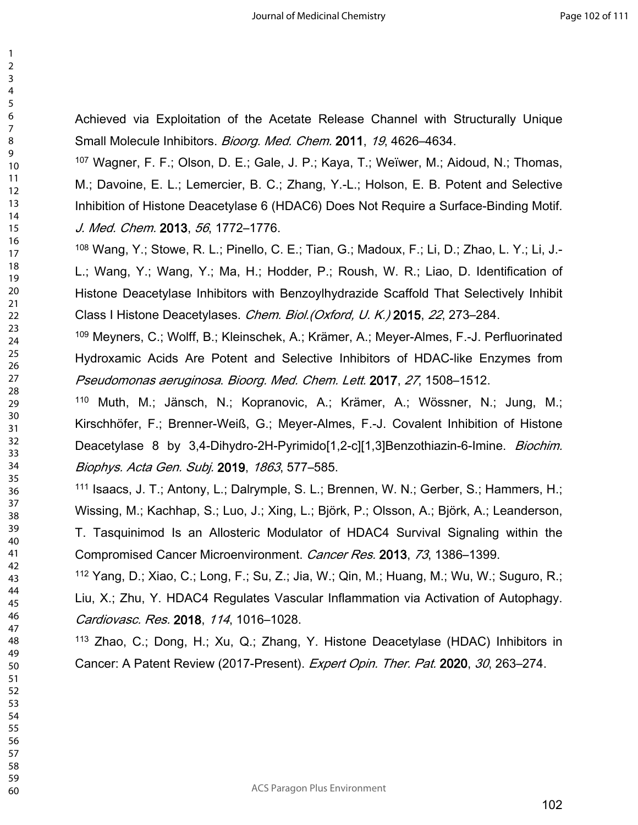Achieved via Exploitation of the Acetate Release Channel with Structurally Unique Small Molecule Inhibitors. *Bioorg. Med. Chem.* **2011**, *19*, 4626–4634.

 Wagner, F. F.; Olson, D. E.; Gale, J. P.; Kaya, T.; Weïwer, M.; Aidoud, N.; Thomas, M.; Davoine, E. L.; Lemercier, B. C.; Zhang, Y.-L.; Holson, E. B. Potent and Selective Inhibition of Histone Deacetylase 6 (HDAC6) Does Not Require a Surface-Binding Motif. *J. Med. Chem.* **2013**, *56*, 1772–1776.

 Wang, Y.; Stowe, R. L.; Pinello, C. E.; Tian, G.; Madoux, F.; Li, D.; Zhao, L. Y.; Li, J.- L.; Wang, Y.; Wang, Y.; Ma, H.; Hodder, P.; Roush, W. R.; Liao, D. Identification of Histone Deacetylase Inhibitors with Benzoylhydrazide Scaffold That Selectively Inhibit Class I Histone Deacetylases. *Chem. Biol.(Oxford, U. K.)* **2015**, *22*, 273–284.

 Meyners, C.; Wolff, B.; Kleinschek, A.; Krämer, A.; Meyer-Almes, F.-J. Perfluorinated Hydroxamic Acids Are Potent and Selective Inhibitors of HDAC-like Enzymes from *Pseudomonas aeruginosa*. *Bioorg. Med. Chem. Lett.* **2017**, *27*, 1508–1512.

 Muth, M.; Jänsch, N.; Kopranovic, A.; Krämer, A.; Wössner, N.; Jung, M.; Kirschhöfer, F.; Brenner-Weiß, G.; Meyer-Almes, F.-J. Covalent Inhibition of Histone Deacetylase 8 by 3,4-Dihydro-2H-Pyrimido[1,2-c][1,3]Benzothiazin-6-Imine. *Biochim. Biophys. Acta Gen. Subj.* **2019**, *1863*, 577–585.

 Isaacs, J. T.; Antony, L.; Dalrymple, S. L.; Brennen, W. N.; Gerber, S.; Hammers, H.; Wissing, M.; Kachhap, S.; Luo, J.; Xing, L.; Björk, P.; Olsson, A.; Björk, A.; Leanderson, T. Tasquinimod Is an Allosteric Modulator of HDAC4 Survival Signaling within the Compromised Cancer Microenvironment. *Cancer Res.* **2013**, *73*, 1386–1399.

 Yang, D.; Xiao, C.; Long, F.; Su, Z.; Jia, W.; Qin, M.; Huang, M.; Wu, W.; Suguro, R.; Liu, X.; Zhu, Y. HDAC4 Regulates Vascular Inflammation via Activation of Autophagy. *Cardiovasc. Res.* **2018**, *114*, 1016–1028.

 Zhao, C.; Dong, H.; Xu, Q.; Zhang, Y. Histone Deacetylase (HDAC) Inhibitors in Cancer: A Patent Review (2017-Present). *Expert Opin. Ther. Pat.* **2020**, *30*, 263–274.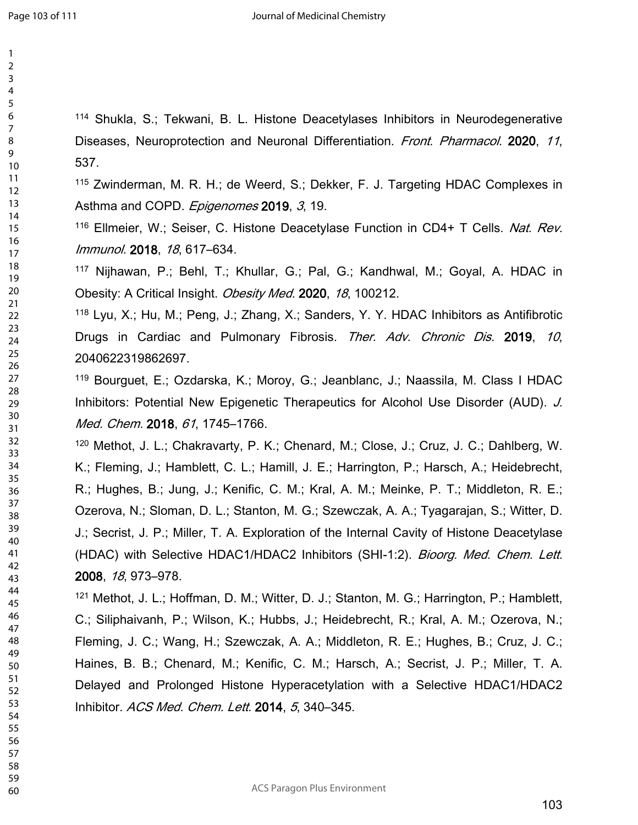| $\overline{c}$                         |  |
|----------------------------------------|--|
| 3                                      |  |
|                                        |  |
|                                        |  |
| -<br>4<br>5                            |  |
| 6<br>7                                 |  |
|                                        |  |
| 8                                      |  |
|                                        |  |
|                                        |  |
|                                        |  |
|                                        |  |
|                                        |  |
|                                        |  |
|                                        |  |
|                                        |  |
|                                        |  |
|                                        |  |
|                                        |  |
|                                        |  |
|                                        |  |
| 9 10 11 12 13 14 15 16 17 18 19 1      |  |
|                                        |  |
|                                        |  |
|                                        |  |
| 20<br>21<br>22 34<br>24 25 26<br>27 28 |  |
|                                        |  |
|                                        |  |
|                                        |  |
|                                        |  |
|                                        |  |
|                                        |  |
|                                        |  |
|                                        |  |
| 29                                     |  |
| $\overline{30}$                        |  |
| 31                                     |  |
| - 32<br>33<br>34<br>35<br>36<br>37     |  |
|                                        |  |
|                                        |  |
|                                        |  |
|                                        |  |
|                                        |  |
|                                        |  |
|                                        |  |
| 38                                     |  |
| 39                                     |  |
|                                        |  |
| 40                                     |  |
| 41                                     |  |
| 42                                     |  |
| 43                                     |  |
|                                        |  |
| 44                                     |  |
| 45                                     |  |
| 46                                     |  |
|                                        |  |
| 47                                     |  |
| 48                                     |  |
| 49                                     |  |
| 50                                     |  |
|                                        |  |
| 51                                     |  |
| 52                                     |  |
| 53                                     |  |
| 54                                     |  |
|                                        |  |
| 55                                     |  |
| 56                                     |  |
| 57                                     |  |
| 58                                     |  |
|                                        |  |
| 59                                     |  |

 Shukla, S.; Tekwani, B. L. Histone Deacetylases Inhibitors in Neurodegenerative Diseases, Neuroprotection and Neuronal Differentiation. *Front. Pharmacol.* **2020**, *11*, 537.

 Zwinderman, M. R. H.; de Weerd, S.; Dekker, F. J. Targeting HDAC Complexes in Asthma and COPD. *Epigenomes* **2019**, *3*, 19.

 Ellmeier, W.; Seiser, C. Histone Deacetylase Function in CD4+ T Cells. *Nat. Rev. Immunol.* **2018**, *18*, 617–634.

 Nijhawan, P.; Behl, T.; Khullar, G.; Pal, G.; Kandhwal, M.; Goyal, A. HDAC in Obesity: A Critical Insight. *Obesity Med.* **2020**, *18*, 100212.

 Lyu, X.; Hu, M.; Peng, J.; Zhang, X.; Sanders, Y. Y. HDAC Inhibitors as Antifibrotic Drugs in Cardiac and Pulmonary Fibrosis. *Ther. Adv. Chronic Dis.* **2019**, *10*, 2040622319862697.

 Bourguet, E.; Ozdarska, K.; Moroy, G.; Jeanblanc, J.; Naassila, M. Class I HDAC Inhibitors: Potential New Epigenetic Therapeutics for Alcohol Use Disorder (AUD). *J. Med. Chem.* **2018**, *61*, 1745–1766.

 Methot, J. L.; Chakravarty, P. K.; Chenard, M.; Close, J.; Cruz, J. C.; Dahlberg, W. K.; Fleming, J.; Hamblett, C. L.; Hamill, J. E.; Harrington, P.; Harsch, A.; Heidebrecht, R.; Hughes, B.; Jung, J.; Kenific, C. M.; Kral, A. M.; Meinke, P. T.; Middleton, R. E.; Ozerova, N.; Sloman, D. L.; Stanton, M. G.; Szewczak, A. A.; Tyagarajan, S.; Witter, D. J.; Secrist, J. P.; Miller, T. A. Exploration of the Internal Cavity of Histone Deacetylase (HDAC) with Selective HDAC1/HDAC2 Inhibitors (SHI-1:2). *Bioorg. Med. Chem. Lett.* , *18*, 973–978.

 Methot, J. L.; Hoffman, D. M.; Witter, D. J.; Stanton, M. G.; Harrington, P.; Hamblett, C.; Siliphaivanh, P.; Wilson, K.; Hubbs, J.; Heidebrecht, R.; Kral, A. M.; Ozerova, N.; Fleming, J. C.; Wang, H.; Szewczak, A. A.; Middleton, R. E.; Hughes, B.; Cruz, J. C.; Haines, B. B.; Chenard, M.; Kenific, C. M.; Harsch, A.; Secrist, J. P.; Miller, T. A. Delayed and Prolonged Histone Hyperacetylation with a Selective HDAC1/HDAC2 Inhibitor. *ACS Med. Chem. Lett.* **2014**, *5*, 340–345.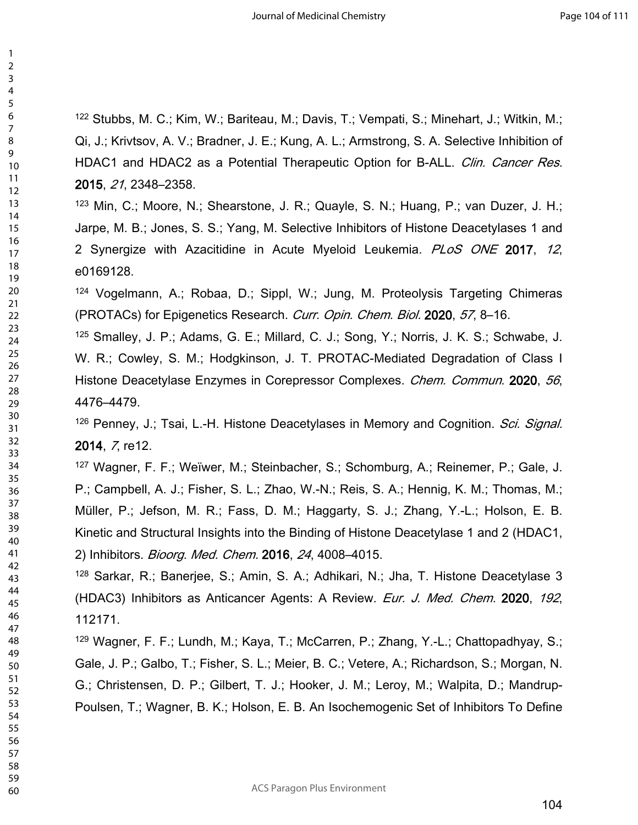Stubbs, M. C.; Kim, W.; Bariteau, M.; Davis, T.; Vempati, S.; Minehart, J.; Witkin, M.; Qi, J.; Krivtsov, A. V.; Bradner, J. E.; Kung, A. L.; Armstrong, S. A. Selective Inhibition of HDAC1 and HDAC2 as a Potential Therapeutic Option for B-ALL. *Clin. Cancer Res.* , *21*, 2348–2358.

 Min, C.; Moore, N.; Shearstone, J. R.; Quayle, S. N.; Huang, P.; van Duzer, J. H.; Jarpe, M. B.; Jones, S. S.; Yang, M. Selective Inhibitors of Histone Deacetylases 1 and 2 Synergize with Azacitidine in Acute Myeloid Leukemia. *PLoS ONE* **2017**, *12*, e0169128.

 Vogelmann, A.; Robaa, D.; Sippl, W.; Jung, M. Proteolysis Targeting Chimeras (PROTACs) for Epigenetics Research. *Curr. Opin. Chem. Biol.* **2020**, *57*, 8–16.

 Smalley, J. P.; Adams, G. E.; Millard, C. J.; Song, Y.; Norris, J. K. S.; Schwabe, J. W. R.; Cowley, S. M.; Hodgkinson, J. T. PROTAC-Mediated Degradation of Class I Histone Deacetylase Enzymes in Corepressor Complexes. *Chem. Commun*. **2020**, *56*, 4476–4479.

 Penney, J.; Tsai, L.-H. Histone Deacetylases in Memory and Cognition. *Sci. Signal.* , *7*, re12.

 Wagner, F. F.; Weïwer, M.; Steinbacher, S.; Schomburg, A.; Reinemer, P.; Gale, J. P.; Campbell, A. J.; Fisher, S. L.; Zhao, W.-N.; Reis, S. A.; Hennig, K. M.; Thomas, M.; Müller, P.; Jefson, M. R.; Fass, D. M.; Haggarty, S. J.; Zhang, Y.-L.; Holson, E. B. Kinetic and Structural Insights into the Binding of Histone Deacetylase 1 and 2 (HDAC1, 2) Inhibitors. *Bioorg. Med. Chem.* **2016**, *24*, 4008–4015.

 Sarkar, R.; Banerjee, S.; Amin, S. A.; Adhikari, N.; Jha, T. Histone Deacetylase 3 (HDAC3) Inhibitors as Anticancer Agents: A Review. *Eur. J. Med. Chem.* **2020**, *192*, 112171.

 Wagner, F. F.; Lundh, M.; Kaya, T.; McCarren, P.; Zhang, Y.-L.; Chattopadhyay, S.; Gale, J. P.; Galbo, T.; Fisher, S. L.; Meier, B. C.; Vetere, A.; Richardson, S.; Morgan, N. G.; Christensen, D. P.; Gilbert, T. J.; Hooker, J. M.; Leroy, M.; Walpita, D.; Mandrup-Poulsen, T.; Wagner, B. K.; Holson, E. B. An Isochemogenic Set of Inhibitors To Define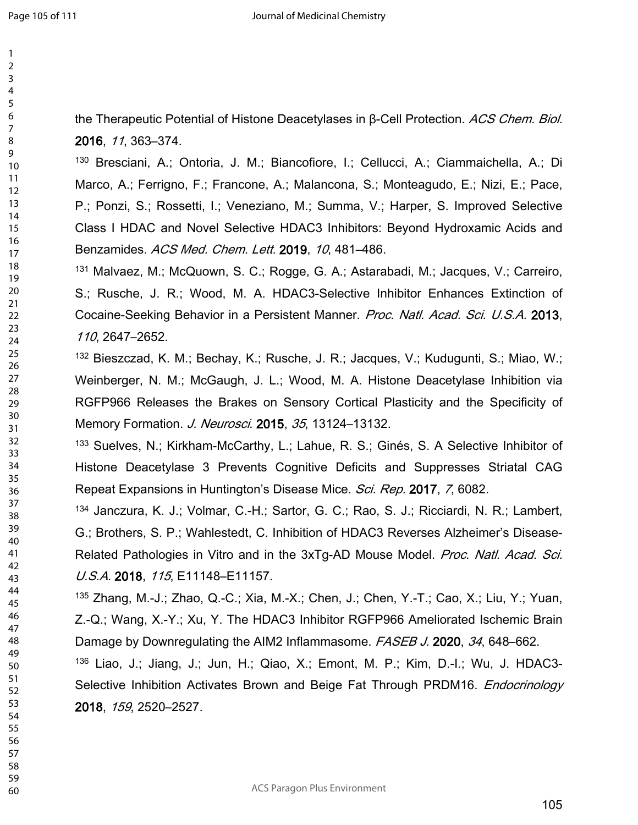the Therapeutic Potential of Histone Deacetylases in β-Cell Protection. *ACS Chem. Biol.* , *11*, 363–374.

 Bresciani, A.; Ontoria, J. M.; Biancofiore, I.; Cellucci, A.; Ciammaichella, A.; Di Marco, A.; Ferrigno, F.; Francone, A.; Malancona, S.; Monteagudo, E.; Nizi, E.; Pace, P.; Ponzi, S.; Rossetti, I.; Veneziano, M.; Summa, V.; Harper, S. Improved Selective Class I HDAC and Novel Selective HDAC3 Inhibitors: Beyond Hydroxamic Acids and Benzamides. *ACS Med. Chem. Lett.* **2019**, *10*, 481–486.

 Malvaez, M.; McQuown, S. C.; Rogge, G. A.; Astarabadi, M.; Jacques, V.; Carreiro, S.; Rusche, J. R.; Wood, M. A. HDAC3-Selective Inhibitor Enhances Extinction of Cocaine-Seeking Behavior in a Persistent Manner. *Proc. Natl. Acad. Sci. U.S.A.* **2013**, , 2647–2652.

 Bieszczad, K. M.; Bechay, K.; Rusche, J. R.; Jacques, V.; Kudugunti, S.; Miao, W.; Weinberger, N. M.; McGaugh, J. L.; Wood, M. A. Histone Deacetylase Inhibition via RGFP966 Releases the Brakes on Sensory Cortical Plasticity and the Specificity of Memory Formation. *J. Neurosci*. **2015**, *35*, 13124–13132.

 Suelves, N.; Kirkham-McCarthy, L.; Lahue, R. S.; Ginés, S. A Selective Inhibitor of Histone Deacetylase 3 Prevents Cognitive Deficits and Suppresses Striatal CAG Repeat Expansions in Huntington's Disease Mice. *Sci. Rep.* **2017**, *7*, 6082.

 Janczura, K. J.; Volmar, C.-H.; Sartor, G. C.; Rao, S. J.; Ricciardi, N. R.; Lambert, G.; Brothers, S. P.; Wahlestedt, C. Inhibition of HDAC3 Reverses Alzheimer's Disease-Related Pathologies in Vitro and in the 3xTg-AD Mouse Model. *Proc. Natl. Acad. Sci. U.S.A.* **2018**, *115*, E11148–E11157.

 Zhang, M.-J.; Zhao, Q.-C.; Xia, M.-X.; Chen, J.; Chen, Y.-T.; Cao, X.; Liu, Y.; Yuan, Z.-Q.; Wang, X.-Y.; Xu, Y. The HDAC3 Inhibitor RGFP966 Ameliorated Ischemic Brain Damage by Downregulating the AIM2 Inflammasome. *FASEB J.* **2020**, *34*, 648–662.

 Liao, J.; Jiang, J.; Jun, H.; Qiao, X.; Emont, M. P.; Kim, D.-I.; Wu, J. HDAC3- Selective Inhibition Activates Brown and Beige Fat Through PRDM16. *Endocrinology* , *159*, 2520–2527.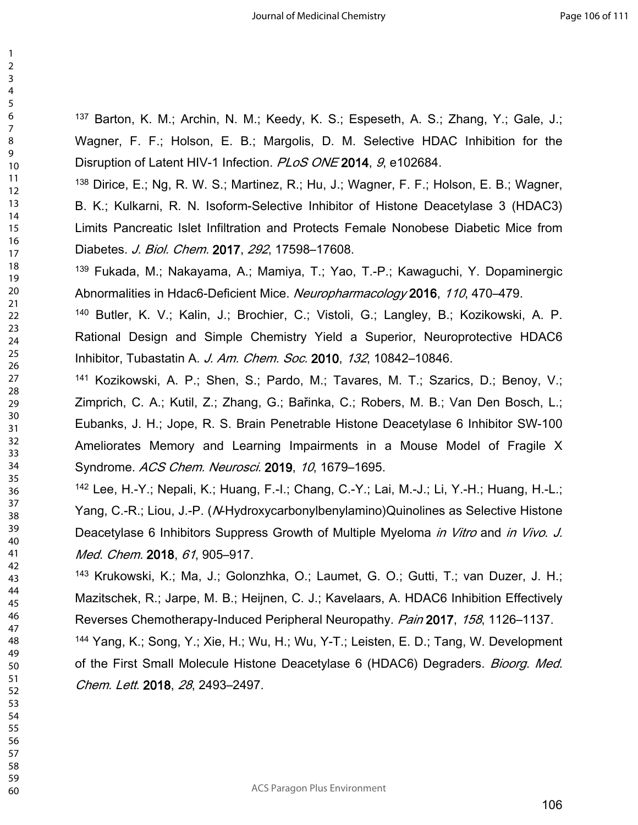Barton, K. M.; Archin, N. M.; Keedy, K. S.; Espeseth, A. S.; Zhang, Y.; Gale, J.; Wagner, F. F.; Holson, E. B.; Margolis, D. M. Selective HDAC Inhibition for the Disruption of Latent HIV-1 Infection. *PLoS ONE* **2014**, *9*, e102684.

 Dirice, E.; Ng, R. W. S.; Martinez, R.; Hu, J.; Wagner, F. F.; Holson, E. B.; Wagner, B. K.; Kulkarni, R. N. Isoform-Selective Inhibitor of Histone Deacetylase 3 (HDAC3) Limits Pancreatic Islet Infiltration and Protects Female Nonobese Diabetic Mice from Diabetes. *J. Biol. Chem.* **2017**, *292*, 17598–17608.

 Fukada, M.; Nakayama, A.; Mamiya, T.; Yao, T.-P.; Kawaguchi, Y. Dopaminergic Abnormalities in Hdac6-Deficient Mice. *Neuropharmacology* **2016**, *110*, 470–479.

 Butler, K. V.; Kalin, J.; Brochier, C.; Vistoli, G.; Langley, B.; Kozikowski, A. P. Rational Design and Simple Chemistry Yield a Superior, Neuroprotective HDAC6 Inhibitor, Tubastatin A. *J. Am. Chem. Soc.* **2010**, *132*, 10842–10846.

 Kozikowski, A. P.; Shen, S.; Pardo, M.; Tavares, M. T.; Szarics, D.; Benoy, V.; Zimprich, C. A.; Kutil, Z.; Zhang, G.; Bařinka, C.; Robers, M. B.; Van Den Bosch, L.; Eubanks, J. H.; Jope, R. S. Brain Penetrable Histone Deacetylase 6 Inhibitor SW-100 Ameliorates Memory and Learning Impairments in a Mouse Model of Fragile X Syndrome. *ACS Chem. Neurosci.* **2019**, *10*, 1679–1695.

 Lee, H.-Y.; Nepali, K.; Huang, F.-I.; Chang, C.-Y.; Lai, M.-J.; Li, Y.-H.; Huang, H.-L.; Yang, C.-R.; Liou, J.-P. (*N*-Hydroxycarbonylbenylamino)Quinolines as Selective Histone Deacetylase 6 Inhibitors Suppress Growth of Multiple Myeloma *in Vitro* and *in Vivo*. *J. Med. Chem.* **2018**, *61*, 905–917.

 Krukowski, K.; Ma, J.; Golonzhka, O.; Laumet, G. O.; Gutti, T.; van Duzer, J. H.; Mazitschek, R.; Jarpe, M. B.; Heijnen, C. J.; Kavelaars, A. HDAC6 Inhibition Effectively Reverses Chemotherapy-Induced Peripheral Neuropathy. *Pain* **2017**, *158*, 1126–1137.

 Yang, K.; Song, Y.; Xie, H.; Wu, H.; Wu, Y-T.; Leisten, E. D.; Tang, W. Development of the First Small Molecule Histone Deacetylase 6 (HDAC6) Degraders. *Bioorg. Med. Chem. Lett*. **2018**, *28*, 2493–2497.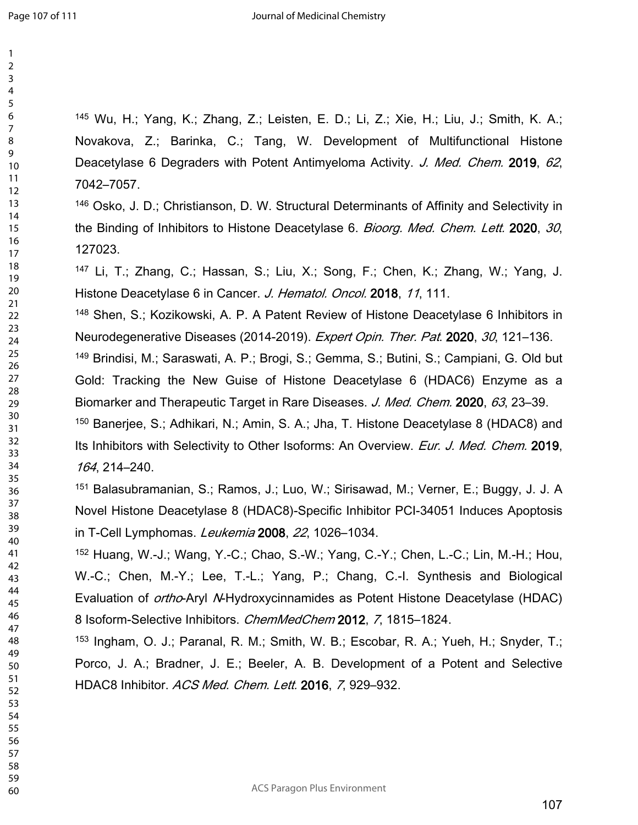Wu, H.; Yang, K.; Zhang, Z.; Leisten, E. D.; Li, Z.; Xie, H.; Liu, J.; Smith, K. A.; Novakova, Z.; Barinka, C.; Tang, W. Development of Multifunctional Histone Deacetylase 6 Degraders with Potent Antimyeloma Activity. *J. Med. Chem.* **2019**, *62*, 7042–7057.

 Osko, J. D.; Christianson, D. W. Structural Determinants of Affinity and Selectivity in the Binding of Inhibitors to Histone Deacetylase 6. *Bioorg. Med. Chem. Lett.* **2020**, *30*, 127023.

 Li, T.; Zhang, C.; Hassan, S.; Liu, X.; Song, F.; Chen, K.; Zhang, W.; Yang, J. Histone Deacetylase 6 in Cancer. *J. Hematol. Oncol.* **2018**, *11*, 111.

 Shen, S.; Kozikowski, A. P. A Patent Review of Histone Deacetylase 6 Inhibitors in Neurodegenerative Diseases (2014-2019). *Expert Opin. Ther. Pat*. **2020**, *30*, 121–136.

 Brindisi, M.; Saraswati, A. P.; Brogi, S.; Gemma, S.; Butini, S.; Campiani, G. Old but Gold: Tracking the New Guise of Histone Deacetylase 6 (HDAC6) Enzyme as a Biomarker and Therapeutic Target in Rare Diseases. *J. Med. Chem.* **2020**, *63*, 23–39.

 Banerjee, S.; Adhikari, N.; Amin, S. A.; Jha, T. Histone Deacetylase 8 (HDAC8) and Its Inhibitors with Selectivity to Other Isoforms: An Overview. *Eur. J. Med. Chem.* **2019**, , 214–240.

 Balasubramanian, S.; Ramos, J.; Luo, W.; Sirisawad, M.; Verner, E.; Buggy, J. J. A Novel Histone Deacetylase 8 (HDAC8)-Specific Inhibitor PCI-34051 Induces Apoptosis in T-Cell Lymphomas. *Leukemia* **2008**, *22*, 1026–1034.

 Huang, W.-J.; Wang, Y.-C.; Chao, S.-W.; Yang, C.-Y.; Chen, L.-C.; Lin, M.-H.; Hou, W.-C.; Chen, M.-Y.; Lee, T.-L.; Yang, P.; Chang, C.-I. Synthesis and Biological Evaluation of *ortho*-Aryl *N*-Hydroxycinnamides as Potent Histone Deacetylase (HDAC) 8 Isoform-Selective Inhibitors. *ChemMedChem* **2012**, *7*, 1815–1824.

 Ingham, O. J.; Paranal, R. M.; Smith, W. B.; Escobar, R. A.; Yueh, H.; Snyder, T.; Porco, J. A.; Bradner, J. E.; Beeler, A. B. Development of a Potent and Selective HDAC8 Inhibitor. *ACS Med. Chem. Lett.* **2016**, *7*, 929–932.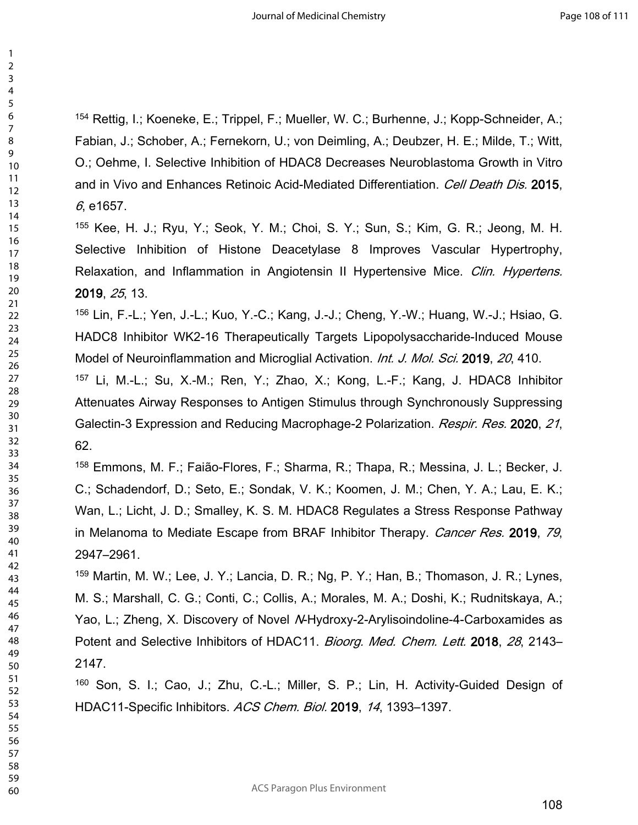154 Rettig, I.; Koeneke, E.; Trippel, F.; Mueller, W. C.; Burhenne, J.; Kopp-Schneider, A.; Fabian, J.; Schober, A.; Fernekorn, U.; von Deimling, A.; Deubzer, H. E.; Milde, T.; Witt, O.; Oehme, I. Selective Inhibition of HDAC8 Decreases Neuroblastoma Growth in Vitro and in Vivo and Enhances Retinoic Acid-Mediated Differentiation. *Cell Death Dis.* **2015**, , e1657.

 Kee, H. J.; Ryu, Y.; Seok, Y. M.; Choi, S. Y.; Sun, S.; Kim, G. R.; Jeong, M. H. Selective Inhibition of Histone Deacetylase 8 Improves Vascular Hypertrophy, Relaxation, and Inflammation in Angiotensin II Hypertensive Mice. *Clin. Hypertens.* , *25*, 13.

 Lin, F.-L.; Yen, J.-L.; Kuo, Y.-C.; Kang, J.-J.; Cheng, Y.-W.; Huang, W.-J.; Hsiao, G. HADC8 Inhibitor WK2-16 Therapeutically Targets Lipopolysaccharide-Induced Mouse Model of Neuroinflammation and Microglial Activation. *Int. J. Mol. Sci.* **2019**, *20*, 410.

 Li, M.-L.; Su, X.-M.; Ren, Y.; Zhao, X.; Kong, L.-F.; Kang, J. HDAC8 Inhibitor Attenuates Airway Responses to Antigen Stimulus through Synchronously Suppressing Galectin-3 Expression and Reducing Macrophage-2 Polarization. *Respir. Res.* **2020**, *21*, 62.

 Emmons, M. F.; Faião-Flores, F.; Sharma, R.; Thapa, R.; Messina, J. L.; Becker, J. C.; Schadendorf, D.; Seto, E.; Sondak, V. K.; Koomen, J. M.; Chen, Y. A.; Lau, E. K.; Wan, L.; Licht, J. D.; Smalley, K. S. M. HDAC8 Regulates a Stress Response Pathway in Melanoma to Mediate Escape from BRAF Inhibitor Therapy. *Cancer Res.* **2019**, *79*, 2947–2961.

 Martin, M. W.; Lee, J. Y.; Lancia, D. R.; Ng, P. Y.; Han, B.; Thomason, J. R.; Lynes, M. S.; Marshall, C. G.; Conti, C.; Collis, A.; Morales, M. A.; Doshi, K.; Rudnitskaya, A.; Yao, L.; Zheng, X. Discovery of Novel *N*-Hydroxy-2-Arylisoindoline-4-Carboxamides as Potent and Selective Inhibitors of HDAC11. *Bioorg. Med. Chem. Lett.* **2018**, *28*, 2143– 2147.

 Son, S. I.; Cao, J.; Zhu, C.-L.; Miller, S. P.; Lin, H. Activity-Guided Design of HDAC11-Specific Inhibitors. *ACS Chem. Biol.* **2019**, *14*, 1393–1397.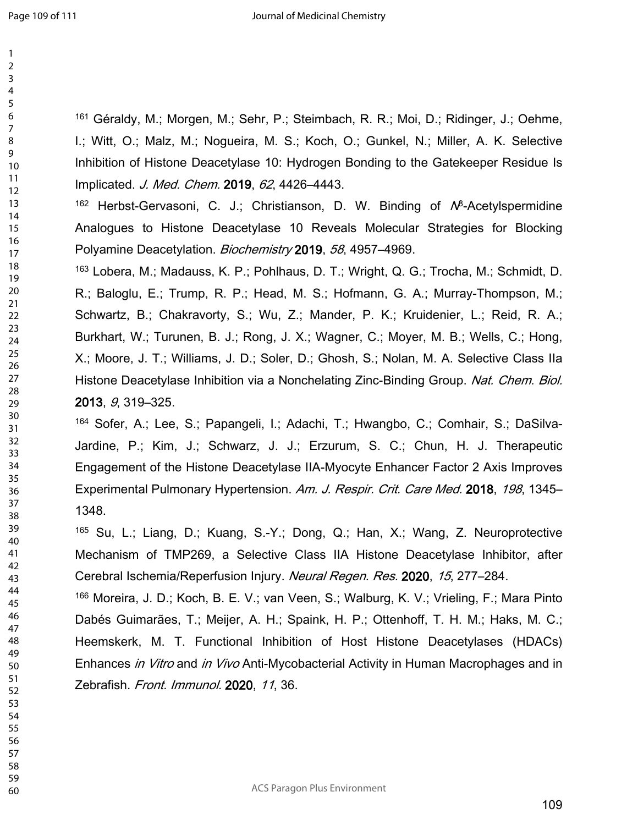Géraldy, M.; Morgen, M.; Sehr, P.; Steimbach, R. R.; Moi, D.; Ridinger, J.; Oehme, I.; Witt, O.; Malz, M.; Nogueira, M. S.; Koch, O.; Gunkel, N.; Miller, A. K. Selective Inhibition of Histone Deacetylase 10: Hydrogen Bonding to the Gatekeeper Residue Is Implicated. *J. Med. Chem.* **2019**, *62*, 4426–4443.

<sup>162</sup> Herbst-Gervasoni, C. J.; Christianson, D. W. Binding of N<sup>8</sup>-Acetylspermidine Analogues to Histone Deacetylase 10 Reveals Molecular Strategies for Blocking Polyamine Deacetylation. *Biochemistry* **2019**, *58*, 4957–4969.

 Lobera, M.; Madauss, K. P.; Pohlhaus, D. T.; Wright, Q. G.; Trocha, M.; Schmidt, D. R.; Baloglu, E.; Trump, R. P.; Head, M. S.; Hofmann, G. A.; Murray-Thompson, M.; Schwartz, B.; Chakravorty, S.; Wu, Z.; Mander, P. K.; Kruidenier, L.; Reid, R. A.; Burkhart, W.; Turunen, B. J.; Rong, J. X.; Wagner, C.; Moyer, M. B.; Wells, C.; Hong, X.; Moore, J. T.; Williams, J. D.; Soler, D.; Ghosh, S.; Nolan, M. A. Selective Class IIa Histone Deacetylase Inhibition via a Nonchelating Zinc-Binding Group. *Nat. Chem. Biol.* , *9*, 319–325.

 Sofer, A.; Lee, S.; Papangeli, I.; Adachi, T.; Hwangbo, C.; Comhair, S.; DaSilva-Jardine, P.; Kim, J.; Schwarz, J. J.; Erzurum, S. C.; Chun, H. J. Therapeutic Engagement of the Histone Deacetylase IIA-Myocyte Enhancer Factor 2 Axis Improves Experimental Pulmonary Hypertension. *Am. J. Respir. Crit. Care Med.* **2018**, *198*, 1345– 1348.

 Su, L.; Liang, D.; Kuang, S.-Y.; Dong, Q.; Han, X.; Wang, Z. Neuroprotective Mechanism of TMP269, a Selective Class IIA Histone Deacetylase Inhibitor, after Cerebral Ischemia/Reperfusion Injury. *Neural Regen. Res.* **2020**, *15*, 277–284.

 Moreira, J. D.; Koch, B. E. V.; van Veen, S.; Walburg, K. V.; Vrieling, F.; Mara Pinto Dabés Guimarães, T.; Meijer, A. H.; Spaink, H. P.; Ottenhoff, T. H. M.; Haks, M. C.; Heemskerk, M. T. Functional Inhibition of Host Histone Deacetylases (HDACs) Enhances *in Vitro* and *in Vivo* Anti-Mycobacterial Activity in Human Macrophages and in Zebrafish. *Front. Immunol.* **2020**, *11*, 36.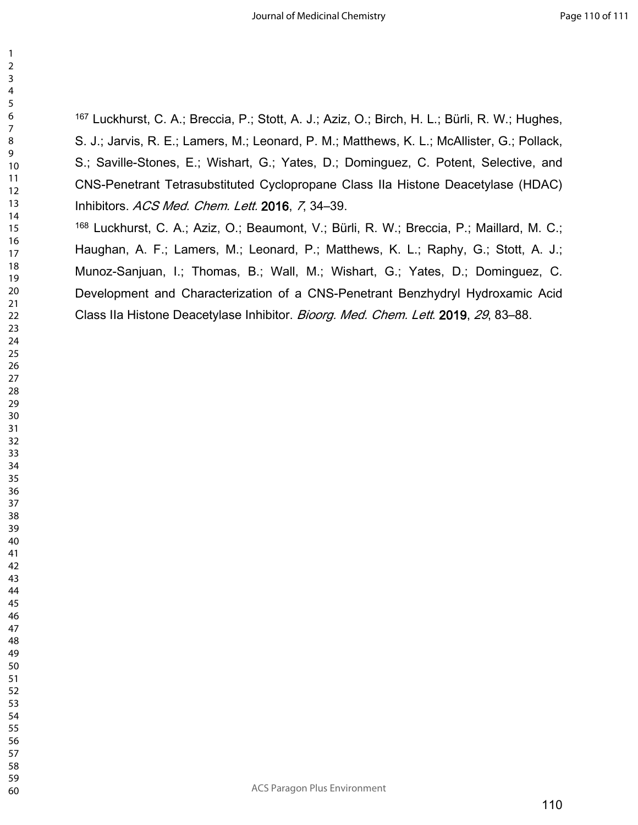Luckhurst, C. A.; Breccia, P.; Stott, A. J.; Aziz, O.; Birch, H. L.; Bürli, R. W.; Hughes, S. J.; Jarvis, R. E.; Lamers, M.; Leonard, P. M.; Matthews, K. L.; McAllister, G.; Pollack, S.; Saville-Stones, E.; Wishart, G.; Yates, D.; Dominguez, C. Potent, Selective, and CNS-Penetrant Tetrasubstituted Cyclopropane Class IIa Histone Deacetylase (HDAC) Inhibitors. *ACS Med. Chem. Lett.* **2016**, *7*, 34–39.

 Luckhurst, C. A.; Aziz, O.; Beaumont, V.; Bürli, R. W.; Breccia, P.; Maillard, M. C.; Haughan, A. F.; Lamers, M.; Leonard, P.; Matthews, K. L.; Raphy, G.; Stott, A. J.; Munoz-Sanjuan, I.; Thomas, B.; Wall, M.; Wishart, G.; Yates, D.; Dominguez, C. Development and Characterization of a CNS-Penetrant Benzhydryl Hydroxamic Acid Class IIa Histone Deacetylase Inhibitor. *Bioorg. Med. Chem. Lett*. **2019**, *29*, 83–88.

ACS Paragon Plus Environment